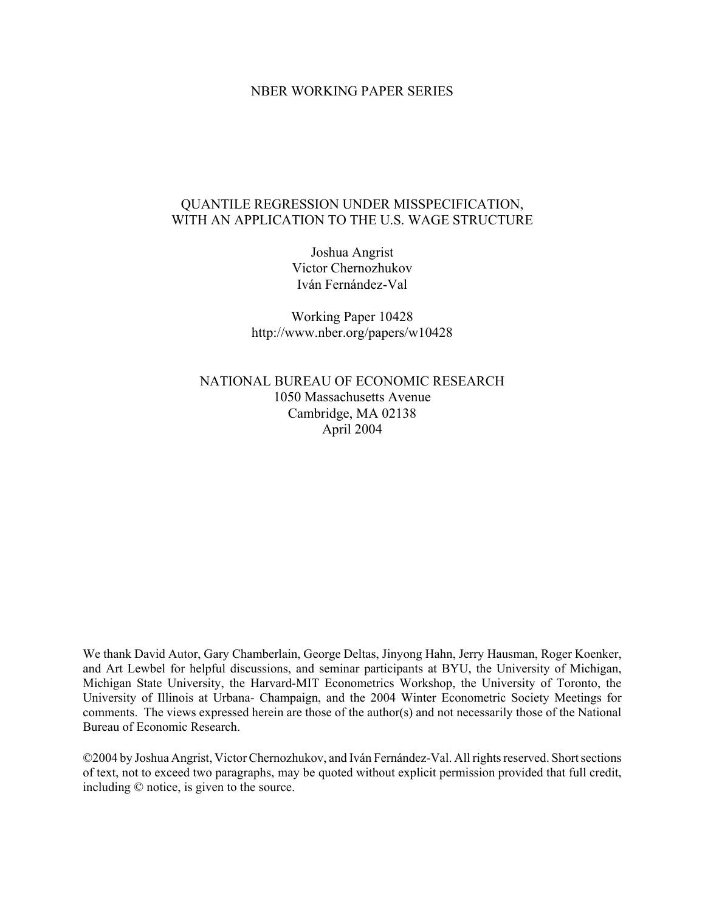#### NBER WORKING PAPER SERIES

### QUANTILE REGRESSION UNDER MISSPECIFICATION, WITH AN APPLICATION TO THE U.S. WAGE STRUCTURE

Joshua Angrist Victor Chernozhukov Iván Fernández-Val

Working Paper 10428 http://www.nber.org/papers/w10428

NATIONAL BUREAU OF ECONOMIC RESEARCH 1050 Massachusetts Avenue Cambridge, MA 02138 April 2004

We thank David Autor, Gary Chamberlain, George Deltas, Jinyong Hahn, Jerry Hausman, Roger Koenker, and Art Lewbel for helpful discussions, and seminar participants at BYU, the University of Michigan, Michigan State University, the Harvard-MIT Econometrics Workshop, the University of Toronto, the University of Illinois at Urbana- Champaign, and the 2004 Winter Econometric Society Meetings for comments. The views expressed herein are those of the author(s) and not necessarily those of the National Bureau of Economic Research.

©2004 by Joshua Angrist, Victor Chernozhukov, and Iván Fernández-Val. All rights reserved. Short sections of text, not to exceed two paragraphs, may be quoted without explicit permission provided that full credit, including © notice, is given to the source.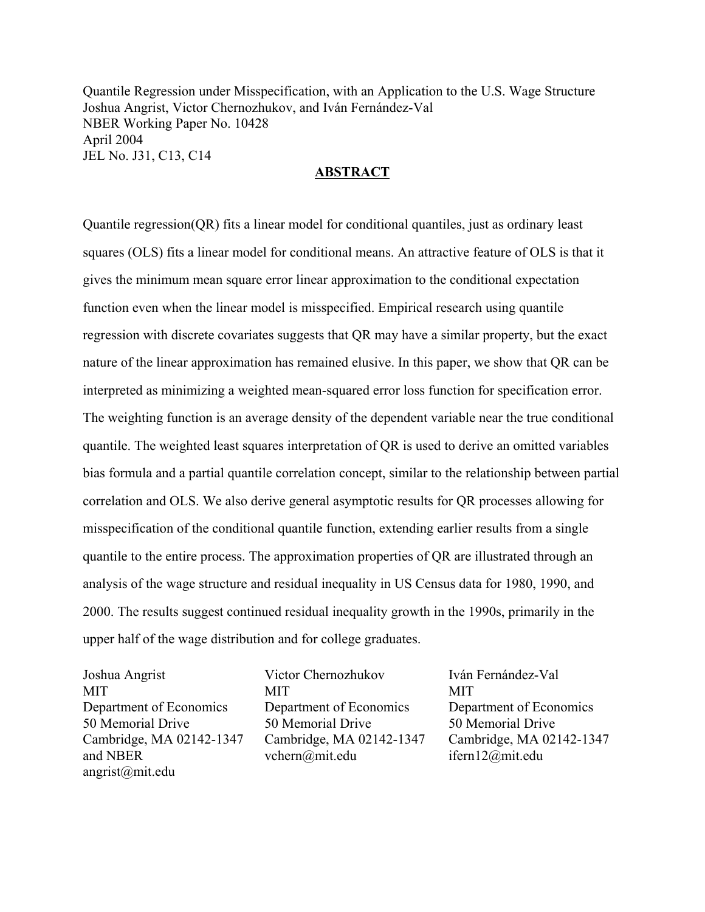Quantile Regression under Misspecification, with an Application to the U.S. Wage Structure Joshua Angrist, Victor Chernozhukov, and Iván Fernández-Val NBER Working Paper No. 10428 April 2004 JEL No. J31, C13, C14

### **ABSTRACT**

Quantile regression(QR) fits a linear model for conditional quantiles, just as ordinary least squares (OLS) fits a linear model for conditional means. An attractive feature of OLS is that it gives the minimum mean square error linear approximation to the conditional expectation function even when the linear model is misspecified. Empirical research using quantile regression with discrete covariates suggests that QR may have a similar property, but the exact nature of the linear approximation has remained elusive. In this paper, we show that QR can be interpreted as minimizing a weighted mean-squared error loss function for specification error. The weighting function is an average density of the dependent variable near the true conditional quantile. The weighted least squares interpretation of QR is used to derive an omitted variables bias formula and a partial quantile correlation concept, similar to the relationship between partial correlation and OLS. We also derive general asymptotic results for QR processes allowing for misspecification of the conditional quantile function, extending earlier results from a single quantile to the entire process. The approximation properties of QR are illustrated through an analysis of the wage structure and residual inequality in US Census data for 1980, 1990, and 2000. The results suggest continued residual inequality growth in the 1990s, primarily in the upper half of the wage distribution and for college graduates.

Joshua Angrist MIT Department of Economics 50 Memorial Drive Cambridge, MA 02142-1347 and NBER angrist@mit.edu

Victor Chernozhukov MIT Department of Economics 50 Memorial Drive Cambridge, MA 02142-1347 vchern@mit.edu

Iván Fernández-Val MIT Department of Economics 50 Memorial Drive Cambridge, MA 02142-1347 ifern12@mit.edu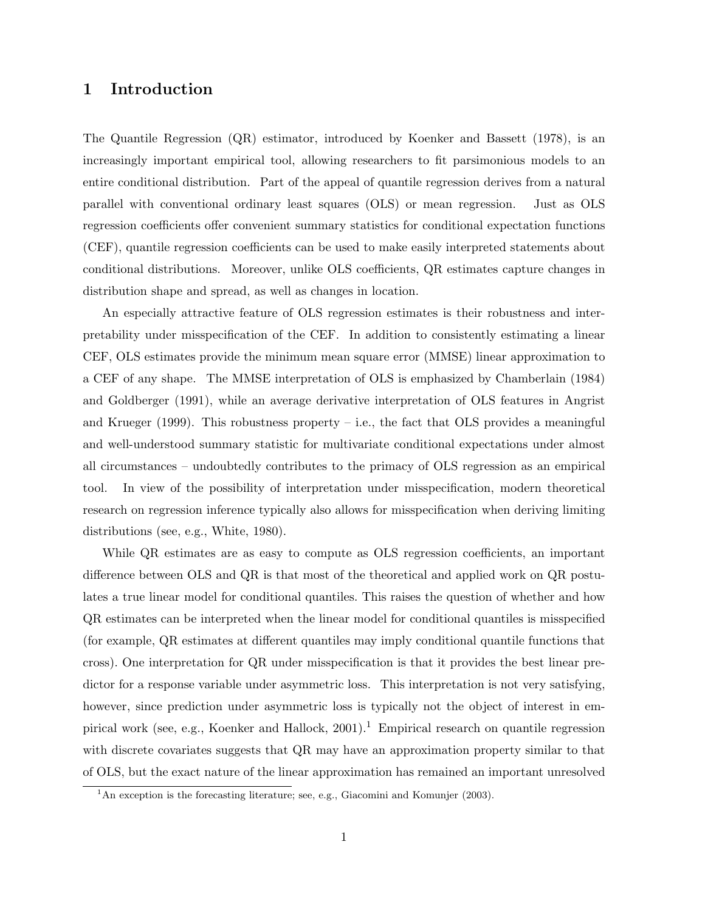## 1 Introduction

The Quantile Regression (QR) estimator, introduced by Koenker and Bassett (1978), is an increasingly important empirical tool, allowing researchers to fit parsimonious models to an entire conditional distribution. Part of the appeal of quantile regression derives from a natural parallel with conventional ordinary least squares (OLS) or mean regression. Just as OLS regression coefficients offer convenient summary statistics for conditional expectation functions (CEF), quantile regression coefficients can be used to make easily interpreted statements about conditional distributions. Moreover, unlike OLS coefficients, QR estimates capture changes in distribution shape and spread, as well as changes in location.

An especially attractive feature of OLS regression estimates is their robustness and interpretability under misspecification of the CEF. In addition to consistently estimating a linear CEF, OLS estimates provide the minimum mean square error (MMSE) linear approximation to a CEF of any shape. The MMSE interpretation of OLS is emphasized by Chamberlain (1984) and Goldberger (1991), while an average derivative interpretation of OLS features in Angrist and Krueger (1999). This robustness property  $-$  i.e., the fact that OLS provides a meaningful and well-understood summary statistic for multivariate conditional expectations under almost all circumstances – undoubtedly contributes to the primacy of OLS regression as an empirical tool. In view of the possibility of interpretation under misspecification, modern theoretical research on regression inference typically also allows for misspecification when deriving limiting distributions (see, e.g., White, 1980).

While QR estimates are as easy to compute as OLS regression coefficients, an important difference between OLS and QR is that most of the theoretical and applied work on QR postulates a true linear model for conditional quantiles. This raises the question of whether and how QR estimates can be interpreted when the linear model for conditional quantiles is misspecified (for example, QR estimates at different quantiles may imply conditional quantile functions that cross). One interpretation for QR under misspecification is that it provides the best linear predictor for a response variable under asymmetric loss. This interpretation is not very satisfying, however, since prediction under asymmetric loss is typically not the object of interest in empirical work (see, e.g., Koenker and Hallock,  $2001$ ).<sup>1</sup> Empirical research on quantile regression with discrete covariates suggests that QR may have an approximation property similar to that of OLS, but the exact nature of the linear approximation has remained an important unresolved

<sup>&</sup>lt;sup>1</sup>An exception is the forecasting literature; see, e.g., Giacomini and Komunjer (2003).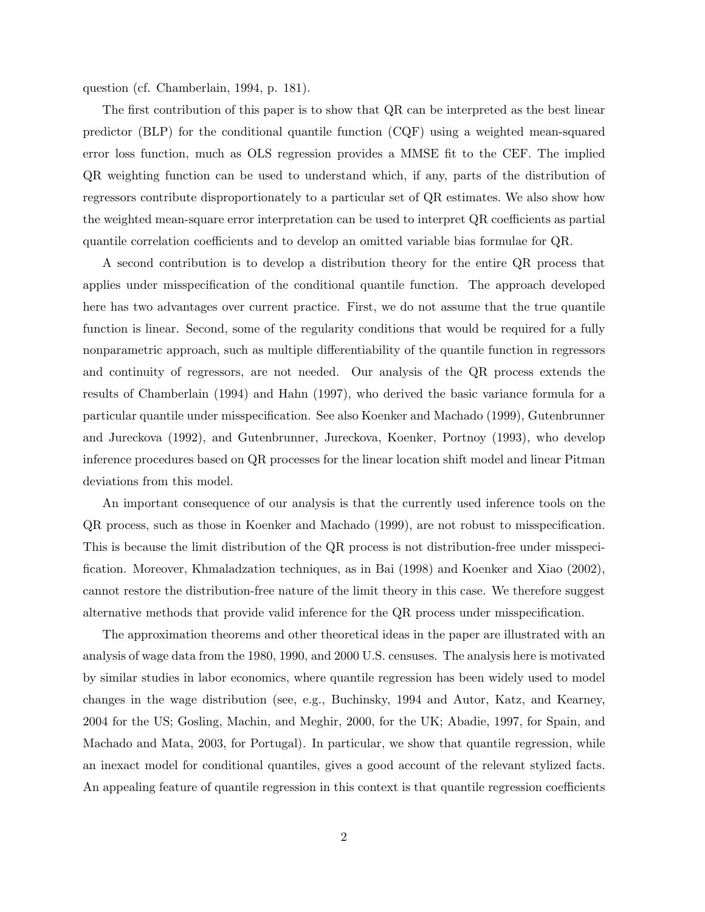question (cf. Chamberlain, 1994, p. 181).

The first contribution of this paper is to show that QR can be interpreted as the best linear predictor (BLP) for the conditional quantile function (CQF) using a weighted mean-squared error loss function, much as OLS regression provides a MMSE fit to the CEF. The implied QR weighting function can be used to understand which, if any, parts of the distribution of regressors contribute disproportionately to a particular set of QR estimates. We also show how the weighted mean-square error interpretation can be used to interpret QR coefficients as partial quantile correlation coefficients and to develop an omitted variable bias formulae for QR.

A second contribution is to develop a distribution theory for the entire QR process that applies under misspecification of the conditional quantile function. The approach developed here has two advantages over current practice. First, we do not assume that the true quantile function is linear. Second, some of the regularity conditions that would be required for a fully nonparametric approach, such as multiple differentiability of the quantile function in regressors and continuity of regressors, are not needed. Our analysis of the QR process extends the results of Chamberlain (1994) and Hahn (1997), who derived the basic variance formula for a particular quantile under misspecification. See also Koenker and Machado (1999), Gutenbrunner and Jureckova (1992), and Gutenbrunner, Jureckova, Koenker, Portnoy (1993), who develop inference procedures based on QR processes for the linear location shift model and linear Pitman deviations from this model.

An important consequence of our analysis is that the currently used inference tools on the QR process, such as those in Koenker and Machado (1999), are not robust to misspecification. This is because the limit distribution of the QR process is not distribution-free under misspecification. Moreover, Khmaladzation techniques, as in Bai (1998) and Koenker and Xiao (2002), cannot restore the distribution-free nature of the limit theory in this case. We therefore suggest alternative methods that provide valid inference for the QR process under misspecification.

The approximation theorems and other theoretical ideas in the paper are illustrated with an analysis of wage data from the 1980, 1990, and 2000 U.S. censuses. The analysis here is motivated by similar studies in labor economics, where quantile regression has been widely used to model changes in the wage distribution (see, e.g., Buchinsky, 1994 and Autor, Katz, and Kearney, 2004 for the US; Gosling, Machin, and Meghir, 2000, for the UK; Abadie, 1997, for Spain, and Machado and Mata, 2003, for Portugal). In particular, we show that quantile regression, while an inexact model for conditional quantiles, gives a good account of the relevant stylized facts. An appealing feature of quantile regression in this context is that quantile regression coefficients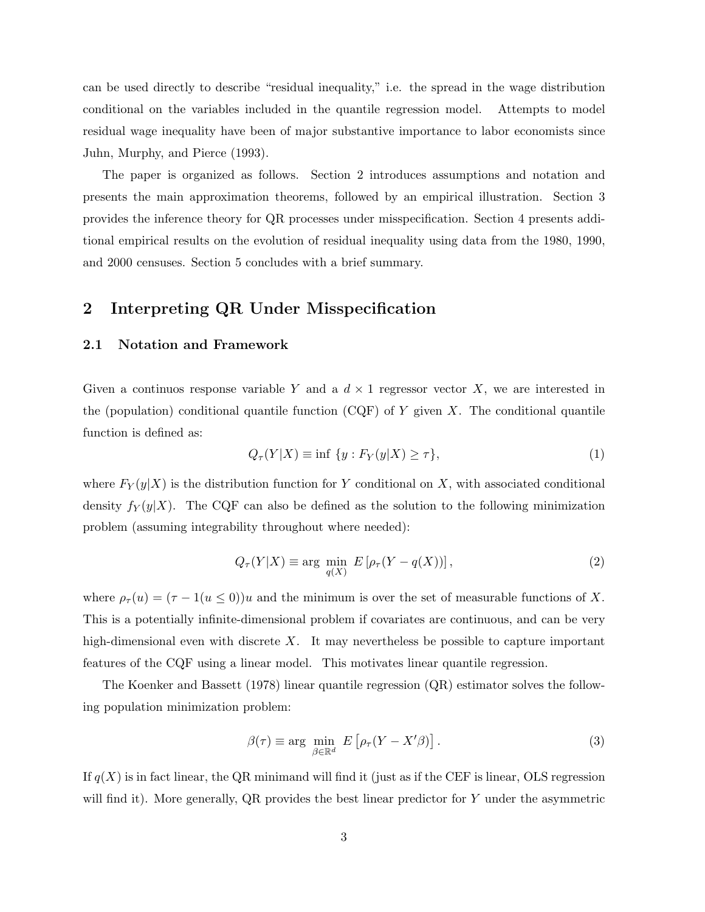can be used directly to describe "residual inequality," i.e. the spread in the wage distribution conditional on the variables included in the quantile regression model. Attempts to model residual wage inequality have been of major substantive importance to labor economists since Juhn, Murphy, and Pierce (1993).

The paper is organized as follows. Section 2 introduces assumptions and notation and presents the main approximation theorems, followed by an empirical illustration. Section 3 provides the inference theory for QR processes under misspecification. Section 4 presents additional empirical results on the evolution of residual inequality using data from the 1980, 1990, and 2000 censuses. Section 5 concludes with a brief summary.

# 2 Interpreting QR Under Misspecification

#### 2.1 Notation and Framework

Given a continuos response variable Y and a  $d \times 1$  regressor vector X, we are interested in the (population) conditional quantile function  $(CQF)$  of Y given X. The conditional quantile function is defined as:

$$
Q_{\tau}(Y|X) \equiv \inf \{ y : F_Y(y|X) \ge \tau \},\tag{1}
$$

where  $F_Y(y|X)$  is the distribution function for Y conditional on X, with associated conditional density  $f_Y(y|X)$ . The CQF can also be defined as the solution to the following minimization problem (assuming integrability throughout where needed):

$$
Q_{\tau}(Y|X) \equiv \arg\min_{q(X)} E\left[\rho_{\tau}(Y - q(X))\right],\tag{2}
$$

where  $\rho_{\tau}(u) = (\tau - 1(u \le 0))u$  and the minimum is over the set of measurable functions of X. This is a potentially infinite-dimensional problem if covariates are continuous, and can be very high-dimensional even with discrete  $X$ . It may nevertheless be possible to capture important features of the CQF using a linear model. This motivates linear quantile regression.

The Koenker and Bassett (1978) linear quantile regression (QR) estimator solves the following population minimization problem:

$$
\beta(\tau) \equiv \arg \min_{\beta \in \mathbb{R}^d} \ E\left[\rho_\tau (Y - X'\beta)\right]. \tag{3}
$$

If  $q(X)$  is in fact linear, the QR minimand will find it (just as if the CEF is linear, OLS regression will find it). More generally, QR provides the best linear predictor for Y under the asymmetric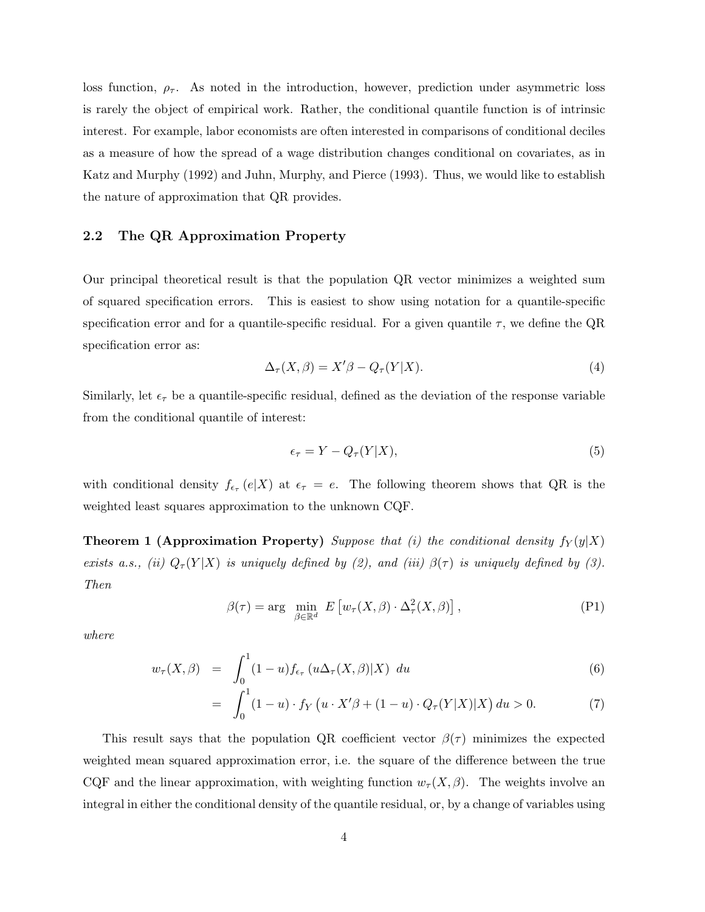loss function,  $\rho_{\tau}$ . As noted in the introduction, however, prediction under asymmetric loss is rarely the object of empirical work. Rather, the conditional quantile function is of intrinsic interest. For example, labor economists are often interested in comparisons of conditional deciles as a measure of how the spread of a wage distribution changes conditional on covariates, as in Katz and Murphy (1992) and Juhn, Murphy, and Pierce (1993). Thus, we would like to establish the nature of approximation that QR provides.

#### 2.2 The QR Approximation Property

Our principal theoretical result is that the population QR vector minimizes a weighted sum of squared specification errors. This is easiest to show using notation for a quantile-specific specification error and for a quantile-specific residual. For a given quantile  $\tau$ , we define the QR specification error as:

$$
\Delta_{\tau}(X,\beta) = X'\beta - Q_{\tau}(Y|X). \tag{4}
$$

Similarly, let  $\epsilon_{\tau}$  be a quantile-specific residual, defined as the deviation of the response variable from the conditional quantile of interest:

$$
\epsilon_{\tau} = Y - Q_{\tau}(Y|X),\tag{5}
$$

with conditional density  $f_{\epsilon_{\tau}}(e|X)$  at  $\epsilon_{\tau} = e$ . The following theorem shows that QR is the weighted least squares approximation to the unknown CQF.

**Theorem 1 (Approximation Property)** Suppose that (i) the conditional density  $f_Y(y|X)$ exists a.s., (ii)  $Q_{\tau}(Y|X)$  is uniquely defined by (2), and (iii)  $\beta(\tau)$  is uniquely defined by (3). Then

$$
\beta(\tau) = \arg \min_{\beta \in \mathbb{R}^d} E\left[w_\tau(X, \beta) \cdot \Delta^2_\tau(X, \beta)\right], \tag{P1}
$$

where

$$
w_{\tau}(X,\beta) = \int_0^1 (1-u) f_{\epsilon_{\tau}}(u\Delta_{\tau}(X,\beta)|X) du \qquad (6)
$$

$$
= \int_0^1 (1 - u) \cdot f_Y(u \cdot X'\beta + (1 - u) \cdot Q_\tau(Y|X)|X) du > 0.
$$
 (7)

This result says that the population QR coefficient vector  $\beta(\tau)$  minimizes the expected weighted mean squared approximation error, i.e. the square of the difference between the true CQF and the linear approximation, with weighting function  $w_\tau(X,\beta)$ . The weights involve an integral in either the conditional density of the quantile residual, or, by a change of variables using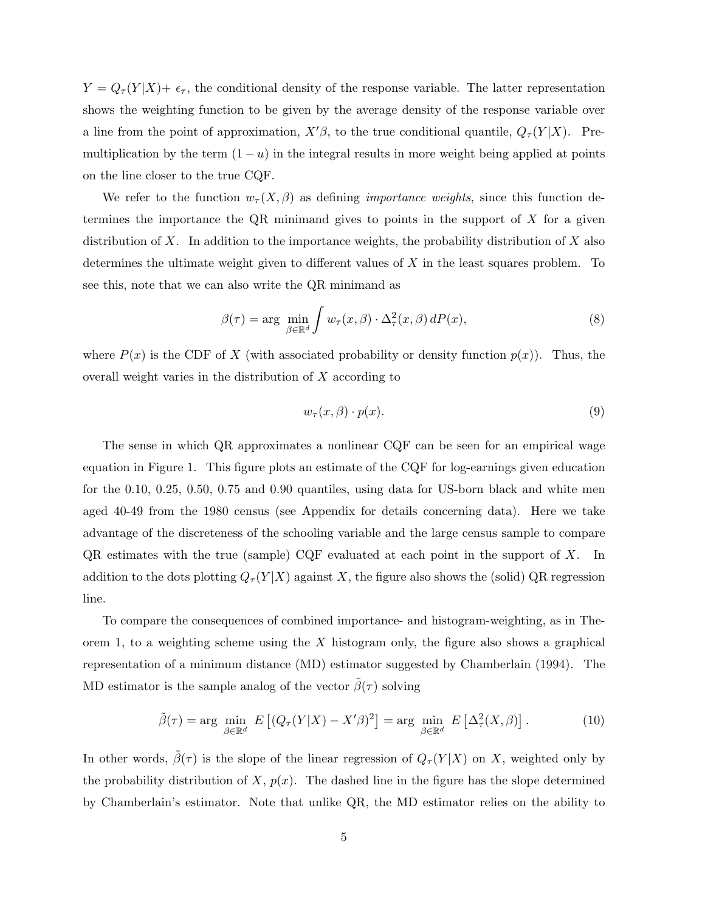$Y = Q_{\tau}(Y|X) + \epsilon_{\tau}$ , the conditional density of the response variable. The latter representation shows the weighting function to be given by the average density of the response variable over a line from the point of approximation,  $X'\beta$ , to the true conditional quantile,  $Q_{\tau}(Y|X)$ . Premultiplication by the term  $(1 - u)$  in the integral results in more weight being applied at points on the line closer to the true CQF.

We refer to the function  $w_\tau(X,\beta)$  as defining *importance weights*, since this function determines the importance the QR minimand gives to points in the support of  $X$  for a given distribution of X. In addition to the importance weights, the probability distribution of X also determines the ultimate weight given to different values of X in the least squares problem. To see this, note that we can also write the QR minimand as

$$
\beta(\tau) = \arg \min_{\beta \in \mathbb{R}^d} \int w_\tau(x, \beta) \cdot \Delta_\tau^2(x, \beta) \, dP(x), \tag{8}
$$

where  $P(x)$  is the CDF of X (with associated probability or density function  $p(x)$ ). Thus, the overall weight varies in the distribution of X according to

$$
w_{\tau}(x,\beta) \cdot p(x). \tag{9}
$$

The sense in which QR approximates a nonlinear CQF can be seen for an empirical wage equation in Figure 1. This figure plots an estimate of the CQF for log-earnings given education for the 0.10, 0.25, 0.50, 0.75 and 0.90 quantiles, using data for US-born black and white men aged 40-49 from the 1980 census (see Appendix for details concerning data). Here we take advantage of the discreteness of the schooling variable and the large census sample to compare  $QR$  estimates with the true (sample)  $CQF$  evaluated at each point in the support of X. In addition to the dots plotting  $Q_{\tau}(Y|X)$  against X, the figure also shows the (solid) QR regression line.

To compare the consequences of combined importance- and histogram-weighting, as in Theorem 1, to a weighting scheme using the  $X$  histogram only, the figure also shows a graphical representation of a minimum distance (MD) estimator suggested by Chamberlain (1994). The MD estimator is the sample analog of the vector  $\tilde{\beta}(\tau)$  solving

$$
\tilde{\beta}(\tau) = \arg \min_{\beta \in \mathbb{R}^d} E\left[ (Q_\tau(Y|X) - X'\beta)^2 \right] = \arg \min_{\beta \in \mathbb{R}^d} E\left[ \Delta_\tau^2(X, \beta) \right]. \tag{10}
$$

In other words,  $\tilde{\beta}(\tau)$  is the slope of the linear regression of  $Q_{\tau}(Y|X)$  on X, weighted only by the probability distribution of  $X, p(x)$ . The dashed line in the figure has the slope determined by Chamberlain's estimator. Note that unlike QR, the MD estimator relies on the ability to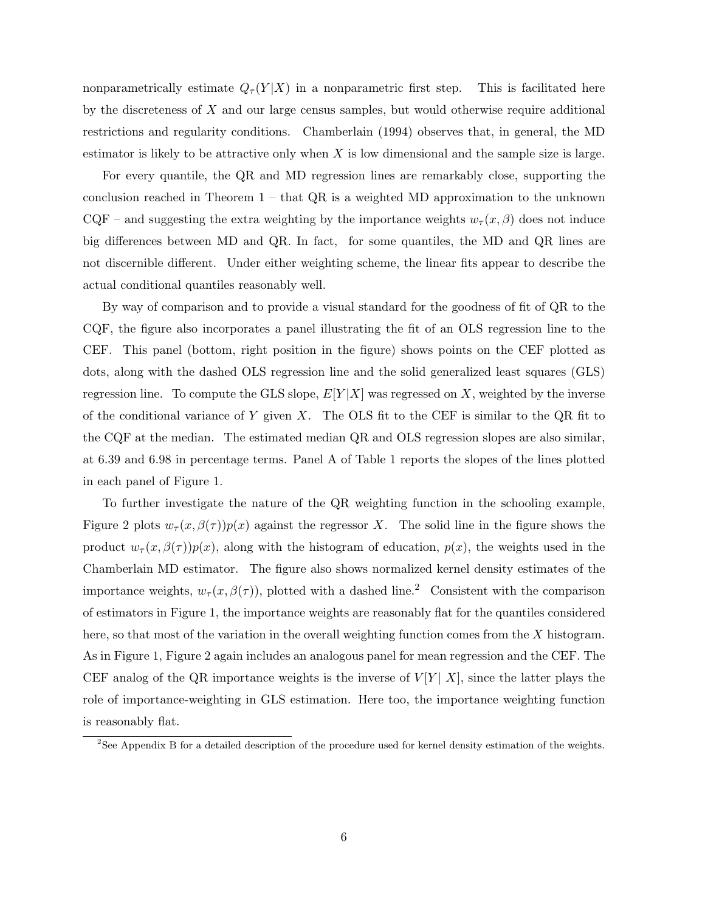nonparametrically estimate  $Q_{\tau}(Y|X)$  in a nonparametric first step. This is facilitated here by the discreteness of  $X$  and our large census samples, but would otherwise require additional restrictions and regularity conditions. Chamberlain (1994) observes that, in general, the MD estimator is likely to be attractive only when  $X$  is low dimensional and the sample size is large.

For every quantile, the QR and MD regression lines are remarkably close, supporting the conclusion reached in Theorem  $1$  – that QR is a weighted MD approximation to the unknown  $CQF$  – and suggesting the extra weighting by the importance weights  $w_{\tau}(x,\beta)$  does not induce big differences between MD and QR. In fact, for some quantiles, the MD and QR lines are not discernible different. Under either weighting scheme, the linear fits appear to describe the actual conditional quantiles reasonably well.

By way of comparison and to provide a visual standard for the goodness of fit of QR to the CQF, the figure also incorporates a panel illustrating the fit of an OLS regression line to the CEF. This panel (bottom, right position in the figure) shows points on the CEF plotted as dots, along with the dashed OLS regression line and the solid generalized least squares (GLS) regression line. To compute the GLS slope,  $E[Y|X]$  was regressed on X, weighted by the inverse of the conditional variance of Y given  $X$ . The OLS fit to the CEF is similar to the QR fit to the CQF at the median. The estimated median QR and OLS regression slopes are also similar, at 6.39 and 6.98 in percentage terms. Panel A of Table 1 reports the slopes of the lines plotted in each panel of Figure 1.

To further investigate the nature of the QR weighting function in the schooling example, Figure 2 plots  $w_{\tau}(x,\beta(\tau))p(x)$  against the regressor X. The solid line in the figure shows the product  $w_\tau(x,\beta(\tau))p(x)$ , along with the histogram of education,  $p(x)$ , the weights used in the Chamberlain MD estimator. The figure also shows normalized kernel density estimates of the importance weights,  $w_{\tau}(x,\beta(\tau))$ , plotted with a dashed line.<sup>2</sup> Consistent with the comparison of estimators in Figure 1, the importance weights are reasonably flat for the quantiles considered here, so that most of the variation in the overall weighting function comes from the  $X$  histogram. As in Figure 1, Figure 2 again includes an analogous panel for mean regression and the CEF. The CEF analog of the QR importance weights is the inverse of  $V[Y|X]$ , since the latter plays the role of importance-weighting in GLS estimation. Here too, the importance weighting function is reasonably flat.

<sup>&</sup>lt;sup>2</sup>See Appendix B for a detailed description of the procedure used for kernel density estimation of the weights.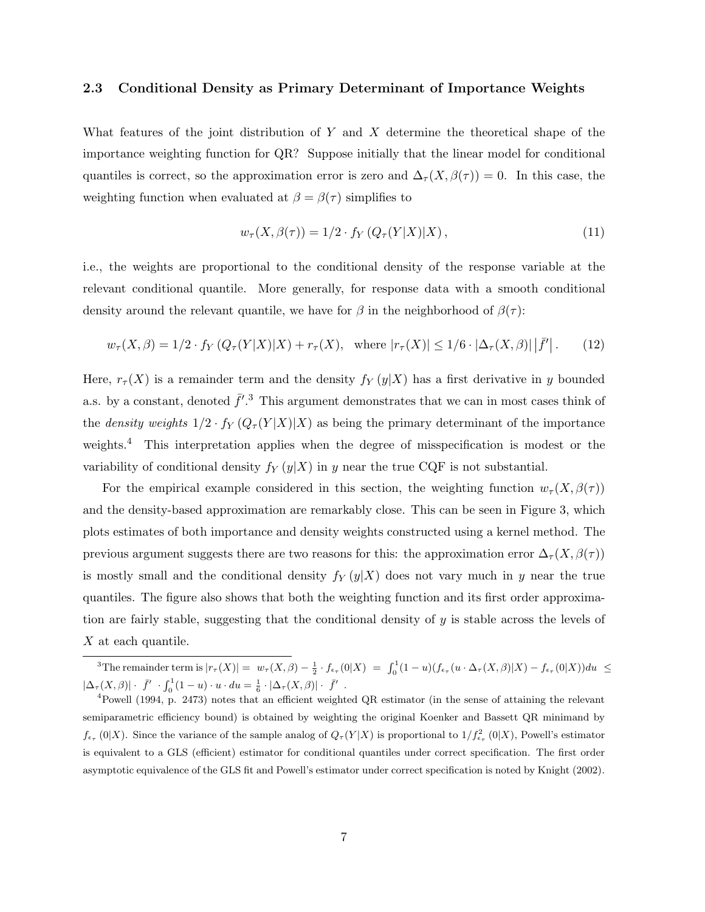#### 2.3 Conditional Density as Primary Determinant of Importance Weights

What features of the joint distribution of Y and X determine the theoretical shape of the importance weighting function for QR? Suppose initially that the linear model for conditional quantiles is correct, so the approximation error is zero and  $\Delta_{\tau}(X,\beta(\tau)) = 0$ . In this case, the weighting function when evaluated at  $\beta = \beta(\tau)$  simplifies to

$$
w_{\tau}(X,\beta(\tau)) = 1/2 \cdot f_Y \left( Q_{\tau}(Y|X)|X \right), \tag{11}
$$

i.e., the weights are proportional to the conditional density of the response variable at the relevant conditional quantile. More generally, for response data with a smooth conditional density around the relevant quantile, we have for  $\beta$  in the neighborhood of  $\beta(\tau)$ :

$$
w_{\tau}(X,\beta) = 1/2 \cdot f_Y(Q_{\tau}(Y|X)|X) + r_{\tau}(X), \text{ where } |r_{\tau}(X)| \le 1/6 \cdot |\Delta_{\tau}(X,\beta)| |\bar{f}'|.
$$
 (12)

Here,  $r_{\tau}(X)$  is a remainder term and the density  $f_Y(y|X)$  has a first derivative in y bounded a.s. by a constant, denoted  $\bar{f}'$ .<sup>3</sup> This argument demonstrates that we can in most cases think of the *density weights*  $1/2 \cdot f_Y (Q_\tau(Y|X)|X)$  as being the primary determinant of the importance weights.<sup>4</sup> This interpretation applies when the degree of misspecification is modest or the variability of conditional density  $f_Y(y|X)$  in y near the true CQF is not substantial.

For the empirical example considered in this section, the weighting function  $w_{\tau}(X,\beta(\tau))$ and the density-based approximation are remarkably close. This can be seen in Figure 3, which plots estimates of both importance and density weights constructed using a kernel method. The previous argument suggests there are two reasons for this: the approximation error  $\Delta_{\tau}(X,\beta(\tau))$ is mostly small and the conditional density  $f_Y(y|X)$  does not vary much in y near the true quantiles. The figure also shows that both the weighting function and its first order approximation are fairly stable, suggesting that the conditional density of  $y$  is stable across the levels of X at each quantile.

 $\int_0^3 \text{The remainder term is } |r_\tau(X)| = |w_\tau(X, \beta) - \frac{1}{2} \cdot f_{\epsilon_\tau}(0|X)| = \int_0^1 (1-u)(f_{\epsilon_\tau}(u \cdot \Delta_\tau(X, \beta)|X) - f_{\epsilon_\tau}(0|X)) du \leq 0$  $|\Delta_{\tau}(X,\beta)| \cdot \bar{f}' \cdot \int_0^1$  $\int_0^1 (1-u) \cdot u \cdot du = \frac{1}{6} \cdot |\Delta_\tau(X,\beta)| \cdot \bar{f}'$ .

<sup>&</sup>lt;sup>4</sup>Powell (1994, p. 2473) notes that an efficient weighted QR estimator (in the sense of attaining the relevant semiparametric efficiency bound) is obtained by weighting the original Koenker and Bassett QR minimand by  $f_{\epsilon_{\tau}}(0|X)$ . Since the variance of the sample analog of  $Q_{\tau}(Y|X)$  is proportional to  $1/f_{\epsilon_{\tau}}^2(0|X)$ , Powell's estimator is equivalent to a GLS (efficient) estimator for conditional quantiles under correct specification. The first order asymptotic equivalence of the GLS fit and Powell's estimator under correct specification is noted by Knight (2002).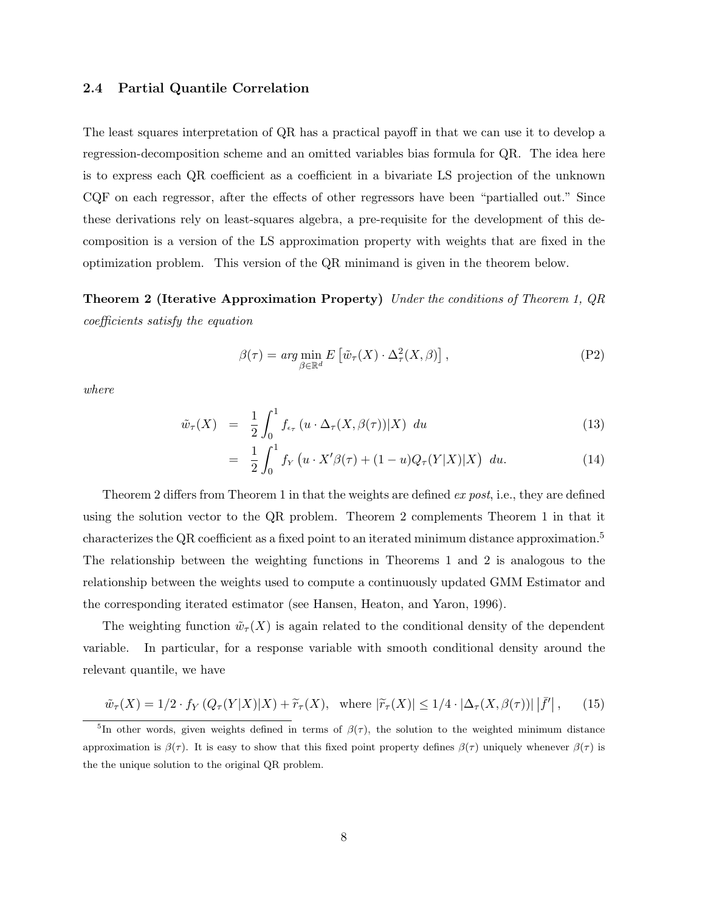#### 2.4 Partial Quantile Correlation

The least squares interpretation of QR has a practical payoff in that we can use it to develop a regression-decomposition scheme and an omitted variables bias formula for QR. The idea here is to express each QR coefficient as a coefficient in a bivariate LS projection of the unknown CQF on each regressor, after the effects of other regressors have been "partialled out." Since these derivations rely on least-squares algebra, a pre-requisite for the development of this decomposition is a version of the LS approximation property with weights that are fixed in the optimization problem. This version of the QR minimand is given in the theorem below.

Theorem 2 (Iterative Approximation Property) Under the conditions of Theorem 1, QR coefficients satisfy the equation

$$
\beta(\tau) = \arg\min_{\beta \in \mathbb{R}^d} E\left[\tilde{w}_{\tau}(X) \cdot \Delta_{\tau}^2(X, \beta)\right],\tag{P2}
$$

where

$$
\tilde{w}_{\tau}(X) = \frac{1}{2} \int_0^1 f_{\epsilon_{\tau}} \left( u \cdot \Delta_{\tau}(X, \beta(\tau)) | X \right) du \tag{13}
$$

$$
= \frac{1}{2} \int_0^1 f_Y(u \cdot X'\beta(\tau) + (1 - u)Q_\tau(Y|X)|X) \ du.
$$
 (14)

Theorem 2 differs from Theorem 1 in that the weights are defined *ex post*, i.e., they are defined using the solution vector to the QR problem. Theorem 2 complements Theorem 1 in that it characterizes the QR coefficient as a fixed point to an iterated minimum distance approximation.<sup>5</sup> The relationship between the weighting functions in Theorems 1 and 2 is analogous to the relationship between the weights used to compute a continuously updated GMM Estimator and the corresponding iterated estimator (see Hansen, Heaton, and Yaron, 1996).

The weighting function  $\tilde{w}_{\tau}(X)$  is again related to the conditional density of the dependent variable. In particular, for a response variable with smooth conditional density around the relevant quantile, we have

$$
\tilde{w}_{\tau}(X) = 1/2 \cdot f_Y \left( Q_{\tau}(Y|X)|X \right) + \tilde{r}_{\tau}(X), \quad \text{where } |\tilde{r}_{\tau}(X)| \le 1/4 \cdot |\Delta_{\tau}(X, \beta(\tau))| \left| \bar{f}' \right|, \tag{15}
$$

<sup>&</sup>lt;sup>5</sup>In other words, given weights defined in terms of  $\beta(\tau)$ , the solution to the weighted minimum distance approximation is  $\beta(\tau)$ . It is easy to show that this fixed point property defines  $\beta(\tau)$  uniquely whenever  $\beta(\tau)$  is the the unique solution to the original QR problem.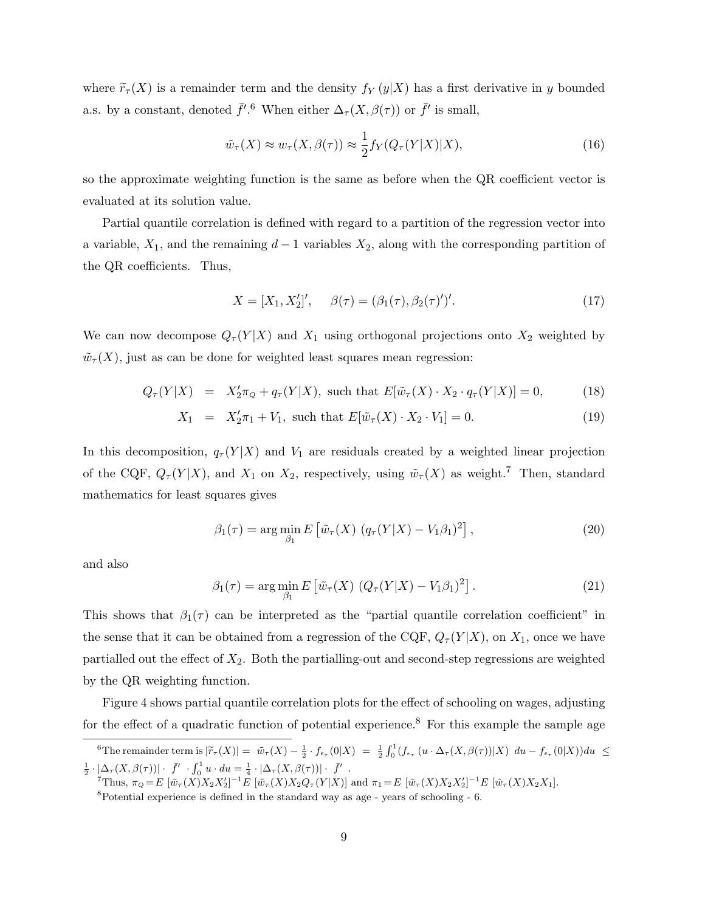where  $\widetilde{r}_{\tau}(X)$  is a remainder term and the density  $f_Y(y|X)$  has a first derivative in y bounded a.s. by a constant, denoted  $\bar{f}'$ .<sup>6</sup> When either  $\Delta_{\tau}(X,\beta(\tau))$  or  $\bar{f}'$  is small,

$$
\tilde{w}_{\tau}(X) \approx w_{\tau}(X,\beta(\tau)) \approx \frac{1}{2} f_Y(Q_{\tau}(Y|X)|X),\tag{16}
$$

so the approximate weighting function is the same as before when the QR coefficient vector is evaluated at its solution value.

Partial quantile correlation is defined with regard to a partition of the regression vector into a variable,  $X_1$ , and the remaining  $d-1$  variables  $X_2$ , along with the corresponding partition of the QR coefficients. Thus,

$$
X = [X_1, X_2']', \quad \beta(\tau) = (\beta_1(\tau), \beta_2(\tau)')'. \tag{17}
$$

We can now decompose  $Q_{\tau}(Y|X)$  and  $X_1$  using orthogonal projections onto  $X_2$  weighted by  $\tilde{w}_{\tau}(X)$ , just as can be done for weighted least squares mean regression:

$$
Q_{\tau}(Y|X) = X_2' \pi_Q + q_{\tau}(Y|X), \text{ such that } E[\tilde{w}_{\tau}(X) \cdot X_2 \cdot q_{\tau}(Y|X)] = 0,
$$
 (18)

$$
X_1 = X_2'\pi_1 + V_1, \text{ such that } E[\tilde{w}_\tau(X) \cdot X_2 \cdot V_1] = 0. \tag{19}
$$

In this decomposition,  $q_{\tau}(Y|X)$  and  $V_1$  are residuals created by a weighted linear projection of the CQF,  $Q_{\tau}(Y|X)$ , and  $X_1$  on  $X_2$ , respectively, using  $\tilde{w}_{\tau}(X)$  as weight.<sup>7</sup> Then, standard mathematics for least squares gives

$$
\beta_1(\tau) = \arg\min_{\beta_1} E\left[\tilde{w}_\tau(X) \left(q_\tau(Y|X) - V_1\beta_1\right)^2\right],\tag{20}
$$

and also

$$
\beta_1(\tau) = \arg\min_{\beta_1} E\left[\tilde{w}_\tau(X) \left(Q_\tau(Y|X) - V_1\beta_1\right)^2\right].\tag{21}
$$

This shows that  $\beta_1(\tau)$  can be interpreted as the "partial quantile correlation coefficient" in the sense that it can be obtained from a regression of the CQF,  $Q_{\tau}(Y|X)$ , on  $X_1$ , once we have partialled out the effect of  $X_2$ . Both the partialling-out and second-step regressions are weighted by the QR weighting function.

Figure 4 shows partial quantile correlation plots for the effect of schooling on wages, adjusting for the effect of a quadratic function of potential experience.<sup>8</sup> For this example the sample age

<sup>&</sup>lt;sup>6</sup>The remainder term is  $|\widetilde{r}_{\tau}(X)| = |\widetilde{w}_{\tau}(X) - \frac{1}{2} \cdot f_{\epsilon_{\tau}}(0|X)| = |\frac{1}{2} \int_0^1$  $\int_0^1 (f_{\epsilon_{\tau}}(u \cdot \Delta_{\tau}(X,\beta(\tau)) | X) du - f_{\epsilon_{\tau}}(0 | X)) du \le$  $\frac{1}{2} \cdot |\Delta_\tau(X,\beta(\tau))| \cdot \bar{f}' \cdot \int_0^1$  $\int_0^1 u \cdot du = \frac{1}{4} \cdot |\Delta_\tau(X, \beta(\tau))| \cdot \bar{f}'$ .

<sup>&</sup>lt;sup>7</sup>Thus,  $\pi_Q = E \left[ \tilde{w}_{\tau}(X) X_2 X_2' \right]^{-1} E \left[ \tilde{w}_{\tau}(X) X_2 Q_{\tau}(Y|X) \right]$  and  $\pi_1 = E \left[ \tilde{w}_{\tau}(X) X_2 X_2' \right]^{-1} E \left[ \tilde{w}_{\tau}(X) X_2 X_1 \right]$ .

 ${}^{8}$ Potential experience is defined in the standard way as age - years of schooling  $-6$ .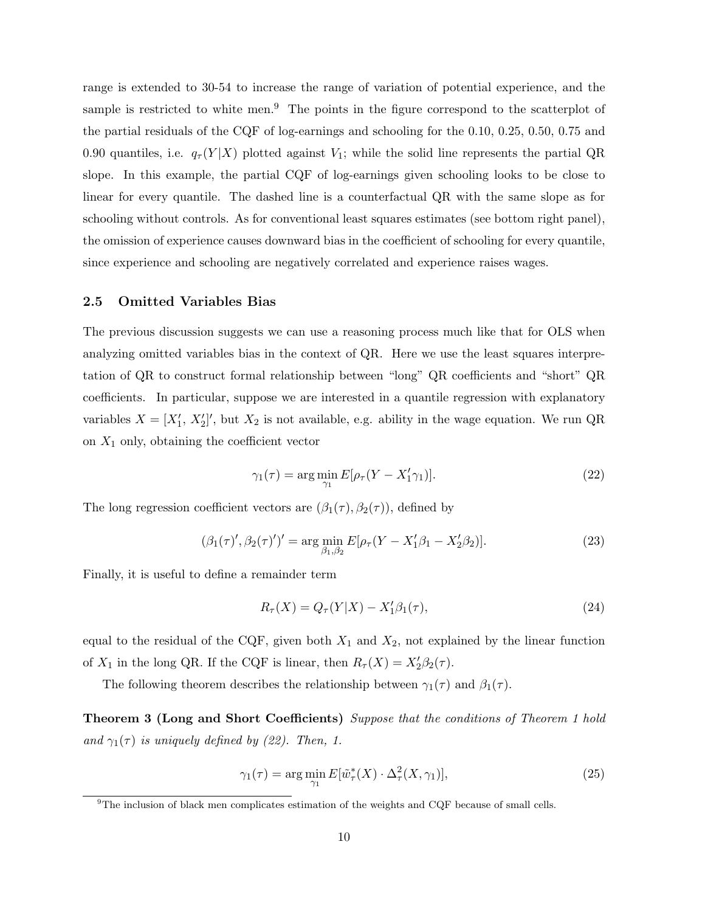range is extended to 30-54 to increase the range of variation of potential experience, and the sample is restricted to white men.<sup>9</sup> The points in the figure correspond to the scatterplot of the partial residuals of the CQF of log-earnings and schooling for the 0.10, 0.25, 0.50, 0.75 and 0.90 quantiles, i.e.  $q_{\tau}(Y|X)$  plotted against  $V_1$ ; while the solid line represents the partial QR slope. In this example, the partial CQF of log-earnings given schooling looks to be close to linear for every quantile. The dashed line is a counterfactual QR with the same slope as for schooling without controls. As for conventional least squares estimates (see bottom right panel), the omission of experience causes downward bias in the coefficient of schooling for every quantile, since experience and schooling are negatively correlated and experience raises wages.

#### 2.5 Omitted Variables Bias

The previous discussion suggests we can use a reasoning process much like that for OLS when analyzing omitted variables bias in the context of QR. Here we use the least squares interpretation of QR to construct formal relationship between "long" QR coefficients and "short" QR coefficients. In particular, suppose we are interested in a quantile regression with explanatory variables  $X = [X'_1, X'_2]'$ , but  $X_2$  is not available, e.g. ability in the wage equation. We run QR on  $X_1$  only, obtaining the coefficient vector

$$
\gamma_1(\tau) = \arg\min_{\gamma_1} E[\rho_\tau (Y - X_1'\gamma_1)].\tag{22}
$$

The long regression coefficient vectors are  $(\beta_1(\tau), \beta_2(\tau))$ , defined by

$$
(\beta_1(\tau)', \beta_2(\tau)')' = \arg\min_{\beta_1, \beta_2} E[\rho_\tau(Y - X_1'\beta_1 - X_2'\beta_2)].
$$
\n(23)

Finally, it is useful to define a remainder term

$$
R_{\tau}(X) = Q_{\tau}(Y|X) - X_1'\beta_1(\tau),
$$
\n(24)

equal to the residual of the CQF, given both  $X_1$  and  $X_2$ , not explained by the linear function of  $X_1$  in the long QR. If the CQF is linear, then  $R_\tau(X) = X_2' \beta_2(\tau)$ .

The following theorem describes the relationship between  $\gamma_1(\tau)$  and  $\beta_1(\tau)$ .

**Theorem 3 (Long and Short Coefficients)** Suppose that the conditions of Theorem 1 hold and  $\gamma_1(\tau)$  is uniquely defined by (22). Then, 1.

$$
\gamma_1(\tau) = \arg\min_{\gamma_1} E[\tilde{w}_\tau^*(X) \cdot \Delta_\tau^2(X, \gamma_1)],\tag{25}
$$

 $9$ The inclusion of black men complicates estimation of the weights and CQF because of small cells.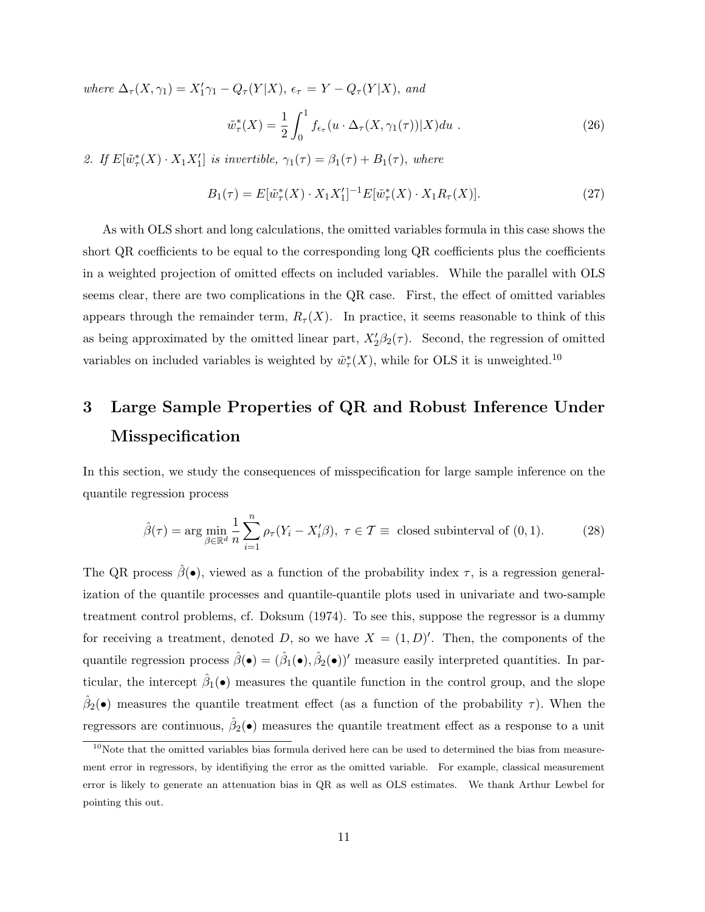where  $\Delta_{\tau}(X, \gamma_1) = X_1'\gamma_1 - Q_{\tau}(Y|X), \epsilon_{\tau} = Y - Q_{\tau}(Y|X),$  and

$$
\tilde{w}^*_{\tau}(X) = \frac{1}{2} \int_0^1 f_{\epsilon_{\tau}}(u \cdot \Delta_{\tau}(X, \gamma_1(\tau)) | X) du . \tag{26}
$$

2. If  $E[\tilde{w}^*_\tau(X) \cdot X_1 X_1']$  is invertible,  $\gamma_1(\tau) = \beta_1(\tau) + B_1(\tau)$ , where

$$
B_1(\tau) = E[\tilde{w}_\tau^*(X) \cdot X_1 X_1']^{-1} E[\tilde{w}_\tau^*(X) \cdot X_1 R_\tau(X)].
$$
\n(27)

As with OLS short and long calculations, the omitted variables formula in this case shows the short QR coefficients to be equal to the corresponding long QR coefficients plus the coefficients in a weighted projection of omitted effects on included variables. While the parallel with OLS seems clear, there are two complications in the QR case. First, the effect of omitted variables appears through the remainder term,  $R_{\tau}(X)$ . In practice, it seems reasonable to think of this as being approximated by the omitted linear part,  $X_2^{\prime}\beta_2(\tau)$ . Second, the regression of omitted variables on included variables is weighted by  $\tilde{w}^*_{\tau}(X)$ , while for OLS it is unweighted.<sup>10</sup>

# 3 Large Sample Properties of QR and Robust Inference Under Misspecification

In this section, we study the consequences of misspecification for large sample inference on the quantile regression process

$$
\hat{\beta}(\tau) = \arg\min_{\beta \in \mathbb{R}^d} \frac{1}{n} \sum_{i=1}^n \rho_\tau (Y_i - X_i'\beta), \ \tau \in \mathcal{T} \equiv \text{ closed subinterval of } (0, 1). \tag{28}
$$

The QR process  $\hat{\beta}(\bullet)$ , viewed as a function of the probability index  $\tau$ , is a regression generalization of the quantile processes and quantile-quantile plots used in univariate and two-sample treatment control problems, cf. Doksum (1974). To see this, suppose the regressor is a dummy for receiving a treatment, denoted D, so we have  $X = (1, D)'$ . Then, the components of the quantile regression process  $\hat{\beta}(\bullet) = (\hat{\beta}_1(\bullet), \hat{\beta}_2(\bullet))'$  measure easily interpreted quantities. In particular, the intercept  $\hat{\beta}_1(\bullet)$  measures the quantile function in the control group, and the slope  $\hat{\beta}_2(\bullet)$  measures the quantile treatment effect (as a function of the probability  $\tau$ ). When the regressors are continuous,  $\hat{\beta}_2(\bullet)$  measures the quantile treatment effect as a response to a unit

 $10$ Note that the omitted variables bias formula derived here can be used to determined the bias from measurement error in regressors, by identifiying the error as the omitted variable. For example, classical measurement error is likely to generate an attenuation bias in QR as well as OLS estimates. We thank Arthur Lewbel for pointing this out.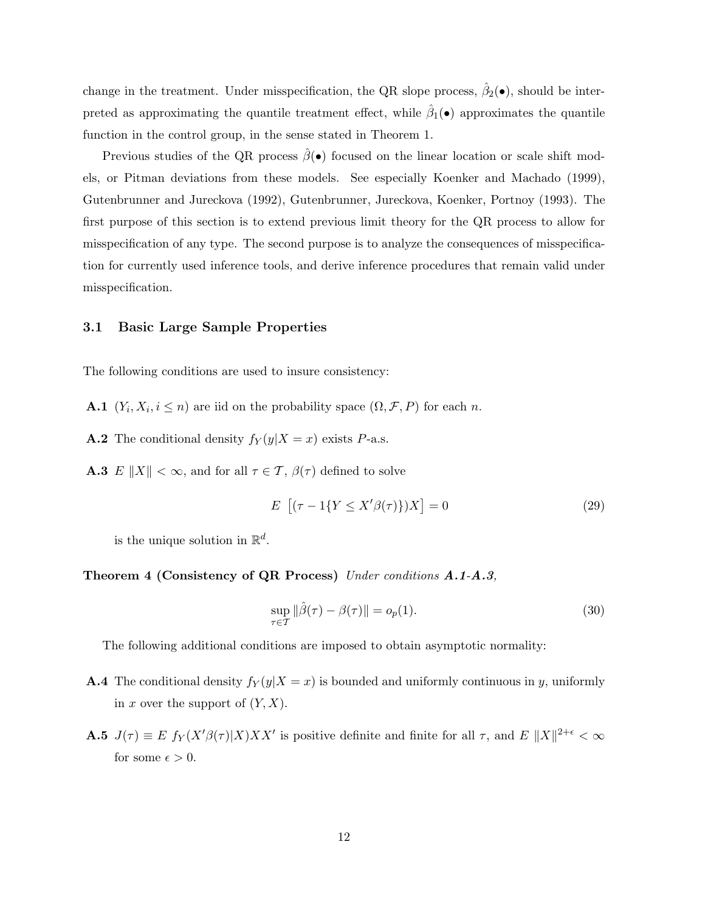change in the treatment. Under misspecification, the QR slope process,  $\hat{\beta}_2(\bullet)$ , should be interpreted as approximating the quantile treatment effect, while  $\hat{\beta}_1(\bullet)$  approximates the quantile function in the control group, in the sense stated in Theorem 1.

Previous studies of the QR process  $\hat{\beta}(\bullet)$  focused on the linear location or scale shift models, or Pitman deviations from these models. See especially Koenker and Machado (1999), Gutenbrunner and Jureckova (1992), Gutenbrunner, Jureckova, Koenker, Portnoy (1993). The first purpose of this section is to extend previous limit theory for the QR process to allow for misspecification of any type. The second purpose is to analyze the consequences of misspecification for currently used inference tools, and derive inference procedures that remain valid under misspecification.

#### 3.1 Basic Large Sample Properties

The following conditions are used to insure consistency:

- **A.1**  $(Y_i, X_i, i \leq n)$  are iid on the probability space  $(\Omega, \mathcal{F}, P)$  for each n.
- **A.2** The conditional density  $f_Y(y|X=x)$  exists P-a.s.
- **A.3**  $E \|X\| < \infty$ , and for all  $\tau \in \mathcal{T}$ ,  $\beta(\tau)$  defined to solve

$$
E\left[ (\tau - 1\{ Y \le X'\beta(\tau) \})X \right] = 0 \tag{29}
$$

is the unique solution in  $\mathbb{R}^d$ .

#### Theorem 4 (Consistency of QR Process) Under conditions A.1-A.3,

$$
\sup_{\tau \in \mathcal{T}} ||\hat{\beta}(\tau) - \beta(\tau)|| = o_p(1). \tag{30}
$$

The following additional conditions are imposed to obtain asymptotic normality:

- **A.4** The conditional density  $f_Y(y|X=x)$  is bounded and uniformly continuous in y, uniformly in x over the support of  $(Y, X)$ .
- **A.5**  $J(\tau) \equiv E f_Y(X'\beta(\tau)|X)XX'$  is positive definite and finite for all  $\tau$ , and  $E \|X\|^{2+\epsilon} < \infty$ for some  $\epsilon > 0$ .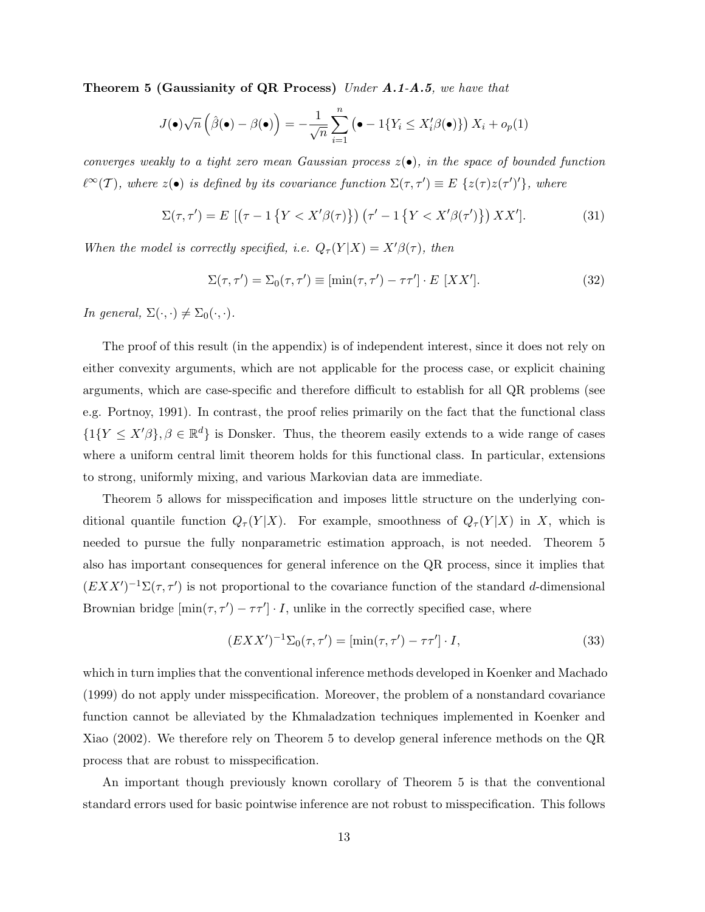Theorem 5 (Gaussianity of QR Process) Under A.1-A.5, we have that

$$
J(\bullet)\sqrt{n}\left(\hat{\beta}(\bullet)-\beta(\bullet)\right)=-\frac{1}{\sqrt{n}}\sum_{i=1}^n\left(\bullet-1\{Y_i\leq X_i'\beta(\bullet)\}\right)X_i+o_p(1)
$$

converges weakly to a tight zero mean Gaussian process  $z(\bullet)$ , in the space of bounded function  $\ell^{\infty}(\mathcal{T})$ , where  $z(\bullet)$  is defined by its covariance function  $\Sigma(\tau, \tau') \equiv E \{z(\tau)z(\tau')'\}$ , where

$$
\Sigma(\tau,\tau') = E\left[\left(\tau - 1\left\{Y < X'\beta(\tau)\right\}\right)\left(\tau' - 1\left\{Y < X'\beta(\tau')\right\}\right)XX'\right].\tag{31}
$$

When the model is correctly specified, i.e.  $Q_{\tau}(Y|X) = X'\beta(\tau)$ , then

$$
\Sigma(\tau, \tau') = \Sigma_0(\tau, \tau') \equiv [\min(\tau, \tau') - \tau \tau'] \cdot E[XX'].
$$
\n(32)

In general,  $\Sigma(\cdot, \cdot) \neq \Sigma_0(\cdot, \cdot)$ .

The proof of this result (in the appendix) is of independent interest, since it does not rely on either convexity arguments, which are not applicable for the process case, or explicit chaining arguments, which are case-specific and therefore difficult to establish for all QR problems (see e.g. Portnoy, 1991). In contrast, the proof relies primarily on the fact that the functional class  $\{1\{Y \leq X'\beta\}, \beta \in \mathbb{R}^d\}$  is Donsker. Thus, the theorem easily extends to a wide range of cases where a uniform central limit theorem holds for this functional class. In particular, extensions to strong, uniformly mixing, and various Markovian data are immediate.

Theorem 5 allows for misspecification and imposes little structure on the underlying conditional quantile function  $Q_{\tau}(Y|X)$ . For example, smoothness of  $Q_{\tau}(Y|X)$  in X, which is needed to pursue the fully nonparametric estimation approach, is not needed. Theorem 5 also has important consequences for general inference on the QR process, since it implies that  $(EXX')^{-1}\Sigma(\tau,\tau')$  is not proportional to the covariance function of the standard d-dimensional Brownian bridge  $[\min(\tau, \tau') - \tau \tau'] \cdot I$ , unlike in the correctly specified case, where

$$
(EXX')^{-1}\Sigma_0(\tau,\tau') = \left[\min(\tau,\tau') - \tau\tau'\right] \cdot I,\tag{33}
$$

which in turn implies that the conventional inference methods developed in Koenker and Machado (1999) do not apply under misspecification. Moreover, the problem of a nonstandard covariance function cannot be alleviated by the Khmaladzation techniques implemented in Koenker and Xiao (2002). We therefore rely on Theorem 5 to develop general inference methods on the QR process that are robust to misspecification.

An important though previously known corollary of Theorem 5 is that the conventional standard errors used for basic pointwise inference are not robust to misspecification. This follows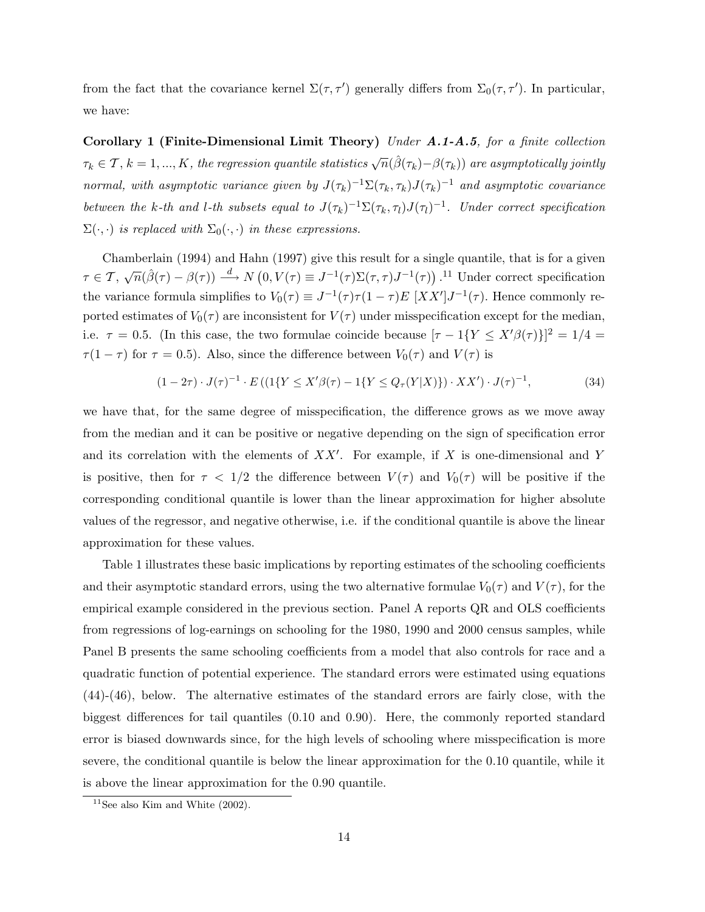from the fact that the covariance kernel  $\Sigma(\tau, \tau')$  generally differs from  $\Sigma_0(\tau, \tau')$ . In particular, we have:

Corollary 1 (Finite-Dimensional Limit Theory) Under A.1-A.5, for a finite collection  $\tau_k \in \mathcal{T}, k = 1, ..., K$ , the regression quantile statistics  $\sqrt{n}(\hat{\beta}(\tau_k)-\beta(\tau_k))$  are asymptotically jointly normal, with asymptotic variance given by  $J(\tau_k)^{-1} \Sigma(\tau_k, \tau_k) J(\tau_k)^{-1}$  and asymptotic covariance between the k-th and l-th subsets equal to  $J(\tau_k)^{-1} \Sigma(\tau_k, \tau_l) J(\tau_l)^{-1}$ . Under correct specification  $\Sigma(\cdot, \cdot)$  is replaced with  $\Sigma_0(\cdot, \cdot)$  in these expressions.

Chamberlain (1994) and Hahn (1997) give this result for a single quantile, that is for a given  $\tau \in \mathcal{T}, \sqrt{n}(\hat{\beta}(\tau) - \beta(\tau)) \stackrel{d}{\longrightarrow} N$  $0, V(\tau) \equiv J^{-1}(\tau)\Sigma(\tau, \tau)J^{-1}(\tau)$ ¢ . <sup>11</sup> Under correct specification the variance formula simplifies to  $V_0(\tau) \equiv J^{-1}(\tau) \tau (1-\tau) E[XX'] J^{-1}(\tau)$ . Hence commonly reported estimates of  $V_0(\tau)$  are inconsistent for  $V(\tau)$  under misspecification except for the median, i.e.  $\tau = 0.5$ . (In this case, the two formulae coincide because  $[\tau - 1\{Y \le X'\beta(\tau)\}]^2 = 1/4$  $\tau(1-\tau)$  for  $\tau = 0.5$ ). Also, since the difference between  $V_0(\tau)$  and  $V(\tau)$  is

$$
(1 - 2\tau) \cdot J(\tau)^{-1} \cdot E((1\{Y \le X'\beta(\tau) - 1\{Y \le Q_{\tau}(Y|X)\}) \cdot XX') \cdot J(\tau)^{-1},
$$
\n(34)

we have that, for the same degree of misspecification, the difference grows as we move away from the median and it can be positive or negative depending on the sign of specification error and its correlation with the elements of  $XX'$ . For example, if X is one-dimensional and Y is positive, then for  $\tau < 1/2$  the difference between  $V(\tau)$  and  $V_0(\tau)$  will be positive if the corresponding conditional quantile is lower than the linear approximation for higher absolute values of the regressor, and negative otherwise, i.e. if the conditional quantile is above the linear approximation for these values.

Table 1 illustrates these basic implications by reporting estimates of the schooling coefficients and their asymptotic standard errors, using the two alternative formulae  $V_0(\tau)$  and  $V(\tau)$ , for the empirical example considered in the previous section. Panel A reports QR and OLS coefficients from regressions of log-earnings on schooling for the 1980, 1990 and 2000 census samples, while Panel B presents the same schooling coefficients from a model that also controls for race and a quadratic function of potential experience. The standard errors were estimated using equations (44)-(46), below. The alternative estimates of the standard errors are fairly close, with the biggest differences for tail quantiles (0.10 and 0.90). Here, the commonly reported standard error is biased downwards since, for the high levels of schooling where misspecification is more severe, the conditional quantile is below the linear approximation for the 0.10 quantile, while it is above the linear approximation for the 0.90 quantile.

<sup>&</sup>lt;sup>11</sup>See also Kim and White  $(2002)$ .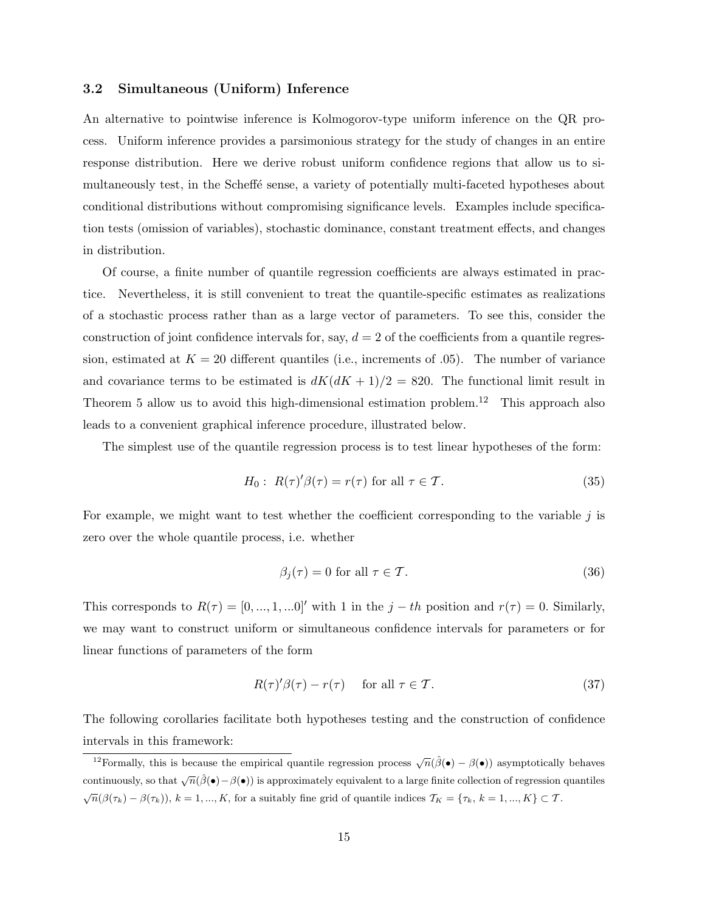#### 3.2 Simultaneous (Uniform) Inference

An alternative to pointwise inference is Kolmogorov-type uniform inference on the QR process. Uniform inference provides a parsimonious strategy for the study of changes in an entire response distribution. Here we derive robust uniform confidence regions that allow us to simultaneously test, in the Scheffe sense, a variety of potentially multi-faceted hypotheses about conditional distributions without compromising significance levels. Examples include specification tests (omission of variables), stochastic dominance, constant treatment effects, and changes in distribution.

Of course, a finite number of quantile regression coefficients are always estimated in practice. Nevertheless, it is still convenient to treat the quantile-specific estimates as realizations of a stochastic process rather than as a large vector of parameters. To see this, consider the construction of joint confidence intervals for, say,  $d = 2$  of the coefficients from a quantile regression, estimated at  $K = 20$  different quantiles (i.e., increments of 0.05). The number of variance and covariance terms to be estimated is  $dK(dK + 1)/2 = 820$ . The functional limit result in Theorem 5 allow us to avoid this high-dimensional estimation problem.<sup>12</sup> This approach also leads to a convenient graphical inference procedure, illustrated below.

The simplest use of the quantile regression process is to test linear hypotheses of the form:

$$
H_0: R(\tau)'\beta(\tau) = r(\tau) \text{ for all } \tau \in \mathcal{T}.
$$
 (35)

For example, we might want to test whether the coefficient corresponding to the variable  $j$  is zero over the whole quantile process, i.e. whether

$$
\beta_j(\tau) = 0 \text{ for all } \tau \in \mathcal{T}.\tag{36}
$$

This corresponds to  $R(\tau) = [0, ..., 1, ...0]$ ' with 1 in the  $j - th$  position and  $r(\tau) = 0$ . Similarly, we may want to construct uniform or simultaneous confidence intervals for parameters or for linear functions of parameters of the form

$$
R(\tau)'\beta(\tau) - r(\tau) \quad \text{for all } \tau \in \mathcal{T}.\tag{37}
$$

The following corollaries facilitate both hypotheses testing and the construction of confidence intervals in this framework:

<sup>&</sup>lt;sup>12</sup>Formally, this is because the empirical quantile regression process  $\sqrt{n}(\hat{\beta}(\bullet) - \beta(\bullet))$  asymptotically behaves continuously, so that  $\sqrt{n}(\hat{\beta}(\bullet) - \beta(\bullet))$  is approximately equivalent to a large finite collection of regression quantiles  $\sqrt{n}(\beta(\tau_k) - \beta(\tau_k))$ ,  $k = 1, ..., K$ , for a suitably fine grid of quantile indices  $\mathcal{T}_K = \{\tau_k, k = 1, ..., K\} \subset \mathcal{T}$ .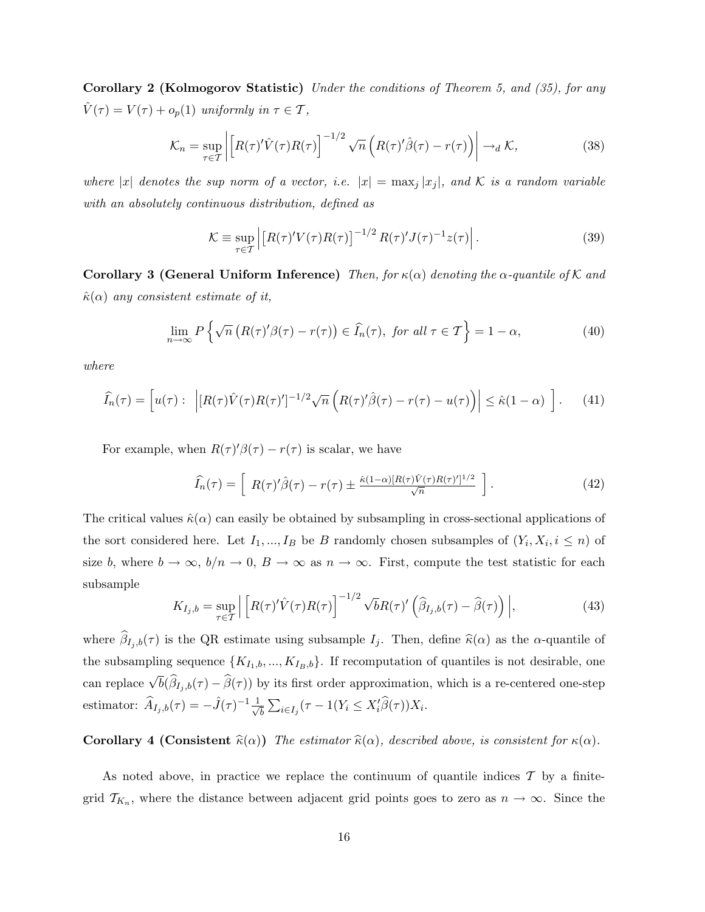Corollary 2 (Kolmogorov Statistic) Under the conditions of Theorem 5, and (35), for any  $\hat{V}(\tau) = V(\tau) + o_p(1)$  uniformly in  $\tau \in \mathcal{T}$ ,

$$
\mathcal{K}_n = \sup_{\tau \in \mathcal{T}} \left| \left[ R(\tau)' \hat{V}(\tau) R(\tau) \right]^{-1/2} \sqrt{n} \left( R(\tau)' \hat{\beta}(\tau) - r(\tau) \right) \right| \to_d \mathcal{K}, \tag{38}
$$

where |x| denotes the sup norm of a vector, i.e.  $|x| = \max_j |x_j|$ , and K is a random variable with an absolutely continuous distribution, defined as

$$
\mathcal{K} \equiv \sup_{\tau \in \mathcal{T}} \left| \left[ R(\tau)' V(\tau) R(\tau) \right]^{-1/2} R(\tau)' J(\tau)^{-1} z(\tau) \right|.
$$
 (39)

Corollary 3 (General Uniform Inference) Then, for  $\kappa(\alpha)$  denoting the  $\alpha$ -quantile of K and  $\hat{\kappa}(\alpha)$  any consistent estimate of it,

$$
\lim_{n \to \infty} P\left\{\sqrt{n}\left(R(\tau)'\beta(\tau) - r(\tau)\right) \in \widehat{I}_n(\tau), \text{ for all } \tau \in \mathcal{T}\right\} = 1 - \alpha,\tag{40}
$$

where

$$
\widehat{I}_n(\tau) = \left[ u(\tau) : \left| \left[ R(\tau) \widehat{V}(\tau) R(\tau)' \right]^{-1/2} \sqrt{n} \left( R(\tau)' \widehat{\beta}(\tau) - r(\tau) - u(\tau) \right) \right| \leq \widehat{\kappa}(1 - \alpha) \right]. \tag{41}
$$

For example, when  $R(\tau)'\beta(\tau) - r(\tau)$  is scalar, we have

$$
\widehat{I}_n(\tau) = \left[ R(\tau)'\widehat{\beta}(\tau) - r(\tau) \pm \frac{\widehat{\kappa}(1-\alpha)[R(\tau)\widehat{V}(\tau)R(\tau)]^{1/2}}{\sqrt{n}} \right]. \tag{42}
$$

The critical values  $\hat{\kappa}(\alpha)$  can easily be obtained by subsampling in cross-sectional applications of the sort considered here. Let  $I_1, ..., I_B$  be B randomly chosen subsamples of  $(Y_i, X_i, i \leq n)$  of size b, where  $b \to \infty$ ,  $b/n \to 0$ ,  $B \to \infty$  as  $n \to \infty$ . First, compute the test statistic for each subsample

$$
K_{I_j,b} = \sup_{\tau \in \mathcal{T}} \left| \left[ R(\tau)' \hat{V}(\tau) R(\tau) \right]^{-1/2} \sqrt{b} R(\tau)' \left( \hat{\beta}_{I_j,b}(\tau) - \hat{\beta}(\tau) \right) \right|, \tag{43}
$$

where  $\widehat{\beta}_{I_j,b}(\tau)$  is the QR estimate using subsample  $I_j$ . Then, define  $\widehat{\kappa}(\alpha)$  as the  $\alpha$ -quantile of the subsampling sequence  $\{K_{I_1,b}, ..., K_{I_B,b}\}$ . If recomputation of quantiles is not desirable, one can replace  $\sqrt{b}(\widehat{\beta}_{I_j,b}(\tau) - \widehat{\beta}(\tau))$  by its first order approximation, which is a re-centered one-step estimator:  $\widehat{A}_{I_j,b}(\tau) = -\widehat{J}(\tau)^{-1} \frac{1}{\sqrt{2}}$ b  $\overline{ }$  $_{i\in I_j}(\tau-1(Y_i\leq X_i'\widehat{\beta}(\tau))X_i.$ 

**Corollary 4 (Consistent**  $\hat{\kappa}(\alpha)$ ) The estimator  $\hat{\kappa}(\alpha)$ , described above, is consistent for  $\kappa(\alpha)$ .

As noted above, in practice we replace the continuum of quantile indices  $\mathcal T$  by a finitegrid  $\mathcal{T}_{K_n}$ , where the distance between adjacent grid points goes to zero as  $n \to \infty$ . Since the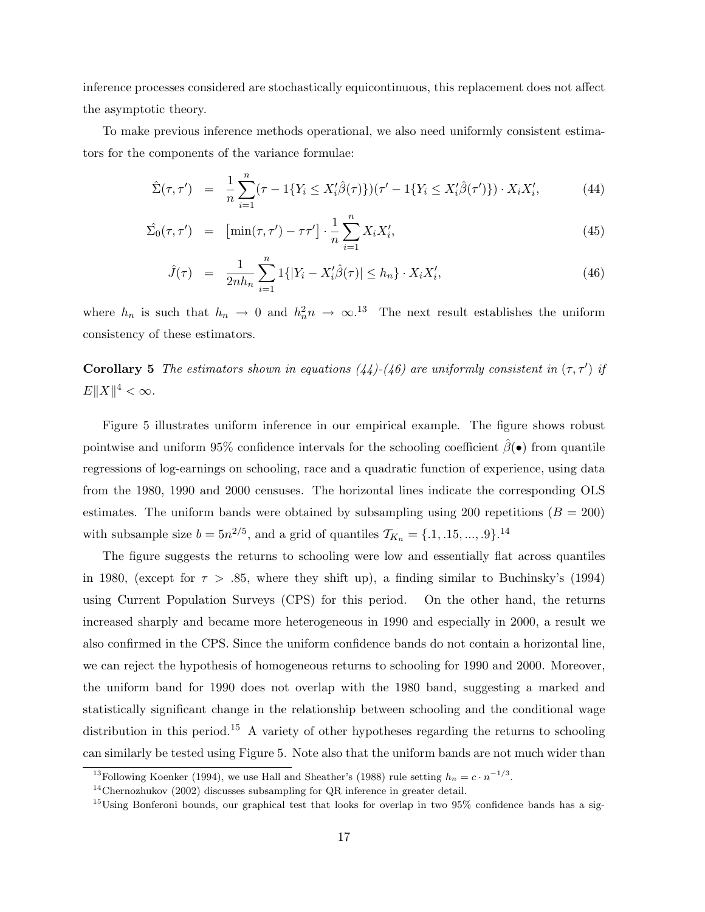inference processes considered are stochastically equicontinuous, this replacement does not affect the asymptotic theory.

To make previous inference methods operational, we also need uniformly consistent estimators for the components of the variance formulae:

$$
\hat{\Sigma}(\tau,\tau') = \frac{1}{n} \sum_{i=1}^{n} (\tau - 1\{Y_i \le X_i'\hat{\beta}(\tau)\}) (\tau' - 1\{Y_i \le X_i'\hat{\beta}(\tau')\}) \cdot X_i X_i', \tag{44}
$$

$$
\hat{\Sigma_0}(\tau, \tau') = \left[ \min(\tau, \tau') - \tau \tau' \right] \cdot \frac{1}{n} \sum_{i=1}^n X_i X_i', \tag{45}
$$

$$
\hat{J}(\tau) = \frac{1}{2nh_n} \sum_{i=1}^{n} 1\{|Y_i - X'_i\hat{\beta}(\tau)| \le h_n\} \cdot X_i X'_i,
$$
\n(46)

where  $h_n$  is such that  $h_n \to 0$  and  $h_n^2 n \to \infty$ .<sup>13</sup> The next result establishes the uniform consistency of these estimators.

**Corollary 5** The estimators shown in equations (44)-(46) are uniformly consistent in  $(\tau, \tau')$  if  $E||X||^4 < \infty$ .

Figure 5 illustrates uniform inference in our empirical example. The figure shows robust pointwise and uniform 95% confidence intervals for the schooling coefficient  $\hat{\beta}(\bullet)$  from quantile regressions of log-earnings on schooling, race and a quadratic function of experience, using data from the 1980, 1990 and 2000 censuses. The horizontal lines indicate the corresponding OLS estimates. The uniform bands were obtained by subsampling using 200 repetitions ( $B = 200$ ) with subsample size  $b = 5n^{2/5}$ , and a grid of quantiles  $T_{K_n} = \{.1, .15, ..., .9\}.^{14}$ 

The figure suggests the returns to schooling were low and essentially flat across quantiles in 1980, (except for  $\tau > .85$ , where they shift up), a finding similar to Buchinsky's (1994) using Current Population Surveys (CPS) for this period. On the other hand, the returns increased sharply and became more heterogeneous in 1990 and especially in 2000, a result we also confirmed in the CPS. Since the uniform confidence bands do not contain a horizontal line, we can reject the hypothesis of homogeneous returns to schooling for 1990 and 2000. Moreover, the uniform band for 1990 does not overlap with the 1980 band, suggesting a marked and statistically significant change in the relationship between schooling and the conditional wage distribution in this period.<sup>15</sup> A variety of other hypotheses regarding the returns to schooling can similarly be tested using Figure 5. Note also that the uniform bands are not much wider than

<sup>&</sup>lt;sup>13</sup>Following Koenker (1994), we use Hall and Sheather's (1988) rule setting  $h_n = c \cdot n^{-1/3}$ .

 $14$ Chernozhukov (2002) discusses subsampling for QR inference in greater detail.

<sup>&</sup>lt;sup>15</sup>Using Bonferoni bounds, our graphical test that looks for overlap in two 95% confidence bands has a sig-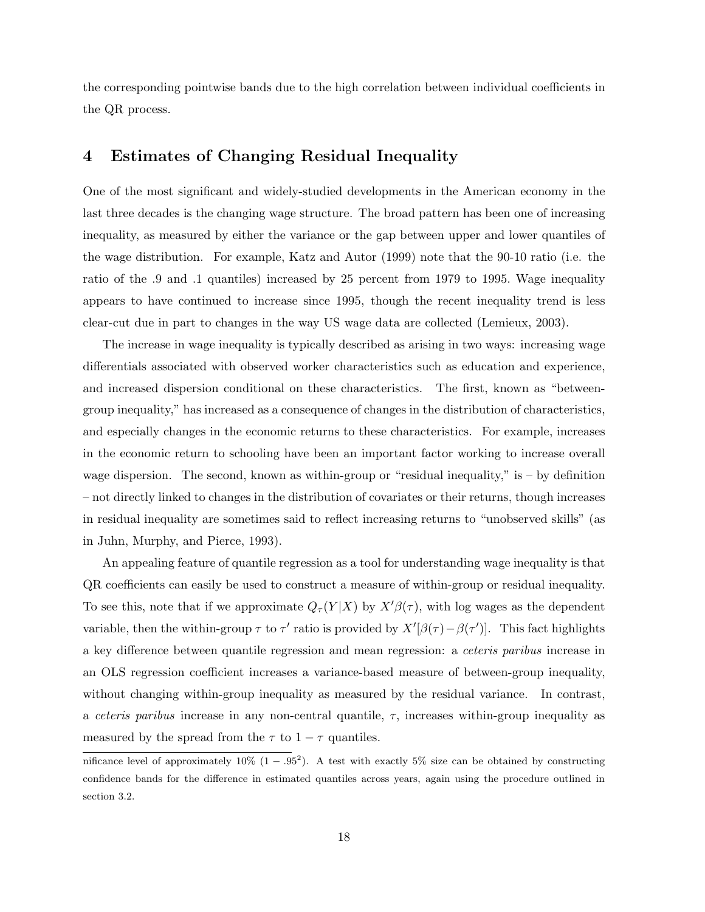the corresponding pointwise bands due to the high correlation between individual coefficients in the QR process.

### 4 Estimates of Changing Residual Inequality

One of the most significant and widely-studied developments in the American economy in the last three decades is the changing wage structure. The broad pattern has been one of increasing inequality, as measured by either the variance or the gap between upper and lower quantiles of the wage distribution. For example, Katz and Autor (1999) note that the 90-10 ratio (i.e. the ratio of the .9 and .1 quantiles) increased by 25 percent from 1979 to 1995. Wage inequality appears to have continued to increase since 1995, though the recent inequality trend is less clear-cut due in part to changes in the way US wage data are collected (Lemieux, 2003).

The increase in wage inequality is typically described as arising in two ways: increasing wage differentials associated with observed worker characteristics such as education and experience, and increased dispersion conditional on these characteristics. The first, known as "betweengroup inequality," has increased as a consequence of changes in the distribution of characteristics, and especially changes in the economic returns to these characteristics. For example, increases in the economic return to schooling have been an important factor working to increase overall wage dispersion. The second, known as within-group or "residual inequality," is  $-$  by definition – not directly linked to changes in the distribution of covariates or their returns, though increases in residual inequality are sometimes said to reflect increasing returns to "unobserved skills" (as in Juhn, Murphy, and Pierce, 1993).

An appealing feature of quantile regression as a tool for understanding wage inequality is that QR coefficients can easily be used to construct a measure of within-group or residual inequality. To see this, note that if we approximate  $Q_{\tau}(Y|X)$  by  $X'\beta(\tau)$ , with log wages as the dependent variable, then the within-group  $\tau$  to  $\tau'$  ratio is provided by  $X'[\beta(\tau) - \beta(\tau')]$ . This fact highlights a key difference between quantile regression and mean regression: a ceteris paribus increase in an OLS regression coefficient increases a variance-based measure of between-group inequality, without changing within-group inequality as measured by the residual variance. In contrast, a ceteris paribus increase in any non-central quantile,  $\tau$ , increases within-group inequality as measured by the spread from the  $\tau$  to  $1 - \tau$  quantiles.

nificance level of approximately  $10\%$   $(1-.95^2)$ . A test with exactly 5% size can be obtained by constructing confidence bands for the difference in estimated quantiles across years, again using the procedure outlined in section 3.2.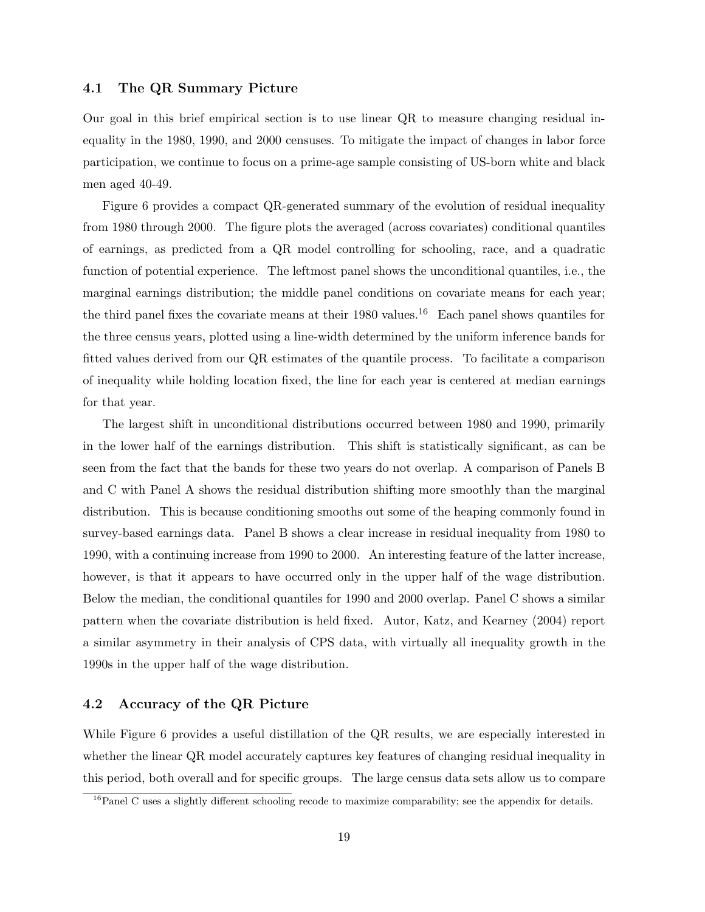#### 4.1 The QR Summary Picture

Our goal in this brief empirical section is to use linear QR to measure changing residual inequality in the 1980, 1990, and 2000 censuses. To mitigate the impact of changes in labor force participation, we continue to focus on a prime-age sample consisting of US-born white and black men aged 40-49.

Figure 6 provides a compact QR-generated summary of the evolution of residual inequality from 1980 through 2000. The figure plots the averaged (across covariates) conditional quantiles of earnings, as predicted from a QR model controlling for schooling, race, and a quadratic function of potential experience. The leftmost panel shows the unconditional quantiles, i.e., the marginal earnings distribution; the middle panel conditions on covariate means for each year; the third panel fixes the covariate means at their 1980 values.<sup>16</sup> Each panel shows quantiles for the three census years, plotted using a line-width determined by the uniform inference bands for fitted values derived from our QR estimates of the quantile process. To facilitate a comparison of inequality while holding location fixed, the line for each year is centered at median earnings for that year.

The largest shift in unconditional distributions occurred between 1980 and 1990, primarily in the lower half of the earnings distribution. This shift is statistically significant, as can be seen from the fact that the bands for these two years do not overlap. A comparison of Panels B and C with Panel A shows the residual distribution shifting more smoothly than the marginal distribution. This is because conditioning smooths out some of the heaping commonly found in survey-based earnings data. Panel B shows a clear increase in residual inequality from 1980 to 1990, with a continuing increase from 1990 to 2000. An interesting feature of the latter increase, however, is that it appears to have occurred only in the upper half of the wage distribution. Below the median, the conditional quantiles for 1990 and 2000 overlap. Panel C shows a similar pattern when the covariate distribution is held fixed. Autor, Katz, and Kearney (2004) report a similar asymmetry in their analysis of CPS data, with virtually all inequality growth in the 1990s in the upper half of the wage distribution.

#### 4.2 Accuracy of the QR Picture

While Figure 6 provides a useful distillation of the QR results, we are especially interested in whether the linear QR model accurately captures key features of changing residual inequality in this period, both overall and for specific groups. The large census data sets allow us to compare

<sup>&</sup>lt;sup>16</sup>Panel C uses a slightly different schooling recode to maximize comparability; see the appendix for details.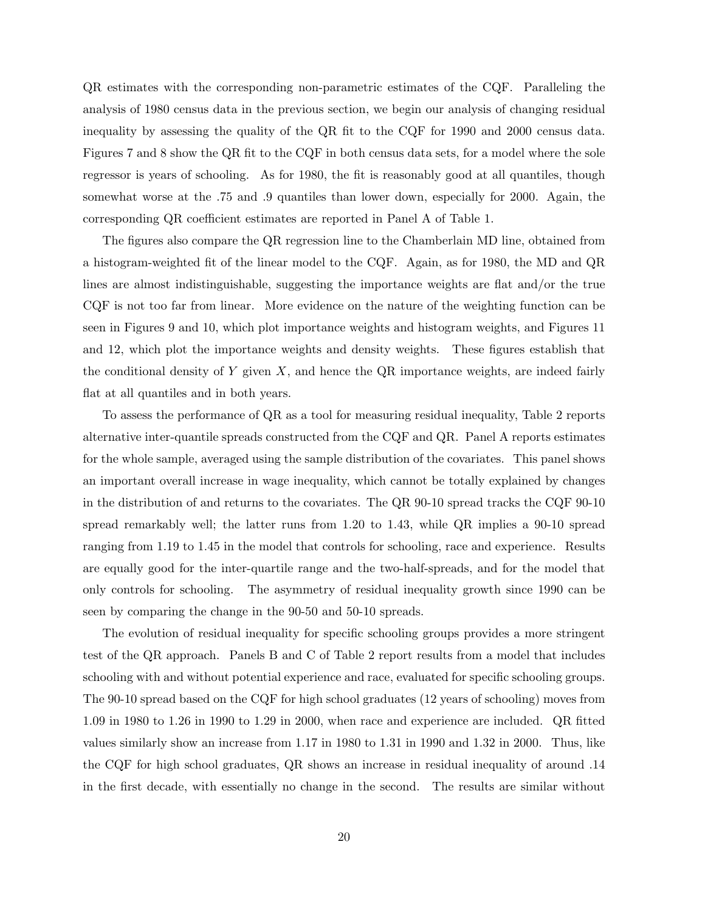QR estimates with the corresponding non-parametric estimates of the CQF. Paralleling the analysis of 1980 census data in the previous section, we begin our analysis of changing residual inequality by assessing the quality of the QR fit to the CQF for 1990 and 2000 census data. Figures 7 and 8 show the QR fit to the CQF in both census data sets, for a model where the sole regressor is years of schooling. As for 1980, the fit is reasonably good at all quantiles, though somewhat worse at the .75 and .9 quantiles than lower down, especially for 2000. Again, the corresponding QR coefficient estimates are reported in Panel A of Table 1.

The figures also compare the QR regression line to the Chamberlain MD line, obtained from a histogram-weighted fit of the linear model to the CQF. Again, as for 1980, the MD and QR lines are almost indistinguishable, suggesting the importance weights are flat and/or the true CQF is not too far from linear. More evidence on the nature of the weighting function can be seen in Figures 9 and 10, which plot importance weights and histogram weights, and Figures 11 and 12, which plot the importance weights and density weights. These figures establish that the conditional density of Y given  $X$ , and hence the QR importance weights, are indeed fairly flat at all quantiles and in both years.

To assess the performance of QR as a tool for measuring residual inequality, Table 2 reports alternative inter-quantile spreads constructed from the CQF and QR. Panel A reports estimates for the whole sample, averaged using the sample distribution of the covariates. This panel shows an important overall increase in wage inequality, which cannot be totally explained by changes in the distribution of and returns to the covariates. The QR 90-10 spread tracks the CQF 90-10 spread remarkably well; the latter runs from 1.20 to 1.43, while QR implies a 90-10 spread ranging from 1.19 to 1.45 in the model that controls for schooling, race and experience. Results are equally good for the inter-quartile range and the two-half-spreads, and for the model that only controls for schooling. The asymmetry of residual inequality growth since 1990 can be seen by comparing the change in the 90-50 and 50-10 spreads.

The evolution of residual inequality for specific schooling groups provides a more stringent test of the QR approach. Panels B and C of Table 2 report results from a model that includes schooling with and without potential experience and race, evaluated for specific schooling groups. The 90-10 spread based on the CQF for high school graduates (12 years of schooling) moves from 1.09 in 1980 to 1.26 in 1990 to 1.29 in 2000, when race and experience are included. QR fitted values similarly show an increase from 1.17 in 1980 to 1.31 in 1990 and 1.32 in 2000. Thus, like the CQF for high school graduates, QR shows an increase in residual inequality of around .14 in the first decade, with essentially no change in the second. The results are similar without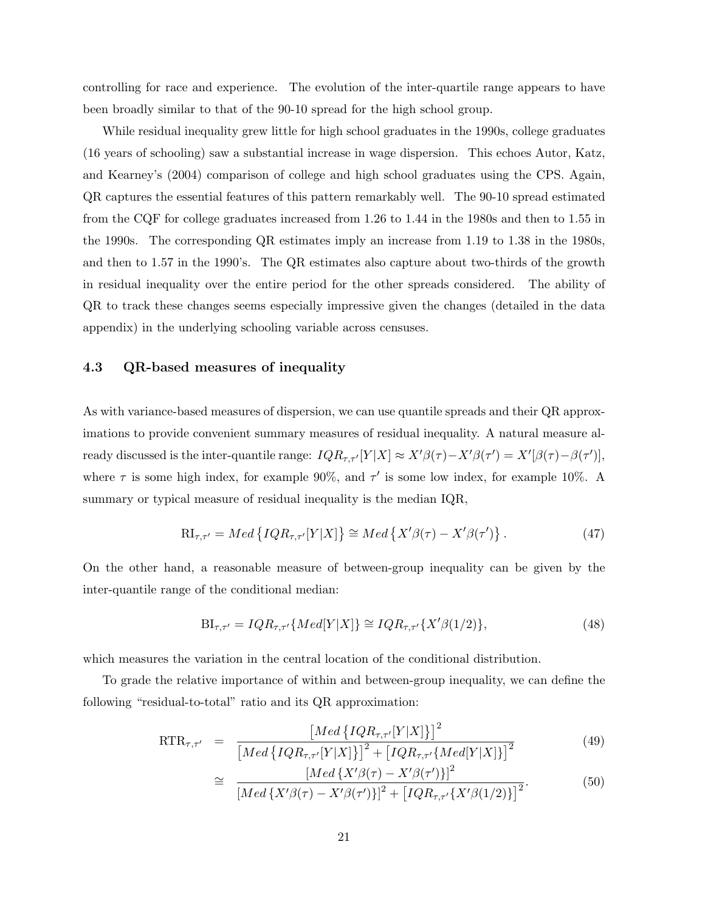controlling for race and experience. The evolution of the inter-quartile range appears to have been broadly similar to that of the 90-10 spread for the high school group.

While residual inequality grew little for high school graduates in the 1990s, college graduates (16 years of schooling) saw a substantial increase in wage dispersion. This echoes Autor, Katz, and Kearney's (2004) comparison of college and high school graduates using the CPS. Again, QR captures the essential features of this pattern remarkably well. The 90-10 spread estimated from the CQF for college graduates increased from 1.26 to 1.44 in the 1980s and then to 1.55 in the 1990s. The corresponding QR estimates imply an increase from 1.19 to 1.38 in the 1980s, and then to 1.57 in the 1990's. The QR estimates also capture about two-thirds of the growth in residual inequality over the entire period for the other spreads considered. The ability of QR to track these changes seems especially impressive given the changes (detailed in the data appendix) in the underlying schooling variable across censuses.

#### 4.3 QR-based measures of inequality

As with variance-based measures of dispersion, we can use quantile spreads and their QR approximations to provide convenient summary measures of residual inequality. A natural measure already discussed is the inter-quantile range:  $IQR_{\tau,\tau'}[Y|X] \approx X'\beta(\tau) - X'\beta(\tau') = X'[\beta(\tau) - \beta(\tau')],$ where  $\tau$  is some high index, for example 90%, and  $\tau'$  is some low index, for example 10%. A summary or typical measure of residual inequality is the median IQR,

$$
RI_{\tau,\tau'} = Med\{IQR_{\tau,\tau'}[Y|X]\} \cong Med\{X'\beta(\tau) - X'\beta(\tau')\}.
$$
 (47)

On the other hand, a reasonable measure of between-group inequality can be given by the inter-quantile range of the conditional median:

$$
BI_{\tau,\tau'} = IQR_{\tau,\tau'}\{Med[Y|X]\} \cong IQR_{\tau,\tau'}\{X'\beta(1/2)\},\tag{48}
$$

which measures the variation in the central location of the conditional distribution.

To grade the relative importance of within and between-group inequality, we can define the following "residual-to-total" ratio and its QR approximation:

$$
RTR_{\tau,\tau'} = \frac{\left[Med\left\{IQR_{\tau,\tau'}[Y|X]\right\}\right]^2}{\left[Med\left\{IQR_{\tau,\tau'}[Y|X]\right\}\right]^2 + \left[IQR_{\tau,\tau'}\left\{Med[Y|X]\right\}\right]^2}
$$
(49)

$$
\cong \frac{[Med\{X'\beta(\tau) - X'\beta(\tau')\}]^{2}}{[Med\{X'\beta(\tau) - X'\beta(\tau')\}]^{2} + [IQR_{\tau,\tau'}\{X'\beta(1/2)\}]^{2}}.
$$
\n(50)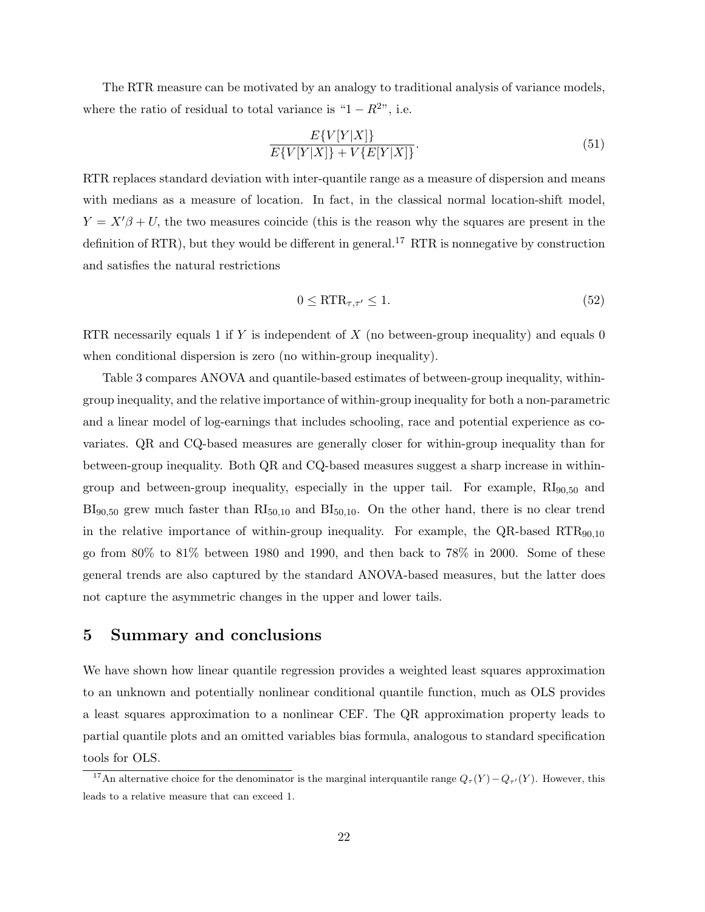The RTR measure can be motivated by an analogy to traditional analysis of variance models, where the ratio of residual to total variance is " $1 - R^{2n}$ , i.e.

$$
\frac{E\{V[Y|X]\}}{E\{V[Y|X]\} + V\{E[Y|X]\}}.\tag{51}
$$

RTR replaces standard deviation with inter-quantile range as a measure of dispersion and means with medians as a measure of location. In fact, in the classical normal location-shift model,  $Y = X'\beta + U$ , the two measures coincide (this is the reason why the squares are present in the definition of RTR), but they would be different in general.<sup>17</sup> RTR is nonnegative by construction and satisfies the natural restrictions

$$
0 \le \text{RTR}_{\tau,\tau'} \le 1. \tag{52}
$$

RTR necessarily equals 1 if Y is independent of  $X$  (no between-group inequality) and equals 0 when conditional dispersion is zero (no within-group inequality).

Table 3 compares ANOVA and quantile-based estimates of between-group inequality, withingroup inequality, and the relative importance of within-group inequality for both a non-parametric and a linear model of log-earnings that includes schooling, race and potential experience as covariates. QR and CQ-based measures are generally closer for within-group inequality than for between-group inequality. Both QR and CQ-based measures suggest a sharp increase in withingroup and between-group inequality, especially in the upper tail. For example,  $R_{90,50}$  and  $BI_{90,50}$  grew much faster than  $RI_{50,10}$  and  $BI_{50,10}$ . On the other hand, there is no clear trend in the relative importance of within-group inequality. For example, the  $QR$ -based  $\text{RTR}_{90,10}$ go from 80% to 81% between 1980 and 1990, and then back to 78% in 2000. Some of these general trends are also captured by the standard ANOVA-based measures, but the latter does not capture the asymmetric changes in the upper and lower tails.

### 5 Summary and conclusions

We have shown how linear quantile regression provides a weighted least squares approximation to an unknown and potentially nonlinear conditional quantile function, much as OLS provides a least squares approximation to a nonlinear CEF. The QR approximation property leads to partial quantile plots and an omitted variables bias formula, analogous to standard specification tools for OLS.

<sup>&</sup>lt;sup>17</sup>An alternative choice for the denominator is the marginal interquantile range  $Q_{\tau}(Y) - Q_{\tau'}(Y)$ . However, this leads to a relative measure that can exceed 1.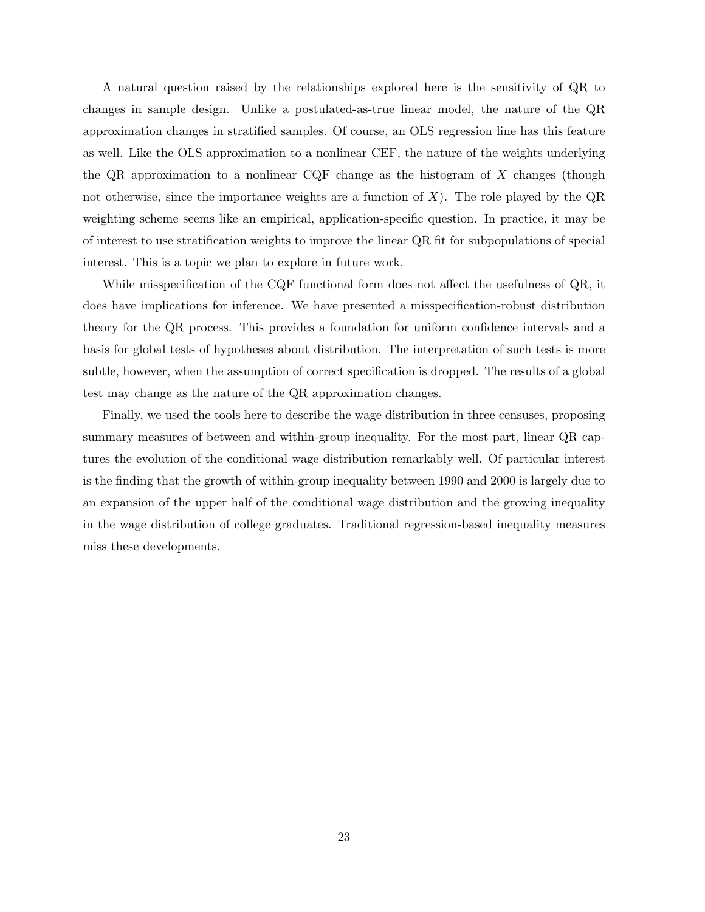A natural question raised by the relationships explored here is the sensitivity of QR to changes in sample design. Unlike a postulated-as-true linear model, the nature of the QR approximation changes in stratified samples. Of course, an OLS regression line has this feature as well. Like the OLS approximation to a nonlinear CEF, the nature of the weights underlying the QR approximation to a nonlinear  $CQF$  change as the histogram of X changes (though not otherwise, since the importance weights are a function of  $X$ ). The role played by the  $QR$ weighting scheme seems like an empirical, application-specific question. In practice, it may be of interest to use stratification weights to improve the linear QR fit for subpopulations of special interest. This is a topic we plan to explore in future work.

While misspecification of the CQF functional form does not affect the usefulness of QR, it does have implications for inference. We have presented a misspecification-robust distribution theory for the QR process. This provides a foundation for uniform confidence intervals and a basis for global tests of hypotheses about distribution. The interpretation of such tests is more subtle, however, when the assumption of correct specification is dropped. The results of a global test may change as the nature of the QR approximation changes.

Finally, we used the tools here to describe the wage distribution in three censuses, proposing summary measures of between and within-group inequality. For the most part, linear QR captures the evolution of the conditional wage distribution remarkably well. Of particular interest is the finding that the growth of within-group inequality between 1990 and 2000 is largely due to an expansion of the upper half of the conditional wage distribution and the growing inequality in the wage distribution of college graduates. Traditional regression-based inequality measures miss these developments.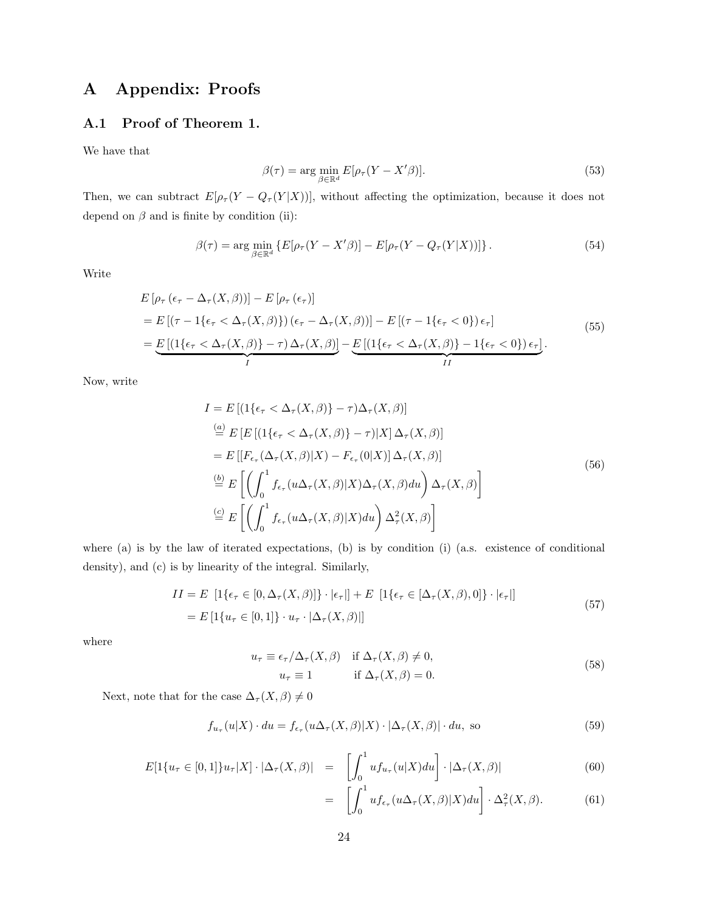# A Appendix: Proofs

### A.1 Proof of Theorem 1.

We have that

$$
\beta(\tau) = \arg\min_{\beta \in \mathbb{R}^d} E[\rho_\tau(Y - X'\beta)].\tag{53}
$$

Then, we can subtract  $E[\rho_{\tau}(Y - Q_{\tau}(Y|X))]$ , without affecting the optimization, because it does not depend on  $\beta$  and is finite by condition (ii):

$$
\beta(\tau) = \arg \min_{\beta \in \mathbb{R}^d} \left\{ E[\rho_\tau(Y - X'\beta)] - E[\rho_\tau(Y - Q_\tau(Y|X))] \right\}.
$$
\n(54)

Write

$$
E\left[\rho_{\tau}\left(\epsilon_{\tau}-\Delta_{\tau}(X,\beta)\right)\right]-E\left[\rho_{\tau}\left(\epsilon_{\tau}\right)\right]
$$
\n
$$
=E\left[\left(\tau-1\{\epsilon_{\tau}<\Delta_{\tau}(X,\beta)\}\right)\left(\epsilon_{\tau}-\Delta_{\tau}(X,\beta)\right)\right]-E\left[\left(\tau-1\{\epsilon_{\tau}<0\}\right)\epsilon_{\tau}\right]
$$
\n
$$
=\underbrace{E\left[\left(1\{\epsilon_{\tau}<\Delta_{\tau}(X,\beta)\}-\tau\right)\Delta_{\tau}(X,\beta)\right]}_{I}-\underbrace{E\left[\left(1\{\epsilon_{\tau}<\Delta_{\tau}(X,\beta)\}-1\{\epsilon_{\tau}<0\}\right)\epsilon_{\tau}\right]}_{II}.\tag{55}
$$

Now, write

$$
I = E\left[\left(1\{\epsilon_{\tau} < \Delta_{\tau}(X,\beta)\} - \tau\right)\Delta_{\tau}(X,\beta)\right]
$$
\n
$$
\stackrel{(a)}{=} E\left[E\left[\left(1\{\epsilon_{\tau} < \Delta_{\tau}(X,\beta)\} - \tau\right)|X\right]\Delta_{\tau}(X,\beta)\right]
$$
\n
$$
= E\left[\left[F_{\epsilon_{\tau}}(\Delta_{\tau}(X,\beta)|X) - F_{\epsilon_{\tau}}(0|X)\right]\Delta_{\tau}(X,\beta)\right]
$$
\n
$$
\stackrel{(b)}{=} E\left[\left(\int_0^1 f_{\epsilon_{\tau}}(u\Delta_{\tau}(X,\beta)|X)\Delta_{\tau}(X,\beta)du\right)\Delta_{\tau}(X,\beta)\right]
$$
\n
$$
\stackrel{(c)}{=} E\left[\left(\int_0^1 f_{\epsilon_{\tau}}(u\Delta_{\tau}(X,\beta)|X)du\right)\Delta_{\tau}^2(X,\beta)\right]
$$
\n
$$
(56)
$$

where (a) is by the law of iterated expectations, (b) is by condition (i) (a.s. existence of conditional density), and (c) is by linearity of the integral. Similarly,

$$
II = E \left[ 1\{\epsilon_\tau \in [0, \Delta_\tau(X, \beta)]\} \cdot |\epsilon_\tau| \right] + E \left[ 1\{\epsilon_\tau \in [\Delta_\tau(X, \beta), 0]\} \cdot |\epsilon_\tau| \right]
$$
  
= 
$$
E \left[ 1\{u_\tau \in [0, 1]\} \cdot u_\tau \cdot |\Delta_\tau(X, \beta)| \right]
$$
 (57)

where

$$
u_{\tau} \equiv \epsilon_{\tau} / \Delta_{\tau}(X,\beta) \quad \text{if } \Delta_{\tau}(X,\beta) \neq 0,
$$
  

$$
u_{\tau} \equiv 1 \qquad \text{if } \Delta_{\tau}(X,\beta) = 0.
$$
 (58)

Next, note that for the case  $\Delta_\tau(X,\beta)\neq 0$ 

$$
f_{u_{\tau}}(u|X) \cdot du = f_{\epsilon_{\tau}}(u\Delta_{\tau}(X,\beta)|X) \cdot |\Delta_{\tau}(X,\beta)| \cdot du, \text{ so}
$$
 (59)

$$
E[1\{u_\tau \in [0,1]\}u_\tau|X] \cdot |\Delta_\tau(X,\beta)| = \left[\int_0^1 uf_{u_\tau}(u|X)du\right] \cdot |\Delta_\tau(X,\beta)| \tag{60}
$$

$$
= \left[ \int_0^1 u f_{\epsilon_\tau}(u \Delta_\tau(X, \beta) | X) du \right] \cdot \Delta_\tau^2(X, \beta).
$$
 (61)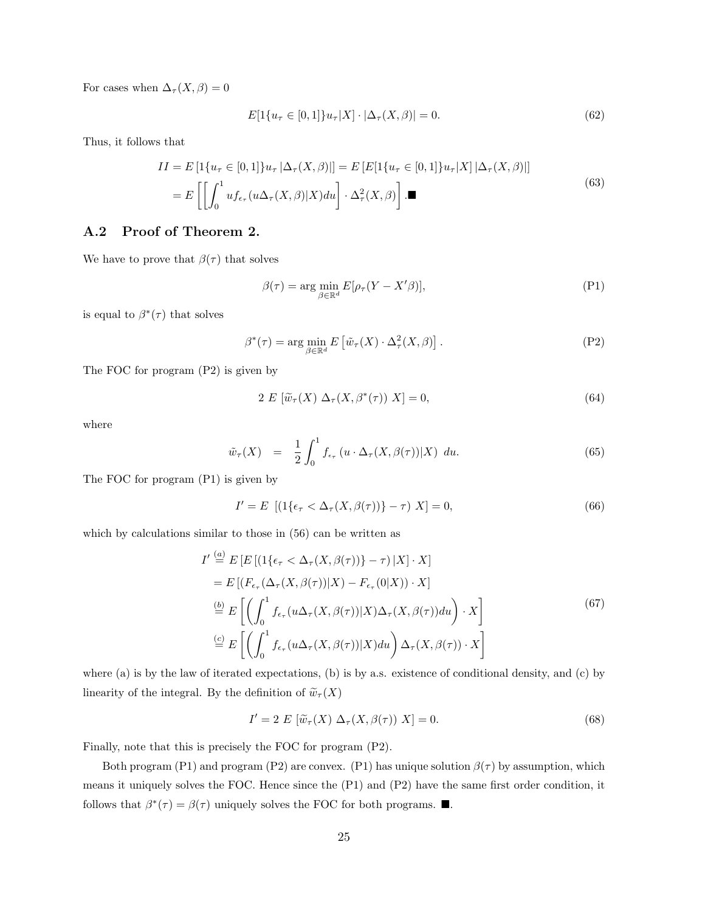For cases when  $\Delta_{\tau}(X,\beta) = 0$ 

$$
E[1\{u_{\tau} \in [0,1]\}u_{\tau}|X] \cdot |\Delta_{\tau}(X,\beta)| = 0. \tag{62}
$$

Thus, it follows that

$$
II = E\left[\left\{u_{\tau} \in [0,1]\right\} u_{\tau} |\Delta_{\tau}(X,\beta)|\right] = E\left[E\left[\left\{u_{\tau} \in [0,1]\right\} u_{\tau}|X\right] |\Delta_{\tau}(X,\beta)|\right]
$$

$$
= E\left[\left[\int_0^1 u f_{\epsilon_{\tau}}(u\Delta_{\tau}(X,\beta)|X) du\right] \cdot \Delta_{\tau}^2(X,\beta)\right].\blacksquare
$$
(63)

### A.2 Proof of Theorem 2.

We have to prove that  $\beta(\tau)$  that solves

$$
\beta(\tau) = \arg\min_{\beta \in \mathbb{R}^d} E[\rho_\tau(Y - X'\beta)],\tag{P1}
$$

is equal to  $\beta^*(\tau)$  that solves

$$
\beta^*(\tau) = \arg\min_{\beta \in \mathbb{R}^d} E\left[\tilde{w}_\tau(X) \cdot \Delta_\tau^2(X, \beta)\right].
$$
 (P2)

The FOC for program (P2) is given by

$$
2 E \left[ \widetilde{w}_{\tau}(X) \ \Delta_{\tau}(X, \beta^*(\tau)) \ X \right] = 0, \tag{64}
$$

where

$$
\tilde{w}_{\tau}(X) = \frac{1}{2} \int_0^1 f_{\epsilon_{\tau}} \left( u \cdot \Delta_{\tau}(X, \beta(\tau)) | X \right) \, du. \tag{65}
$$

The FOC for program (P1) is given by

$$
I' = E \left[ \left( 1\{\epsilon_\tau < \Delta_\tau(X, \beta(\tau))\} - \tau \right) X \right] = 0,\tag{66}
$$

which by calculations similar to those in (56) can be written as

$$
I' \stackrel{(a)}{=} E \left[ E \left[ \left( 1\{\epsilon_{\tau} < \Delta_{\tau}(X, \beta(\tau))\} - \tau \right) | X \right] \cdot X \right]
$$
\n
$$
= E \left[ \left( F_{\epsilon_{\tau}}(\Delta_{\tau}(X, \beta(\tau)) | X) - F_{\epsilon_{\tau}}(0 | X) \right) \cdot X \right]
$$
\n
$$
\stackrel{(b)}{=} E \left[ \left( \int_0^1 f_{\epsilon_{\tau}}(u \Delta_{\tau}(X, \beta(\tau)) | X) \Delta_{\tau}(X, \beta(\tau)) du \right) \cdot X \right]
$$
\n
$$
\stackrel{(c)}{=} E \left[ \left( \int_0^1 f_{\epsilon_{\tau}}(u \Delta_{\tau}(X, \beta(\tau)) | X) du \right) \Delta_{\tau}(X, \beta(\tau)) \cdot X \right]
$$
\n
$$
(67)
$$

where (a) is by the law of iterated expectations, (b) is by a.s. existence of conditional density, and (c) by linearity of the integral. By the definition of  $\widetilde{w}_{\tau}(X)$ 

$$
I' = 2 E \left[ \tilde{w}_{\tau}(X) \Delta_{\tau}(X, \beta(\tau)) X \right] = 0.
$$
\n(68)

Finally, note that this is precisely the FOC for program (P2).

Both program (P1) and program (P2) are convex. (P1) has unique solution  $\beta(\tau)$  by assumption, which means it uniquely solves the FOC. Hence since the (P1) and (P2) have the same first order condition, it follows that  $\beta^*(\tau) = \beta(\tau)$  uniquely solves the FOC for both programs.  $\blacksquare$ .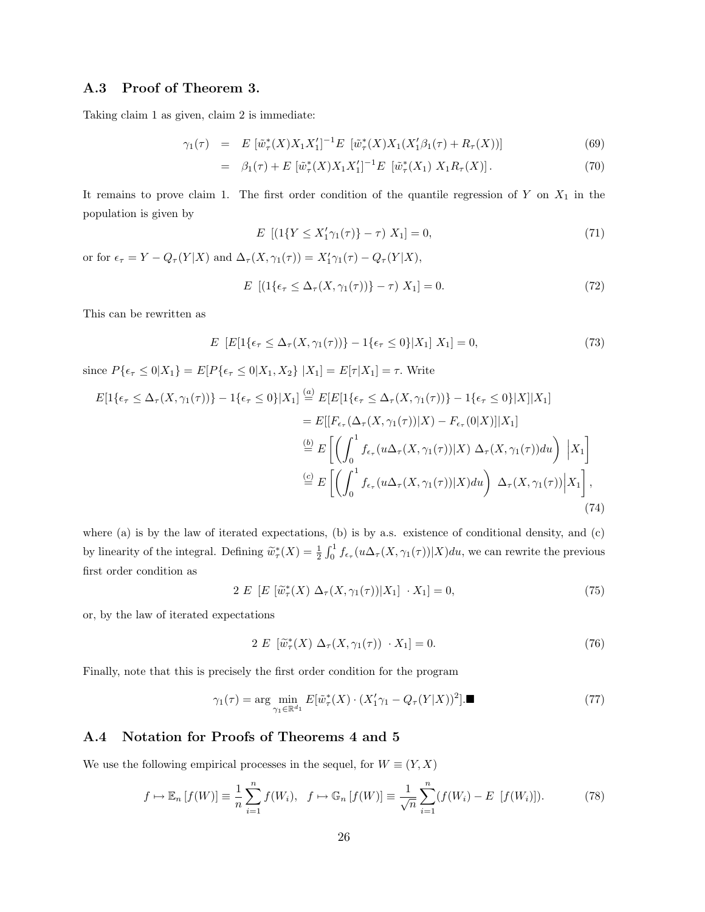#### A.3 Proof of Theorem 3.

Taking claim 1 as given, claim 2 is immediate:

$$
\gamma_1(\tau) = E \left[ \tilde{w}^*_{\tau}(X) X_1 X_1' \right]^{-1} E \left[ \tilde{w}^*_{\tau}(X) X_1 (X_1' \beta_1(\tau) + R_{\tau}(X)) \right] \tag{69}
$$

$$
= \beta_1(\tau) + E\left[\tilde{w}_\tau^*(X)X_1X_1'\right]^{-1}E\left[\tilde{w}_\tau^*(X_1)X_1R_\tau(X)\right].\tag{70}
$$

It remains to prove claim 1. The first order condition of the quantile regression of  $Y$  on  $X_1$  in the population is given by

$$
E\left[ (1\{Y \le X_1'\gamma_1(\tau)\} - \tau) \; X_1 \right] = 0,\tag{71}
$$

or for  $\epsilon_{\tau} = Y - Q_{\tau}(Y|X)$  and  $\Delta_{\tau}(X, \gamma_1(\tau)) = X'_1 \gamma_1(\tau) - Q_{\tau}(Y|X)$ ,

$$
E\left[\left(1\{\epsilon_{\tau}\leq\Delta_{\tau}(X,\gamma_1(\tau))\}-\tau\right)X_1\right]=0.\tag{72}
$$

This can be rewritten as

$$
E\left[E[1\{\epsilon_{\tau} \leq \Delta_{\tau}(X, \gamma_1(\tau))\} - 1\{\epsilon_{\tau} \leq 0\} | X_1] X_1\right] = 0,\tag{73}
$$

since  $P\{\epsilon_{\tau} \leq 0 | X_1\} = E[P\{\epsilon_{\tau} \leq 0 | X_1, X_2\} | X_1] = E[\tau | X_1] = \tau$ . Write

$$
E[1\{\epsilon_{\tau} \leq \Delta_{\tau}(X,\gamma_{1}(\tau))\} - 1\{\epsilon_{\tau} \leq 0\}|X_{1}] \stackrel{(a)}{=} E[E[1\{\epsilon_{\tau} \leq \Delta_{\tau}(X,\gamma_{1}(\tau))\} - 1\{\epsilon_{\tau} \leq 0\}|X]|X_{1}]
$$
  
\n
$$
= E[[F_{\epsilon_{\tau}}(\Delta_{\tau}(X,\gamma_{1}(\tau))|X) - F_{\epsilon_{\tau}}(0|X)]|X_{1}]
$$
  
\n
$$
\stackrel{(b)}{=} E\left[\left(\int_{0}^{1} f_{\epsilon_{\tau}}(u\Delta_{\tau}(X,\gamma_{1}(\tau))|X) \Delta_{\tau}(X,\gamma_{1}(\tau))du\right) |X_{1}\right]
$$
  
\n
$$
\stackrel{(c)}{=} E\left[\left(\int_{0}^{1} f_{\epsilon_{\tau}}(u\Delta_{\tau}(X,\gamma_{1}(\tau))|X) du\right) \Delta_{\tau}(X,\gamma_{1}(\tau)) |X_{1}\right],
$$
  
\n(74)

where (a) is by the law of iterated expectations, (b) is by a.s. existence of conditional density, and (c) by linearity of the integral. Defining  $\widetilde{w}^*_{\tau}(X) = \frac{1}{2}$  $n<sup>1</sup>$  $\int_0^1 f_{\epsilon_\tau}(u\Delta_\tau(X,\gamma_1(\tau))|X)du$ , we can rewrite the previous first order condition as

$$
2 E \left[ E \left[ \widetilde{w}^*_{\tau}(X) \Delta_{\tau}(X, \gamma_1(\tau)) | X_1 \right] \cdot X_1 \right] = 0, \tag{75}
$$

or, by the law of iterated expectations

$$
2 E \left[ \widetilde{w}^*_{\tau}(X) \Delta_{\tau}(X, \gamma_1(\tau)) \cdot X_1 \right] = 0. \tag{76}
$$

Finally, note that this is precisely the first order condition for the program

$$
\gamma_1(\tau) = \arg\min_{\gamma_1 \in \mathbb{R}^{d_1}} E[\tilde{w}_\tau^*(X) \cdot (X_1'\gamma_1 - Q_\tau(Y|X))^2].\tag{77}
$$

#### A.4 Notation for Proofs of Theorems 4 and 5

We use the following empirical processes in the sequel, for  $W \equiv (Y, X)$ 

$$
f \mapsto \mathbb{E}_n[f(W)] \equiv \frac{1}{n} \sum_{i=1}^n f(W_i), \quad f \mapsto \mathbb{G}_n[f(W)] \equiv \frac{1}{\sqrt{n}} \sum_{i=1}^n (f(W_i) - E[f(W_i)]). \tag{78}
$$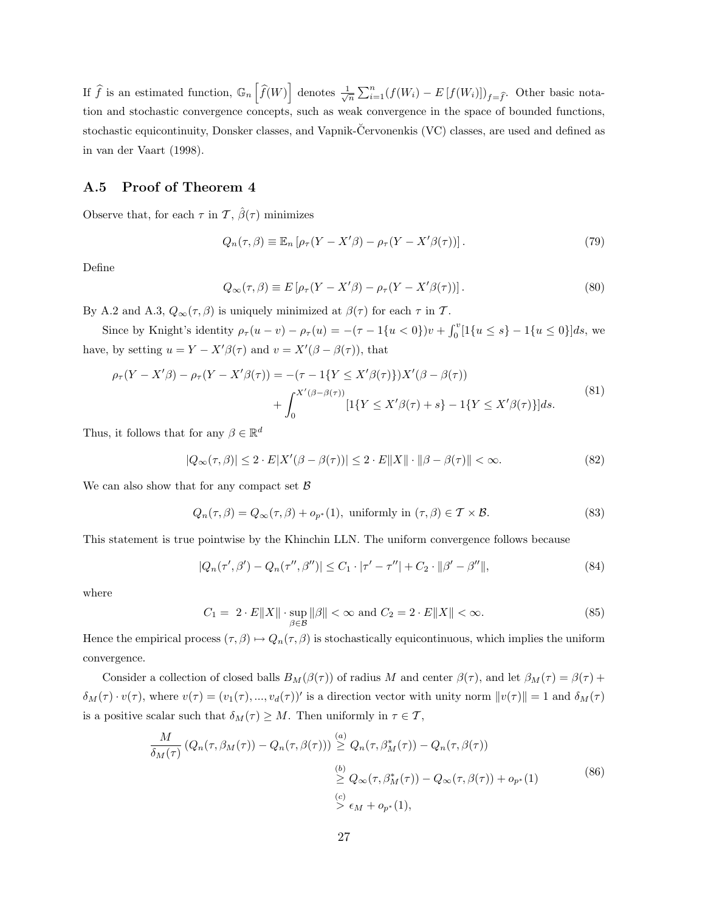If  $\widehat{f}$  is an estimated function,  $\mathbb{G}_n$ h  $\widehat{f}(W)$ i denotes  $\frac{1}{\sqrt{n}}$  $\sum_{i=1}^{n} (f(W_i) - E[f(W_i)])_{f=\hat{f}}$ . Other basic notation and stochastic convergence concepts, such as weak convergence in the space of bounded functions, stochastic equicontinuity, Donsker classes, and Vapnik-Cervonenkis (VC) classes, are used and defined as in van der Vaart (1998).

#### A.5 Proof of Theorem 4

Observe that, for each  $\tau$  in  $\mathcal{T}, \hat{\beta}(\tau)$  minimizes

$$
Q_n(\tau,\beta) \equiv \mathbb{E}_n \left[ \rho_\tau (Y - X'\beta) - \rho_\tau (Y - X'\beta(\tau)) \right]. \tag{79}
$$

Define

$$
Q_{\infty}(\tau,\beta) \equiv E\left[\rho_{\tau}(Y - X'\beta) - \rho_{\tau}(Y - X'\beta(\tau))\right].
$$
\n(80)

By A.2 and A.3,  $Q_{\infty}(\tau,\beta)$  is uniquely minimized at  $\beta(\tau)$  for each  $\tau$  in T.

Since by Knight's identity  $\rho_{\tau}(u - v) - \rho_{\tau}(u) = -(\tau - 1\{u < 0\})v + \int_0^v$  $\binom{v}{0}[1\{u \leq s\} - 1\{u \leq 0\}]ds$ , we have, by setting  $u = Y - X'\beta(\tau)$  and  $v = X'(\beta - \beta(\tau))$ , that

$$
\rho_{\tau}(Y - X'\beta) - \rho_{\tau}(Y - X'\beta(\tau)) = -(\tau - 1\{Y \le X'\beta(\tau)\})X'(\beta - \beta(\tau)) + \int_0^{X'(\beta - \beta(\tau))} [1\{Y \le X'\beta(\tau) + s\} - 1\{Y \le X'\beta(\tau)\}]ds.
$$
(81)

Thus, it follows that for any  $\beta \in \mathbb{R}^d$ 

$$
|Q_{\infty}(\tau,\beta)| \le 2 \cdot E|X'(\beta - \beta(\tau))| \le 2 \cdot E\|X\| \cdot \|\beta - \beta(\tau)\| < \infty.
$$
 (82)

We can also show that for any compact set  $\beta$ 

$$
Q_n(\tau,\beta) = Q_\infty(\tau,\beta) + o_{p^*}(1), \text{ uniformly in } (\tau,\beta) \in \mathcal{T} \times \mathcal{B}.
$$
 (83)

This statement is true pointwise by the Khinchin LLN. The uniform convergence follows because

$$
|Q_n(\tau', \beta') - Q_n(\tau'', \beta'')| \le C_1 \cdot |\tau' - \tau''| + C_2 \cdot ||\beta' - \beta''||,
$$
\n(84)

where

$$
C_1 = 2 \cdot E||X|| \cdot \sup_{\beta \in \mathcal{B}} ||\beta|| < \infty \text{ and } C_2 = 2 \cdot E||X|| < \infty.
$$
 (85)

Hence the empirical process  $(\tau, \beta) \mapsto Q_n(\tau, \beta)$  is stochastically equicontinuous, which implies the uniform convergence.

Consider a collection of closed balls  $B_M(\beta(\tau))$  of radius M and center  $\beta(\tau)$ , and let  $\beta_M(\tau) = \beta(\tau) +$  $\delta_M(\tau) \cdot v(\tau)$ , where  $v(\tau) = (v_1(\tau), ..., v_d(\tau))'$  is a direction vector with unity norm  $||v(\tau)|| = 1$  and  $\delta_M(\tau)$ is a positive scalar such that  $\delta_M(\tau) \geq M$ . Then uniformly in  $\tau \in \mathcal{T}$ ,

$$
\frac{M}{\delta_M(\tau)} \left( Q_n(\tau, \beta_M(\tau)) - Q_n(\tau, \beta(\tau)) \right) \stackrel{(a)}{\geq} Q_n(\tau, \beta_M^*(\tau)) - Q_n(\tau, \beta(\tau))
$$
\n
$$
\stackrel{(b)}{\geq} Q_\infty(\tau, \beta_M^*(\tau)) - Q_\infty(\tau, \beta(\tau)) + o_{p^*}(1)
$$
\n
$$
\stackrel{(c)}{\geq} \epsilon_M + o_{p^*}(1),
$$
\n
$$
(86)
$$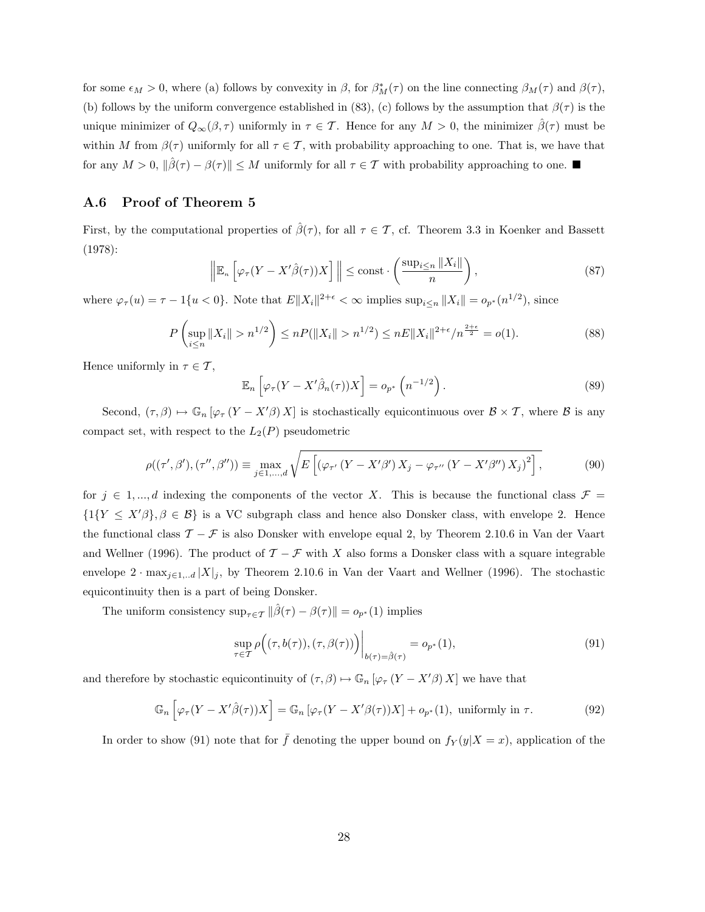for some  $\epsilon_M > 0$ , where (a) follows by convexity in  $\beta$ , for  $\beta_M^*(\tau)$  on the line connecting  $\beta_M(\tau)$  and  $\beta(\tau)$ , (b) follows by the uniform convergence established in (83), (c) follows by the assumption that  $\beta(\tau)$  is the unique minimizer of  $Q_{\infty}(\beta, \tau)$  uniformly in  $\tau \in \mathcal{T}$ . Hence for any  $M > 0$ , the minimizer  $\hat{\beta}(\tau)$  must be within M from  $\beta(\tau)$  uniformly for all  $\tau \in \mathcal{T}$ , with probability approaching to one. That is, we have that for any  $M > 0$ ,  $\|\hat{\beta}(\tau) - \beta(\tau)\| \leq M$  uniformly for all  $\tau \in \mathcal{T}$  with probability approaching to one.

#### A.6 Proof of Theorem 5

First, by the computational properties of  $\hat{\beta}(\tau)$ , for all  $\tau \in \mathcal{T}$ , cf. Theorem 3.3 in Koenker and Bassett (1978):  $\overline{a}$  $\mathbf{r}$ 

$$
\left\| \mathbb{E}_n \left[ \varphi_\tau (Y - X' \hat{\beta}(\tau)) X \right] \right\| \le \text{const} \cdot \left( \frac{\sup_{i \le n} \| X_i \|}{n} \right),\tag{87}
$$

where  $\varphi_{\tau}(u) = \tau - 1\{u < 0\}$ . Note that  $E||X_i||^{2+\epsilon} < \infty$  implies  $\sup_{i \leq n} ||X_i|| = o_{p^*}(n^{1/2})$ , since

$$
P\left(\sup_{i\leq n} \|X_i\| > n^{1/2}\right) \leq nP(\|X_i\| > n^{1/2}) \leq nE \|X_i\|^{2+\epsilon}/n^{\frac{2+\epsilon}{2}} = o(1). \tag{88}
$$

Hence uniformly in  $\tau \in \mathcal{T}$ ,

$$
\mathbb{E}_n\left[\varphi_\tau(Y - X'\hat{\beta}_n(\tau))X\right] = o_{p^*}\left(n^{-1/2}\right).
$$
\n(89)

Second,  $(\tau, \beta) \mapsto \mathbb{G}_n \left[ \varphi_\tau (Y - X'\beta) X \right]$  is stochastically equicontinuous over  $\mathcal{B} \times \mathcal{T}$ , where  $\mathcal{B}$  is any compact set, with respect to the  $L_2(P)$  pseudometric

$$
\rho((\tau', \beta'), (\tau'', \beta'')) \equiv \max_{j \in 1, ..., d} \sqrt{E\left[ (\varphi_{\tau'}(Y - X'\beta')X_j - \varphi_{\tau''}(Y - X'\beta'')X_j)^2 \right]},
$$
\n(90)

for  $j \in 1, ..., d$  indexing the components of the vector X. This is because the functional class  $\mathcal{F} =$  $\{1\{Y \leq X'\beta\}, \beta \in \mathcal{B}\}\$ is a VC subgraph class and hence also Donsker class, with envelope 2. Hence the functional class  $\mathcal{T} - \mathcal{F}$  is also Donsker with envelope equal 2, by Theorem 2.10.6 in Van der Vaart and Wellner (1996). The product of  $\mathcal{T} - \mathcal{F}$  with X also forms a Donsker class with a square integrable envelope 2 ·  $\max_{j\in1...d}|X|_j$ , by Theorem 2.10.6 in Van der Vaart and Wellner (1996). The stochastic equicontinuity then is a part of being Donsker.

The uniform consistency  $\sup_{\tau \in \mathcal{T}} ||\hat{\beta}(\tau) - \beta(\tau)|| = o_{p^*}(1)$  implies

$$
\sup_{\tau \in \mathcal{T}} \rho\Big((\tau, b(\tau)), (\tau, \beta(\tau))\Big)\Big|_{b(\tau) = \hat{\beta}(\tau)} = o_{p^*}(1),\tag{91}
$$

and therefore by stochastic equicontinuity of  $(\tau, \beta) \mapsto \mathbb{G}_n [\varphi_\tau (Y - X'\beta) X]$  we have that

$$
\mathbb{G}_n\left[\varphi_\tau(Y - X'\hat{\beta}(\tau))X\right] = \mathbb{G}_n\left[\varphi_\tau(Y - X'\beta(\tau))X\right] + o_{p^*}(1), \text{ uniformly in } \tau. \tag{92}
$$

In order to show (91) note that for  $\bar{f}$  denoting the upper bound on  $f_Y(y|X=x)$ , application of the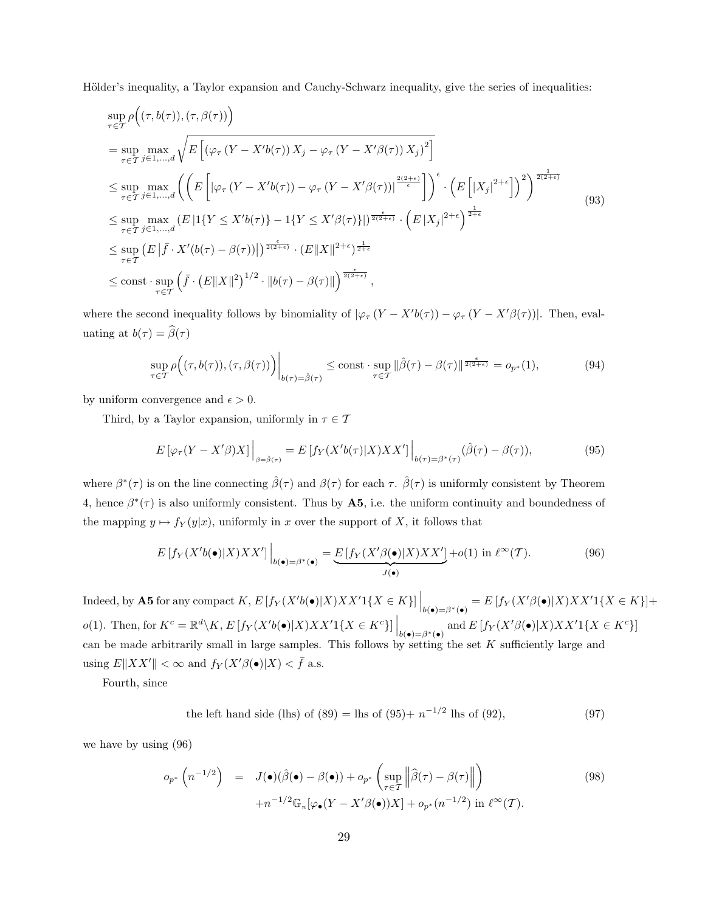Hölder's inequality, a Taylor expansion and Cauchy-Schwarz inequality, give the series of inequalities:

$$
\sup_{\tau \in \mathcal{T}} \rho\Big((\tau, b(\tau)), (\tau, \beta(\tau))\Big)
$$
\n
$$
= \sup_{\tau \in \mathcal{T}} \max_{j \in 1, ..., d} \sqrt{E\left[\left(\varphi_{\tau} \left(Y - X'b(\tau)\right)X_j - \varphi_{\tau} \left(Y - X'\beta(\tau)\right)X_j\right)^2\right]}
$$
\n
$$
\leq \sup_{\tau \in \mathcal{T}} \max_{j \in 1, ..., d} \left(\left(E\left[\left|\varphi_{\tau} \left(Y - X'b(\tau)\right) - \varphi_{\tau} \left(Y - X'\beta(\tau)\right)\right|^{\frac{2(2+\epsilon)}{\epsilon}}\right]\right)^{\epsilon} \cdot \left(E\left[\left|X_j\right|^{2+\epsilon}\right]\right)^2\right)^{\frac{1}{2(2+\epsilon)}}
$$
\n
$$
\leq \sup_{\tau \in \mathcal{T}} \max_{j \in 1, ..., d} \left(E\left|\left\{Y \leq X'b(\tau)\right\} - \left\{Y \leq X'\beta(\tau)\right\}\right|\right)^{\frac{\epsilon}{2(2+\epsilon)}} \cdot \left(E\left|X_j\right|^{2+\epsilon}\right)^{\frac{1}{2+\epsilon}}
$$
\n
$$
\leq \sup_{\tau \in \mathcal{T}} \left(E\left|\bar{f} \cdot X'(b(\tau) - \beta(\tau))\right|\right)^{\frac{\epsilon}{2(2+\epsilon)}} \cdot \left(E\|X\|^{2+\epsilon}\right)^{\frac{1}{2+\epsilon}}
$$
\n
$$
\leq \text{const} \cdot \sup_{\tau \in \mathcal{T}} \left(\bar{f} \cdot \left(E\|X\|^2\right)^{1/2} \cdot \|b(\tau) - \beta(\tau)\|\right)^{\frac{\epsilon}{2(2+\epsilon)}},
$$
\n(10.11)

where the second inequality follows by binomiality of  $|\varphi_{\tau}(Y - X'b(\tau)) - \varphi_{\tau}(Y - X'\beta(\tau))|$ . Then, evaluating at  $b(\tau) = \widehat{\beta}(\tau)$ 

$$
\sup_{\tau \in \mathcal{T}} \rho\Big((\tau, b(\tau)), (\tau, \beta(\tau))\Big)\Big|_{b(\tau) = \hat{\beta}(\tau)} \le \text{const} \cdot \sup_{\tau \in \mathcal{T}} \|\hat{\beta}(\tau) - \beta(\tau)\|^{\frac{\epsilon}{2(2+\epsilon)}} = o_{p^*}(1),\tag{94}
$$

by uniform convergence and  $\epsilon > 0$ .

 $\overline{a}$ 

Third, by a Taylor expansion, uniformly in  $\tau \in \mathcal{T}$ 

$$
E\left[\varphi_{\tau}(Y - X'\beta)X\right]\Big|_{\beta = \hat{\beta}(\tau)} = E\left[f_Y(X'b(\tau)|X)XX'\right]\Big|_{b(\tau) = \beta^*(\tau)}(\hat{\beta}(\tau) - \beta(\tau)),\tag{95}
$$

where  $\beta^*(\tau)$  is on the line connecting  $\hat{\beta}(\tau)$  and  $\beta(\tau)$  for each  $\tau$ .  $\hat{\beta}(\tau)$  is uniformly consistent by Theorem 4, hence  $\beta^*(\tau)$  is also uniformly consistent. Thus by **A5**, i.e. the uniform continuity and boundedness of the mapping  $y \mapsto f_Y(y|x)$ , uniformly in x over the support of X, it follows that

$$
E\left[f_Y(X'b(\bullet)|X)XX'\right]\Big|_{b(\bullet)=\beta^*(\bullet)} = \underbrace{E\left[f_Y(X'\beta(\bullet)|X)XX'\right]}_{J(\bullet)} + o(1) \text{ in } \ell^{\infty}(\mathcal{T}).\tag{96}
$$

Indeed, by **A5** for any compact  $K$ ,  $E[f_Y(X'b(\bullet)|X)XX']\{X \in K\}]$  $\Big|_{b(\bullet)=\beta^*(\bullet)}=E\left[f_Y(X'\beta(\bullet)|X)XX'1\{X\in K\}\right]+$ *o*(1). Then, for  $K^c = \mathbb{R}^d \setminus K$ ,  $E[f_Y(X'b(\bullet)|X)XX']\{X \in K^c\}]$  $\left\{ \begin{aligned} &\int_{b(\bullet)=\beta^*(\bullet)}$  and  $E\left[f_Y(X'\beta(\bullet)|X)XX'\mathbb{1}\{X\in K^c\}\right] \end{aligned} \right\}$ can be made arbitrarily small in large samples. This follows by setting the set  $K$  sufficiently large and using  $E\|XX'\| < \infty$  and  $f_Y(X'\beta(\bullet)|X) < \bar{f}$  a.s.

Fourth, since

the left hand side (lhs) of (89) = lhs of (95)+ 
$$
n^{-1/2}
$$
 lhs of (92), (97)

we have by using (96)

$$
o_{p^*}\left(n^{-1/2}\right) = J(\bullet)(\hat{\beta}(\bullet) - \beta(\bullet)) + o_{p^*}\left(\sup_{\tau \in \mathcal{T}} \left\|\widehat{\beta}(\tau) - \beta(\tau)\right\|\right) + n^{-1/2}\mathbb{G}_n[\varphi_\bullet(Y - X'\beta(\bullet))X] + o_{p^*}(n^{-1/2}) \text{ in } \ell^\infty(\mathcal{T}).
$$
\n(98)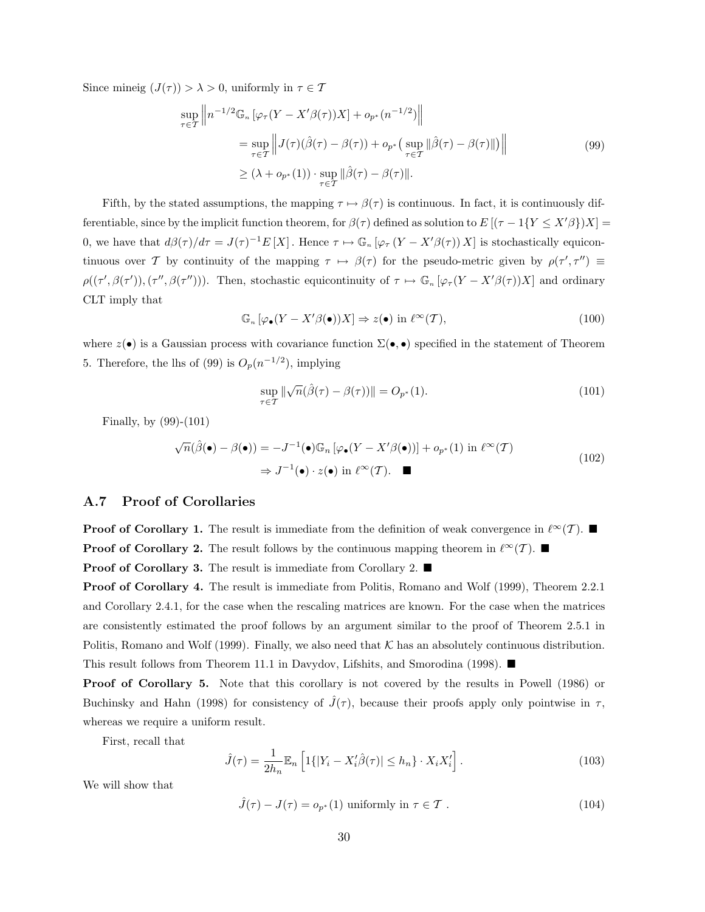Since mineig  $(J(\tau)) > \lambda > 0$ , uniformly in  $\tau \in \mathcal{T}$ 

$$
\sup_{\tau \in \mathcal{T}} \left\| n^{-1/2} \mathbb{G}_n \left[ \varphi_\tau (Y - X' \beta(\tau)) X \right] + o_{p^*}(n^{-1/2}) \right\|
$$
\n
$$
= \sup_{\tau \in \mathcal{T}} \left\| J(\tau) (\hat{\beta}(\tau) - \beta(\tau)) + o_{p^*} \left( \sup_{\tau \in \mathcal{T}} \| \hat{\beta}(\tau) - \beta(\tau) \| \right) \right\|
$$
\n
$$
\geq (\lambda + o_{p^*}(1)) \cdot \sup_{\tau \in \mathcal{T}} \| \hat{\beta}(\tau) - \beta(\tau) \|.
$$
\n(99)

Fifth, by the stated assumptions, the mapping  $\tau \mapsto \beta(\tau)$  is continuous. In fact, it is continuously differentiable, since by the implicit function theorem, for  $\beta(\tau)$  defined as solution to  $E[(\tau-1\{Y\leq X'\beta\})X]$ 0, we have that  $d\beta(\tau)/d\tau = J(\tau)^{-1}E[X]$ . Hence  $\tau \mapsto \mathbb{G}_n[\varphi_\tau(Y - X'\beta(\tau))X]$  is stochastically equicontinuous over T by continuity of the mapping  $\tau \mapsto \beta(\tau)$  for the pseudo-metric given by  $\rho(\tau', \tau'') \equiv$  $\rho((\tau', \beta(\tau')), (\tau'', \beta(\tau'')))$ . Then, stochastic equicontinuity of  $\tau \mapsto \mathbb{G}_n \left[ \varphi_\tau (Y - X' \beta(\tau)) X \right]$  and ordinary CLT imply that

$$
\mathbb{G}_n\left[\varphi_\bullet(Y - X'\beta(\bullet))X\right] \Rightarrow z(\bullet) \text{ in } \ell^\infty(\mathcal{T}),\tag{100}
$$

where  $z(\bullet)$  is a Gaussian process with covariance function  $\Sigma(\bullet,\bullet)$  specified in the statement of Theorem 5. Therefore, the lhs of (99) is  $O_p(n^{-1/2})$ , implying

$$
\sup_{\tau \in \mathcal{T}} \|\sqrt{n}(\hat{\beta}(\tau) - \beta(\tau))\| = O_{p^*}(1). \tag{101}
$$

Finally, by (99)-(101)

$$
\sqrt{n}(\hat{\beta}(\bullet) - \beta(\bullet)) = -J^{-1}(\bullet)\mathbb{G}_n\left[\varphi_\bullet(Y - X'\beta(\bullet))\right] + o_{p^*}(1) \text{ in } \ell^\infty(\mathcal{T})
$$
\n
$$
\Rightarrow J^{-1}(\bullet) \cdot z(\bullet) \text{ in } \ell^\infty(\mathcal{T}). \quad \blacksquare
$$
\n(102)

#### A.7 Proof of Corollaries

**Proof of Corollary 1.** The result is immediate from the definition of weak convergence in  $\ell^{\infty}(T)$ . ■ **Proof of Corollary 2.** The result follows by the continuous mapping theorem in  $\ell^{\infty}(T)$ . ■

**Proof of Corollary 3.** The result is immediate from Corollary 2.  $\blacksquare$ 

Proof of Corollary 4. The result is immediate from Politis, Romano and Wolf (1999), Theorem 2.2.1 and Corollary 2.4.1, for the case when the rescaling matrices are known. For the case when the matrices are consistently estimated the proof follows by an argument similar to the proof of Theorem 2.5.1 in Politis, Romano and Wolf (1999). Finally, we also need that  $K$  has an absolutely continuous distribution. This result follows from Theorem 11.1 in Davydov, Lifshits, and Smorodina (1998).  $\blacksquare$ 

Proof of Corollary 5. Note that this corollary is not covered by the results in Powell (1986) or Buchinsky and Hahn (1998) for consistency of  $\hat{J}(\tau)$ , because their proofs apply only pointwise in  $\tau$ , whereas we require a uniform result.

First, recall that

$$
\hat{J}(\tau) = \frac{1}{2h_n} \mathbb{E}_n \left[ \mathbf{1} \{ |Y_i - X_i'\hat{\beta}(\tau)| \le h_n \} \cdot X_i X_i' \right]. \tag{103}
$$

We will show that

$$
\hat{J}(\tau) - J(\tau) = o_{p^*}(1) \text{ uniformly in } \tau \in \mathcal{T} . \tag{104}
$$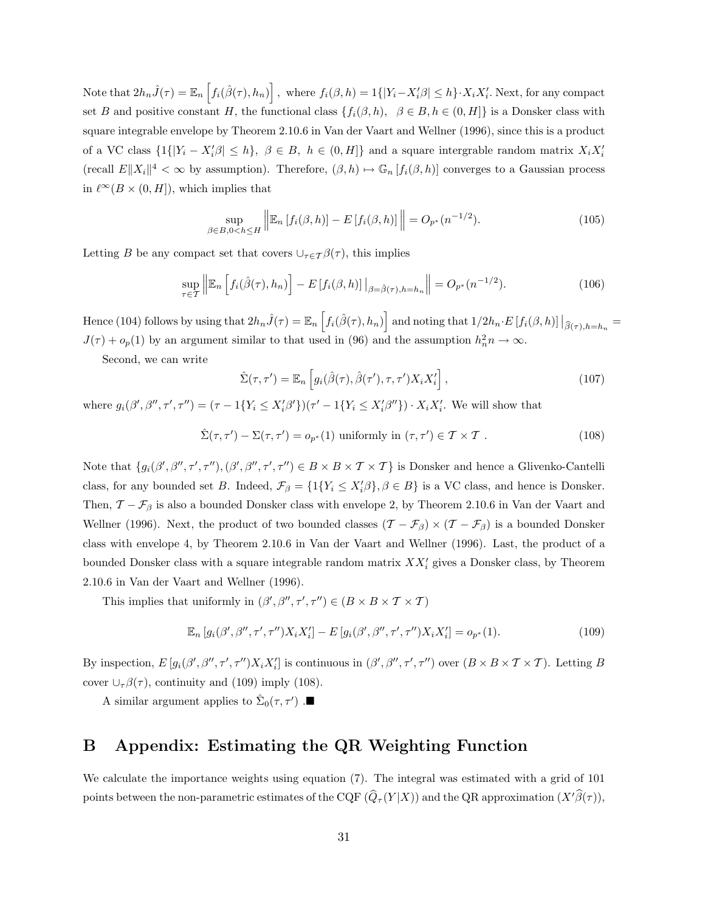Note that  $2h_n\hat{J}(\tau) = \mathbb{E}_n$ h  $f_i(\hat{\beta}(\tau), h_n)$ i , where  $f_i(\beta, h) = 1\{|Y_i - X_i'\beta| \le h\} \cdot X_i X_i'$ . Next, for any compact set B and positive constant H, the functional class  $\{f_i(\beta, h), \beta \in B, h \in (0, H]\}$  is a Donsker class with square integrable envelope by Theorem 2.10.6 in Van der Vaart and Wellner (1996), since this is a product of a VC class  $\{1\{|Y_i - X'_i\beta| \leq h\}, \ \beta \in B, \ h \in (0, H]\}$  and a square intergrable random matrix  $X_i X'_i$ (recall  $E||X_i||^4 < \infty$  by assumption). Therefore,  $(\beta, h) \mapsto \mathbb{G}_n[f_i(\beta, h)]$  converges to a Gaussian process in  $\ell^{\infty}(B \times (0, H])$ , which implies that

$$
\sup_{\beta \in B, 0 < h \le H} \left\| \mathbb{E}_n \left[ f_i(\beta, h) \right] - E \left[ f_i(\beta, h) \right] \right\| = O_{p^*}(n^{-1/2}).\tag{105}
$$

Letting B be any compact set that covers  $\cup_{\tau \in \mathcal{T}} \beta(\tau)$ , this implies

$$
\sup_{\tau \in \mathcal{T}} \left\| \mathbb{E}_n \left[ f_i(\hat{\beta}(\tau), h_n) \right] - E \left[ f_i(\beta, h) \right] \Big|_{\beta = \hat{\beta}(\tau), h = h_n} \right\| = O_{p^*}(n^{-1/2}). \tag{106}
$$

Hence (104) follows by using that  $2h_n\hat{J}(\tau) = \mathbb{E}_n$  $f_i(\hat{\beta}(\tau), h_n)$ and noting that  $1/2h_n \cdot E[f_i(\beta, h)]$  $\left| \hat{\beta}(\tau), h=h_n \right|$  $J(\tau) + o_p(1)$  by an argument similar to that used in (96) and the assumption  $h_n^2 n \to \infty$ .

Second, we can write

$$
\hat{\Sigma}(\tau,\tau') = \mathbb{E}_n \left[ g_i(\hat{\beta}(\tau), \hat{\beta}(\tau'), \tau, \tau') X_i X_i' \right],
$$
\n(107)

where  $g_i(\beta', \beta'', \tau', \tau'') = (\tau - 1\{Y_i \leq X_i'\beta'\}) (\tau' - 1\{Y_i \leq X_i'\beta''\}) \cdot X_iX_i'$ . We will show that

$$
\hat{\Sigma}(\tau,\tau') - \Sigma(\tau,\tau') = o_{p^*}(1) \text{ uniformly in } (\tau,\tau') \in \mathcal{T} \times \mathcal{T}. \tag{108}
$$

Note that  $\{g_i(\beta', \beta'', \tau', \tau''), (\beta', \beta'', \tau', \tau'')\in B\times B\times T\times T\}$  is Donsker and hence a Glivenko-Cantelli class, for any bounded set B. Indeed,  $\mathcal{F}_{\beta} = \{1\{Y_i \leq X_i'\beta\}, \beta \in B\}$  is a VC class, and hence is Donsker. Then,  $\mathcal{T} - \mathcal{F}_{\beta}$  is also a bounded Donsker class with envelope 2, by Theorem 2.10.6 in Van der Vaart and Wellner (1996). Next, the product of two bounded classes  $(T - \mathcal{F}_{\beta}) \times (T - \mathcal{F}_{\beta})$  is a bounded Donsker class with envelope 4, by Theorem 2.10.6 in Van der Vaart and Wellner (1996). Last, the product of a bounded Donsker class with a square integrable random matrix  $XX_i'$  gives a Donsker class, by Theorem 2.10.6 in Van der Vaart and Wellner (1996).

This implies that uniformly in  $(\beta', \beta'', \tau', \tau'') \in (B \times B \times T \times T)$ 

$$
\mathbb{E}_n \left[ g_i(\beta', \beta'', \tau', \tau'') X_i X_i' \right] - E \left[ g_i(\beta', \beta'', \tau', \tau'') X_i X_i' \right] = o_{p^*}(1). \tag{109}
$$

By inspection,  $E[g_i(\beta', \beta'', \tau', \tau'')X_iX_i']$  is continuous in  $(\beta', \beta'', \tau', \tau'')$  over  $(B \times B \times T \times T)$ . Letting B cover  $\cup_{\tau} \beta(\tau)$ , continuity and (109) imply (108).

A similar argument applies to  $\hat{\Sigma}_0(\tau, \tau')$ .

# B Appendix: Estimating the QR Weighting Function

We calculate the importance weights using equation (7). The integral was estimated with a grid of 101 points between the non-parametric estimates of the CQF  $(\widehat{Q}_{\tau} (Y | X))$  and the QR approximation  $(X' \widehat{\beta}(\tau)),$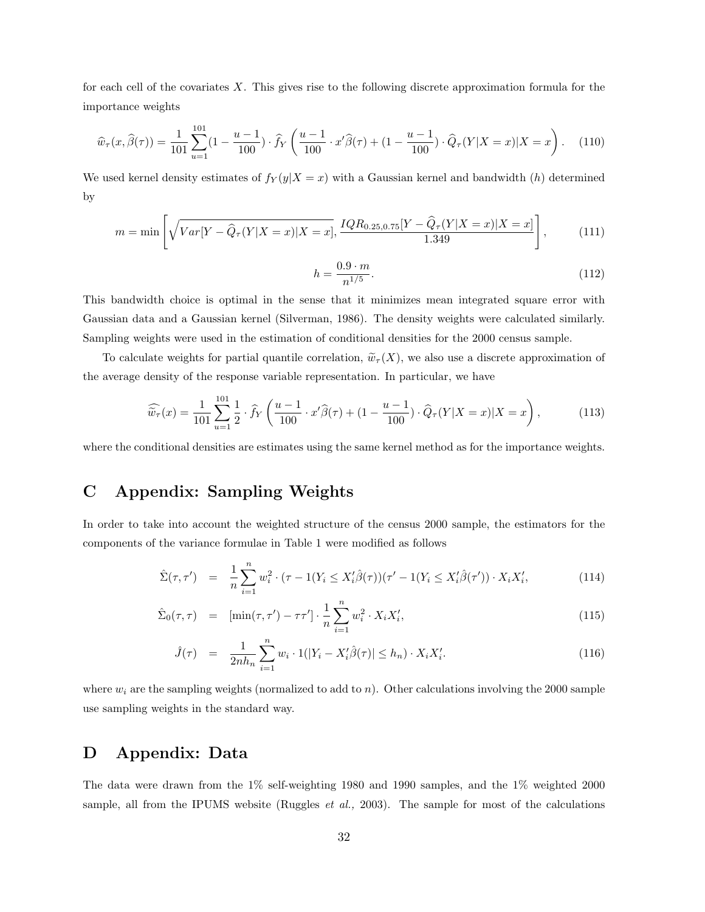for each cell of the covariates X. This gives rise to the following discrete approximation formula for the importance weights

$$
\widehat{w}_{\tau}(x,\widehat{\beta}(\tau)) = \frac{1}{101} \sum_{u=1}^{101} (1 - \frac{u-1}{100}) \cdot \widehat{f}_{Y} \left( \frac{u-1}{100} \cdot x' \widehat{\beta}(\tau) + (1 - \frac{u-1}{100}) \cdot \widehat{Q}_{\tau}(Y|X=x) | X=x \right). \tag{110}
$$

We used kernel density estimates of  $f_Y(y|X=x)$  with a Gaussian kernel and bandwidth (h) determined by

$$
m = \min\left[\sqrt{Var[Y - \widehat{Q}_{\tau}(Y|X=x)|X=x]}, \frac{IQR_{0.25,0.75}[Y - \widehat{Q}_{\tau}(Y|X=x)|X=x]}{1.349}\right],\tag{111}
$$

$$
h = \frac{0.9 \cdot m}{n^{1/5}}.\tag{112}
$$

This bandwidth choice is optimal in the sense that it minimizes mean integrated square error with Gaussian data and a Gaussian kernel (Silverman, 1986). The density weights were calculated similarly. Sampling weights were used in the estimation of conditional densities for the 2000 census sample.

To calculate weights for partial quantile correlation,  $\widetilde{w}_{\tau}(X)$ , we also use a discrete approximation of the average density of the response variable representation. In particular, we have

$$
\widehat{\tilde{w}_{\tau}}(x) = \frac{1}{101} \sum_{u=1}^{101} \frac{1}{2} \cdot \widehat{f}_{Y} \left( \frac{u-1}{100} \cdot x' \widehat{\beta}(\tau) + (1 - \frac{u-1}{100}) \cdot \widehat{Q}_{\tau}(Y|X=x) | X=x \right), \tag{113}
$$

where the conditional densities are estimates using the same kernel method as for the importance weights.

# C Appendix: Sampling Weights

In order to take into account the weighted structure of the census 2000 sample, the estimators for the components of the variance formulae in Table 1 were modified as follows

$$
\hat{\Sigma}(\tau,\tau') = \frac{1}{n} \sum_{i=1}^{n} w_i^2 \cdot (\tau - 1(Y_i \le X_i' \hat{\beta}(\tau)) (\tau' - 1(Y_i \le X_i' \hat{\beta}(\tau')) \cdot X_i X_i', \tag{114}
$$

$$
\hat{\Sigma}_0(\tau,\tau) = [\min(\tau,\tau') - \tau\tau'] \cdot \frac{1}{n} \sum_{i=1}^n w_i^2 \cdot X_i X_i', \qquad (115)
$$

$$
\hat{J}(\tau) = \frac{1}{2nh_n} \sum_{i=1}^{n} w_i \cdot 1(|Y_i - X_i'\hat{\beta}(\tau)| \le h_n) \cdot X_i X_i'. \tag{116}
$$

where  $w_i$  are the sampling weights (normalized to add to n). Other calculations involving the 2000 sample use sampling weights in the standard way.

# D Appendix: Data

The data were drawn from the 1% self-weighting 1980 and 1990 samples, and the 1% weighted 2000 sample, all from the IPUMS website (Ruggles *et al.*, 2003). The sample for most of the calculations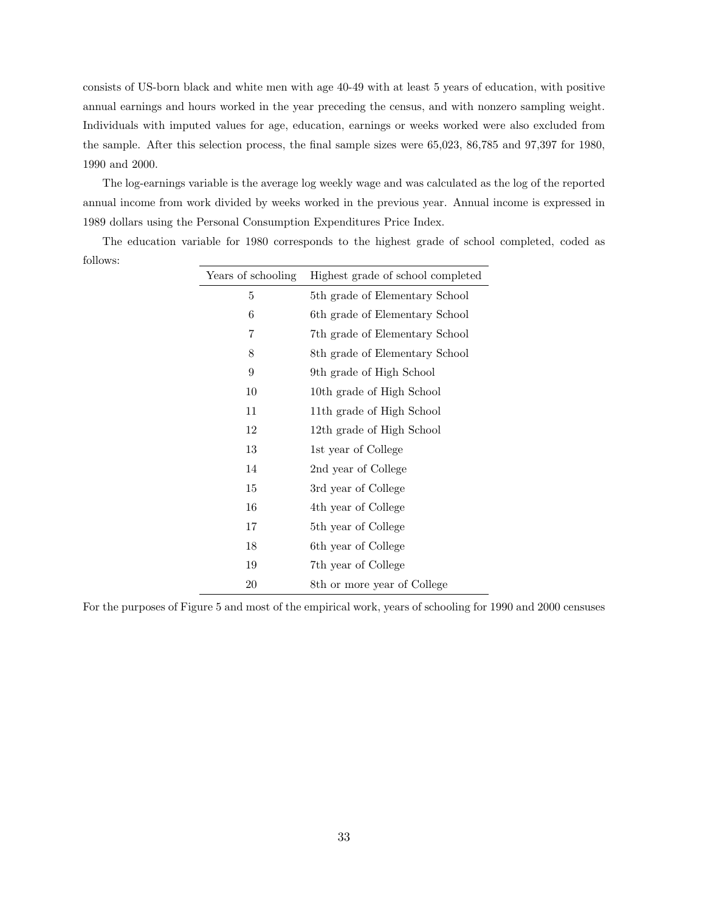consists of US-born black and white men with age 40-49 with at least 5 years of education, with positive annual earnings and hours worked in the year preceding the census, and with nonzero sampling weight. Individuals with imputed values for age, education, earnings or weeks worked were also excluded from the sample. After this selection process, the final sample sizes were 65,023, 86,785 and 97,397 for 1980, 1990 and 2000.

The log-earnings variable is the average log weekly wage and was calculated as the log of the reported annual income from work divided by weeks worked in the previous year. Annual income is expressed in 1989 dollars using the Personal Consumption Expenditures Price Index.

| Years of schooling | Highest grade of school completed |
|--------------------|-----------------------------------|
| 5                  | 5th grade of Elementary School    |
| 6                  | 6th grade of Elementary School    |
| 7                  | 7th grade of Elementary School    |
| 8                  | 8th grade of Elementary School    |
| 9                  | 9th grade of High School          |
| 10                 | 10th grade of High School         |
| 11                 | 11th grade of High School         |
| 12                 | 12th grade of High School         |
| 13                 | 1st year of College               |
| 14                 | 2nd year of College               |
| 15                 | 3rd year of College               |
| 16                 | 4th year of College               |
| 17                 | 5th year of College               |
| 18                 | 6th year of College               |
| 19                 | 7th year of College               |
| 20                 | 8th or more year of College       |

The education variable for 1980 corresponds to the highest grade of school completed, coded as follows:

For the purposes of Figure 5 and most of the empirical work, years of schooling for 1990 and 2000 censuses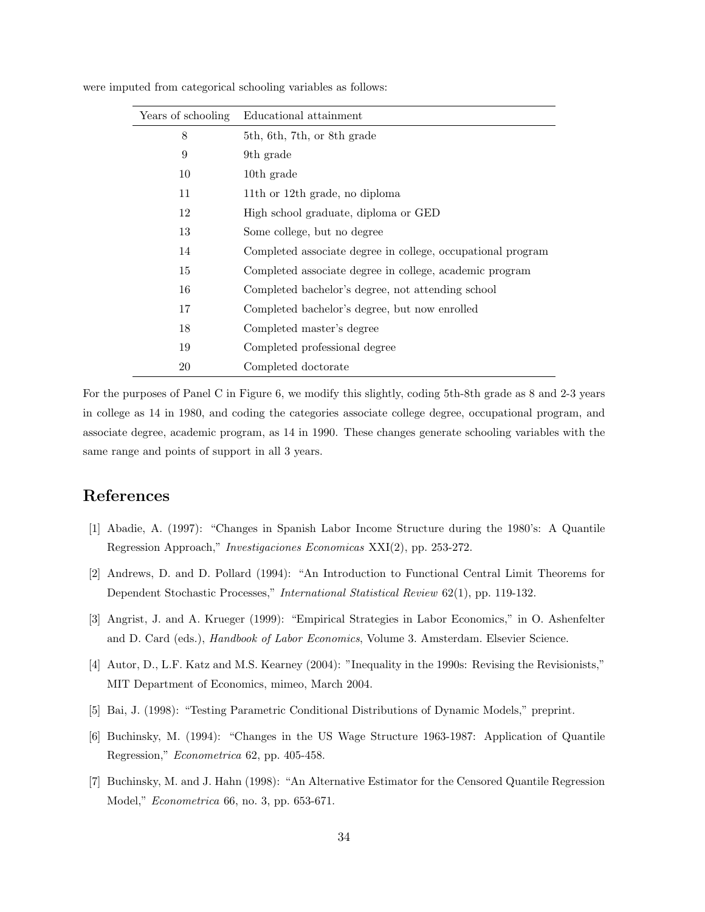| Years of schooling | Educational attainment                                      |
|--------------------|-------------------------------------------------------------|
| 8                  | 5th, 6th, 7th, or 8th grade                                 |
| 9                  | 9th grade                                                   |
| 10                 | 10th grade                                                  |
| 11                 | 11th or 12th grade, no diploma                              |
| 12                 | High school graduate, diploma or GED                        |
| 13                 | Some college, but no degree                                 |
| 14                 | Completed associate degree in college, occupational program |
| 15                 | Completed associate degree in college, academic program     |
| 16                 | Completed bachelor's degree, not attending school           |
| 17                 | Completed bachelor's degree, but now enrolled               |
| 18                 | Completed master's degree                                   |
| 19                 | Completed professional degree                               |
| 20                 | Completed doctorate                                         |

were imputed from categorical schooling variables as follows:

For the purposes of Panel C in Figure 6, we modify this slightly, coding 5th-8th grade as 8 and 2-3 years in college as 14 in 1980, and coding the categories associate college degree, occupational program, and associate degree, academic program, as 14 in 1990. These changes generate schooling variables with the same range and points of support in all 3 years.

# References

- [1] Abadie, A. (1997): "Changes in Spanish Labor Income Structure during the 1980's: A Quantile Regression Approach," Investigaciones Economicas XXI(2), pp. 253-272.
- [2] Andrews, D. and D. Pollard (1994): "An Introduction to Functional Central Limit Theorems for Dependent Stochastic Processes," International Statistical Review 62(1), pp. 119-132.
- [3] Angrist, J. and A. Krueger (1999): "Empirical Strategies in Labor Economics," in O. Ashenfelter and D. Card (eds.), Handbook of Labor Economics, Volume 3. Amsterdam. Elsevier Science.
- [4] Autor, D., L.F. Katz and M.S. Kearney (2004): "Inequality in the 1990s: Revising the Revisionists," MIT Department of Economics, mimeo, March 2004.
- [5] Bai, J. (1998): "Testing Parametric Conditional Distributions of Dynamic Models," preprint.
- [6] Buchinsky, M. (1994): "Changes in the US Wage Structure 1963-1987: Application of Quantile Regression," Econometrica 62, pp. 405-458.
- [7] Buchinsky, M. and J. Hahn (1998): "An Alternative Estimator for the Censored Quantile Regression Model," Econometrica 66, no. 3, pp. 653-671.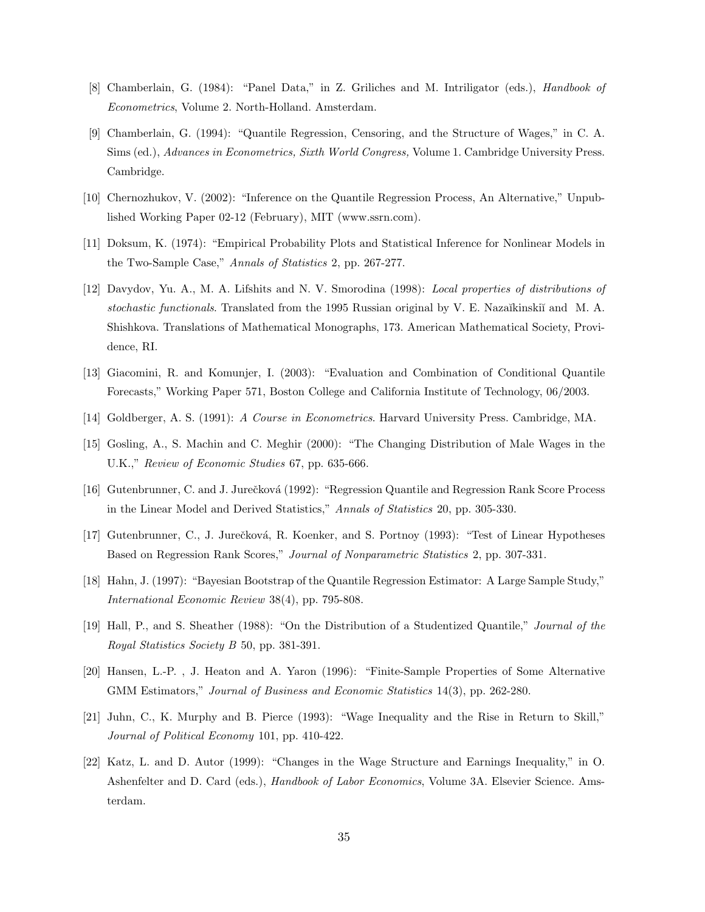- [8] Chamberlain, G. (1984): "Panel Data," in Z. Griliches and M. Intriligator (eds.), Handbook of Econometrics, Volume 2. North-Holland. Amsterdam.
- [9] Chamberlain, G. (1994): "Quantile Regression, Censoring, and the Structure of Wages," in C. A. Sims (ed.), Advances in Econometrics, Sixth World Congress, Volume 1. Cambridge University Press. Cambridge.
- [10] Chernozhukov, V. (2002): "Inference on the Quantile Regression Process, An Alternative," Unpublished Working Paper 02-12 (February), MIT (www.ssrn.com).
- [11] Doksum, K. (1974): "Empirical Probability Plots and Statistical Inference for Nonlinear Models in the Two-Sample Case," Annals of Statistics 2, pp. 267-277.
- [12] Davydov, Yu. A., M. A. Lifshits and N. V. Smorodina (1998): Local properties of distributions of stochastic functionals. Translated from the 1995 Russian original by V. E. Nazaĭkinskiĭ and M. A. Shishkova. Translations of Mathematical Monographs, 173. American Mathematical Society, Providence, RI.
- [13] Giacomini, R. and Komunjer, I. (2003): "Evaluation and Combination of Conditional Quantile Forecasts," Working Paper 571, Boston College and California Institute of Technology, 06/2003.
- [14] Goldberger, A. S. (1991): A Course in Econometrics. Harvard University Press. Cambridge, MA.
- [15] Gosling, A., S. Machin and C. Meghir (2000): "The Changing Distribution of Male Wages in the U.K.," Review of Economic Studies 67, pp. 635-666.
- [16] Gutenbrunner, C. and J. Jurečková (1992): "Regression Quantile and Regression Rank Score Process in the Linear Model and Derived Statistics," Annals of Statistics 20, pp. 305-330.
- [17] Gutenbrunner, C., J. Jurečková, R. Koenker, and S. Portnoy (1993): "Test of Linear Hypotheses Based on Regression Rank Scores," Journal of Nonparametric Statistics 2, pp. 307-331.
- [18] Hahn, J. (1997): "Bayesian Bootstrap of the Quantile Regression Estimator: A Large Sample Study," International Economic Review 38(4), pp. 795-808.
- [19] Hall, P., and S. Sheather (1988): "On the Distribution of a Studentized Quantile," Journal of the Royal Statistics Society B 50, pp. 381-391.
- [20] Hansen, L.-P. , J. Heaton and A. Yaron (1996): "Finite-Sample Properties of Some Alternative GMM Estimators," Journal of Business and Economic Statistics 14(3), pp. 262-280.
- [21] Juhn, C., K. Murphy and B. Pierce (1993): "Wage Inequality and the Rise in Return to Skill," Journal of Political Economy 101, pp. 410-422.
- [22] Katz, L. and D. Autor (1999): "Changes in the Wage Structure and Earnings Inequality," in O. Ashenfelter and D. Card (eds.), *Handbook of Labor Economics*, Volume 3A. Elsevier Science. Amsterdam.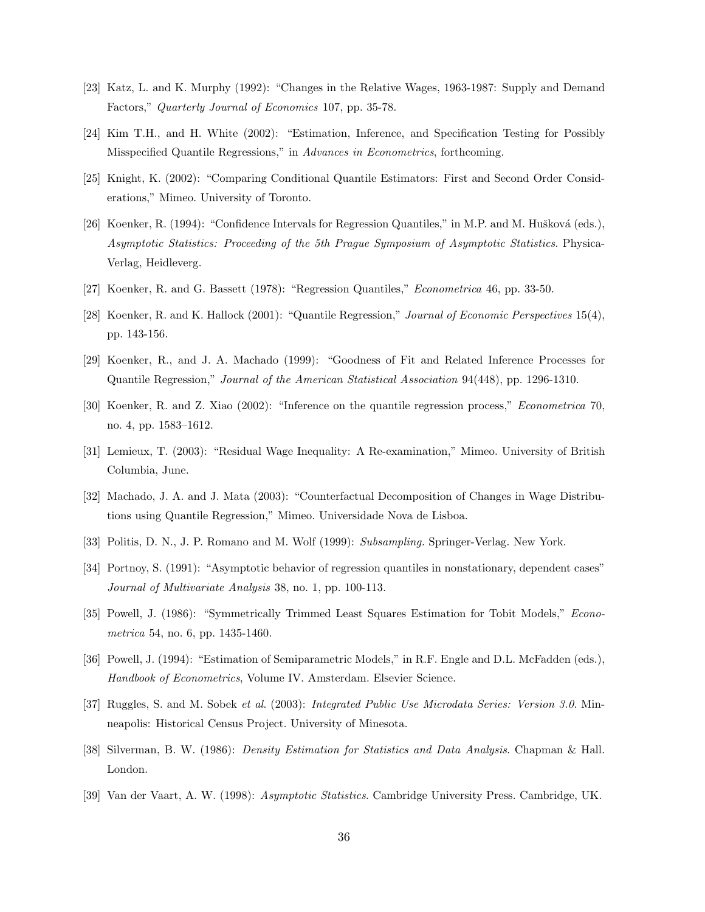- [23] Katz, L. and K. Murphy (1992): "Changes in the Relative Wages, 1963-1987: Supply and Demand Factors," Quarterly Journal of Economics 107, pp. 35-78.
- [24] Kim T.H., and H. White (2002): "Estimation, Inference, and Specification Testing for Possibly Misspecified Quantile Regressions," in Advances in Econometrics, forthcoming.
- [25] Knight, K. (2002): "Comparing Conditional Quantile Estimators: First and Second Order Considerations," Mimeo. University of Toronto.
- [26] Koenker, R. (1994): "Confidence Intervals for Regression Quantiles," in M.P. and M. Hušková (eds.), Asymptotic Statistics: Proceeding of the 5th Prague Symposium of Asymptotic Statistics. Physica-Verlag, Heidleverg.
- [27] Koenker, R. and G. Bassett (1978): "Regression Quantiles," Econometrica 46, pp. 33-50.
- [28] Koenker, R. and K. Hallock (2001): "Quantile Regression," Journal of Economic Perspectives 15(4), pp. 143-156.
- [29] Koenker, R., and J. A. Machado (1999): "Goodness of Fit and Related Inference Processes for Quantile Regression," Journal of the American Statistical Association 94(448), pp. 1296-1310.
- [30] Koenker, R. and Z. Xiao (2002): "Inference on the quantile regression process," Econometrica 70, no. 4, pp. 1583–1612.
- [31] Lemieux, T. (2003): "Residual Wage Inequality: A Re-examination," Mimeo. University of British Columbia, June.
- [32] Machado, J. A. and J. Mata (2003): "Counterfactual Decomposition of Changes in Wage Distributions using Quantile Regression," Mimeo. Universidade Nova de Lisboa.
- [33] Politis, D. N., J. P. Romano and M. Wolf (1999): Subsampling. Springer-Verlag. New York.
- [34] Portnoy, S. (1991): "Asymptotic behavior of regression quantiles in nonstationary, dependent cases" Journal of Multivariate Analysis 38, no. 1, pp. 100-113.
- [35] Powell, J. (1986): "Symmetrically Trimmed Least Squares Estimation for Tobit Models," Econometrica 54, no. 6, pp. 1435-1460.
- [36] Powell, J. (1994): "Estimation of Semiparametric Models," in R.F. Engle and D.L. McFadden (eds.), Handbook of Econometrics, Volume IV. Amsterdam. Elsevier Science.
- [37] Ruggles, S. and M. Sobek et al. (2003): Integrated Public Use Microdata Series: Version 3.0. Minneapolis: Historical Census Project. University of Minesota.
- [38] Silverman, B. W. (1986): Density Estimation for Statistics and Data Analysis. Chapman & Hall. London.
- [39] Van der Vaart, A. W. (1998): Asymptotic Statistics. Cambridge University Press. Cambridge, UK.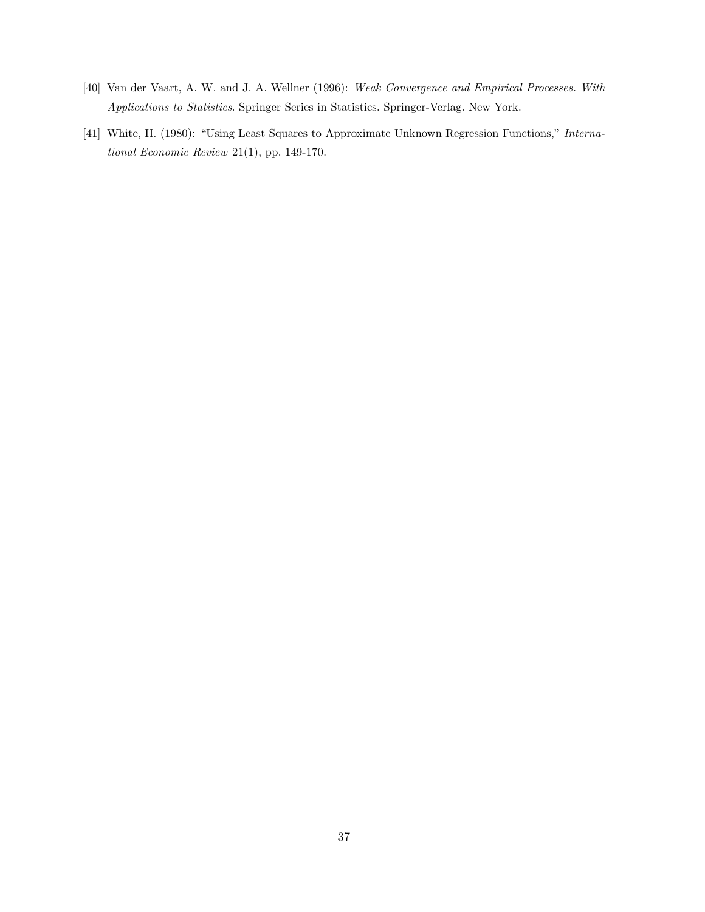- [40] Van der Vaart, A. W. and J. A. Wellner (1996): Weak Convergence and Empirical Processes. With Applications to Statistics. Springer Series in Statistics. Springer-Verlag. New York.
- [41] White, H. (1980): "Using Least Squares to Approximate Unknown Regression Functions," International Economic Review 21(1), pp. 149-170.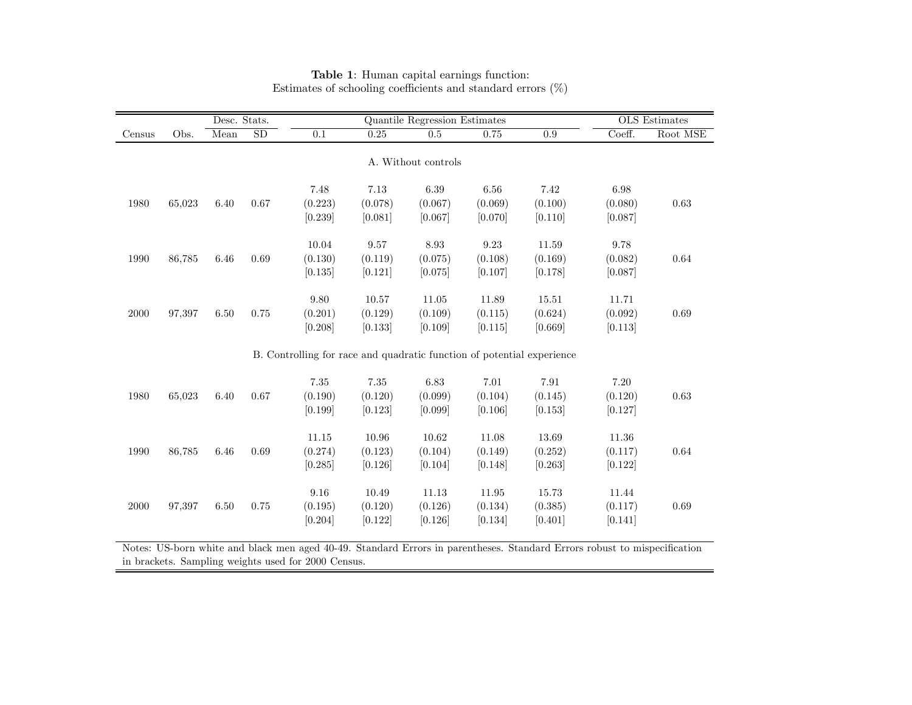|        |        |      | Desc. Stats.<br>Quantile Regression Estimates |                                                                        |         |                     |         |         |         | <b>OLS</b> Estimates |
|--------|--------|------|-----------------------------------------------|------------------------------------------------------------------------|---------|---------------------|---------|---------|---------|----------------------|
| Census | Obs.   | Mean | SD                                            | $\overline{0.1}$                                                       | 0.25    | 0.5                 | 0.75    | 0.9     | Coeff.  | Root MSE             |
|        |        |      |                                               |                                                                        |         |                     |         |         |         |                      |
|        |        |      |                                               |                                                                        |         | A. Without controls |         |         |         |                      |
|        |        |      |                                               | 7.48                                                                   | 7.13    | 6.39                | 6.56    | 7.42    | 6.98    |                      |
| 1980   | 65,023 | 6.40 | 0.67                                          | (0.223)                                                                | (0.078) | (0.067)             | (0.069) | (0.100) | (0.080) | $\rm 0.63$           |
|        |        |      |                                               | [0.239]                                                                | [0.081] | [0.067]             | [0.070] | [0.110] | [0.087] |                      |
|        |        |      |                                               |                                                                        |         |                     |         |         |         |                      |
|        |        |      |                                               | 10.04                                                                  | 9.57    | 8.93                | 9.23    | 11.59   | 9.78    |                      |
| 1990   | 86,785 | 6.46 | 0.69                                          | (0.130)                                                                | (0.119) | (0.075)             | (0.108) | (0.169) | (0.082) | 0.64                 |
|        |        |      |                                               | [0.135]                                                                | [0.121] | [0.075]             | [0.107] | [0.178] | [0.087] |                      |
|        |        |      |                                               |                                                                        |         |                     |         |         |         |                      |
|        |        |      |                                               | 9.80                                                                   | 10.57   | 11.05               | 11.89   | 15.51   | 11.71   |                      |
| 2000   | 97,397 | 6.50 | 0.75                                          | (0.201)                                                                | (0.129) | (0.109)             | (0.115) | (0.624) | (0.092) | 0.69                 |
|        |        |      |                                               | [0.208]                                                                | [0.133] | [0.109]             | [0.115] | [0.669] | [0.113] |                      |
|        |        |      |                                               |                                                                        |         |                     |         |         |         |                      |
|        |        |      |                                               | B. Controlling for race and quadratic function of potential experience |         |                     |         |         |         |                      |
|        |        |      |                                               | 7.35                                                                   | 7.35    | 6.83                | 7.01    | 7.91    | 7.20    |                      |
| 1980   | 65,023 | 6.40 | 0.67                                          | (0.190)                                                                | (0.120) | (0.099)             | (0.104) | (0.145) | (0.120) | 0.63                 |
|        |        |      |                                               | [0.199]                                                                | [0.123] | [0.099]             | [0.106] | [0.153] | [0.127] |                      |
|        |        |      |                                               |                                                                        |         |                     |         |         |         |                      |
|        |        |      |                                               | 11.15                                                                  | 10.96   | 10.62               | 11.08   | 13.69   | 11.36   |                      |
| 1990   | 86,785 | 6.46 | 0.69                                          | (0.274)                                                                | (0.123) | (0.104)             | (0.149) | (0.252) | (0.117) | 0.64                 |
|        |        |      |                                               | [0.285]                                                                | [0.126] | [0.104]             | [0.148] | [0.263] | [0.122] |                      |
|        |        |      |                                               |                                                                        |         |                     |         |         |         |                      |
|        |        |      |                                               | 9.16                                                                   | 10.49   | 11.13               | 11.95   | 15.73   | 11.44   |                      |
| 2000   | 97,397 | 6.50 | 0.75                                          | (0.195)                                                                | (0.120) | (0.126)             | (0.134) | (0.385) | (0.117) | 0.69                 |
|        |        |      |                                               | [0.204]                                                                | [0.122] | [0.126]             | [0.134] | [0.401] | [0.141] |                      |
|        |        |      |                                               |                                                                        |         |                     |         |         |         |                      |

### Table 1: Human capital earnings function: Estimates of schooling coefficients and standard errors  $(\%)$

Notes: US-born white and black men aged 40-49. Standard Errors in parentheses. Standard Errors robust to mispecification in brackets. Sampling weights used for 2000 Census.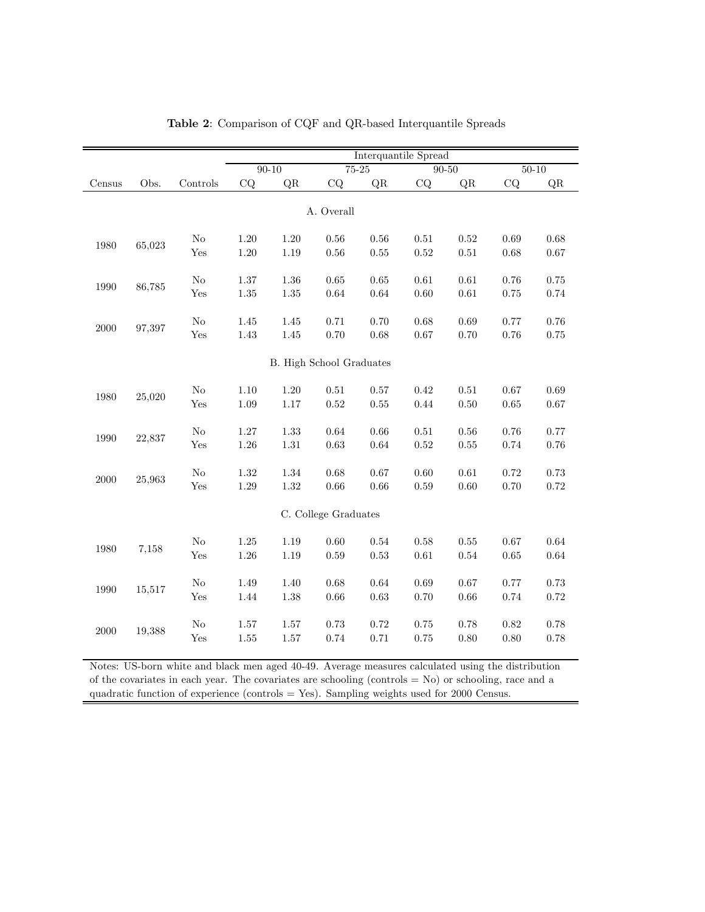|            |        |          | Interquantile Spread |          |                                 |      |           |            |           |      |
|------------|--------|----------|----------------------|----------|---------------------------------|------|-----------|------------|-----------|------|
|            |        |          | $90-10$              |          | $75 - 25$                       |      | $90 - 50$ |            | $50 - 10$ |      |
| Census     | Obs.   | Controls | CQ                   | QR       | CQ                              | QR   | CQ        | QR         | CQ        | QR   |
|            |        |          |                      |          |                                 |      |           |            |           |      |
| A. Overall |        |          |                      |          |                                 |      |           |            |           |      |
|            |        |          |                      |          |                                 |      |           |            |           |      |
| 1980       | 65,023 | No       | 1.20                 | 1.20     | 0.56                            | 0.56 | 0.51      | 0.52       | 0.69      | 0.68 |
|            |        | Yes      | $1.20\,$             | 1.19     | $0.56\,$                        | 0.55 | $0.52\,$  | $0.51\,$   | 0.68      | 0.67 |
|            |        | No       | $1.37\,$             | 1.36     | 0.65                            | 0.65 | 0.61      | 0.61       | 0.76      | 0.75 |
| 1990       | 86,785 | Yes      | 1.35                 | 1.35     | 0.64                            | 0.64 | 0.60      | 0.61       | 0.75      | 0.74 |
|            |        |          |                      |          |                                 |      |           |            |           |      |
|            |        | $\rm No$ | 1.45                 | 1.45     | 0.71                            | 0.70 | 0.68      | 0.69       | 0.77      | 0.76 |
| 2000       | 97,397 | Yes      | 1.43                 | 1.45     | 0.70                            | 0.68 | $0.67\,$  | 0.70       | 0.76      | 0.75 |
|            |        |          |                      |          |                                 |      |           |            |           |      |
|            |        |          |                      |          | <b>B.</b> High School Graduates |      |           |            |           |      |
|            |        |          |                      |          |                                 |      |           |            |           |      |
|            |        | No       | 1.10                 | 1.20     | $0.51\,$                        | 0.57 | 0.42      | 0.51       | 0.67      | 0.69 |
| 1980       | 25,020 | Yes      | 1.09                 | 1.17     | $\rm 0.52$                      | 0.55 | 0.44      | 0.50       | 0.65      | 0.67 |
|            |        |          |                      |          |                                 |      |           |            |           |      |
|            |        | $\rm No$ | $1.27\,$             | 1.33     | 0.64                            | 0.66 | $0.51\,$  | $0.56\,$   | 0.76      | 0.77 |
| 1990       | 22,837 | Yes      | 1.26                 | $1.31\,$ | $\,0.63\,$                      | 0.64 | 0.52      | $0.55\,$   | 0.74      | 0.76 |
|            |        |          |                      |          |                                 |      |           |            |           |      |
| 2000       |        | $\rm No$ | $1.32\,$             | 1.34     | $\,0.68\,$                      | 0.67 | 0.60      | $\rm 0.61$ | 0.72      | 0.73 |
|            | 25,963 | Yes      | 1.29                 | 1.32     | $0.66\,$                        | 0.66 | $0.59\,$  | $0.60\,$   | 0.70      | 0.72 |
|            |        |          |                      |          |                                 |      |           |            |           |      |
|            |        |          |                      |          | C. College Graduates            |      |           |            |           |      |
|            |        |          |                      |          |                                 |      |           |            |           |      |
| 1980       | 7,158  | No       | 1.25                 | 1.19     | 0.60                            | 0.54 | 0.58      | $0.55\,$   | 0.67      | 0.64 |
|            |        | Yes      | 1.26                 | 1.19     | $\,0.59$                        | 0.53 | 0.61      | 0.54       | 0.65      | 0.64 |
|            |        |          |                      |          |                                 |      |           |            |           |      |
| 1990       | 15,517 | $\rm No$ | 1.49                 | 1.40     | 0.68                            | 0.64 | 0.69      | 0.67       | 0.77      | 0.73 |
|            |        | Yes      | 1.44                 | 1.38     | $0.66\,$                        | 0.63 | 0.70      | 0.66       | 0.74      | 0.72 |
|            |        |          |                      |          |                                 |      |           |            |           |      |
| 2000       | 19,388 | No       | 1.57                 | 1.57     | 0.73                            | 0.72 | 0.75      | 0.78       | 0.82      | 0.78 |
|            |        | Yes      | 1.55                 | 1.57     | 0.74                            | 0.71 | 0.75      | 0.80       | 0.80      | 0.78 |
|            |        |          |                      |          |                                 |      |           |            |           |      |

|  |  |  |  |  | Table 2: Comparison of CQF and QR-based Interquantile Spreads |  |
|--|--|--|--|--|---------------------------------------------------------------|--|
|--|--|--|--|--|---------------------------------------------------------------|--|

Notes: US-born white and black men aged 40-49. Average measures calculated using the distribution of the covariates in each year. The covariates are schooling (controls = No) or schooling, race and a quadratic function of experience (controls = Yes). Sampling weights used for 2000 Census.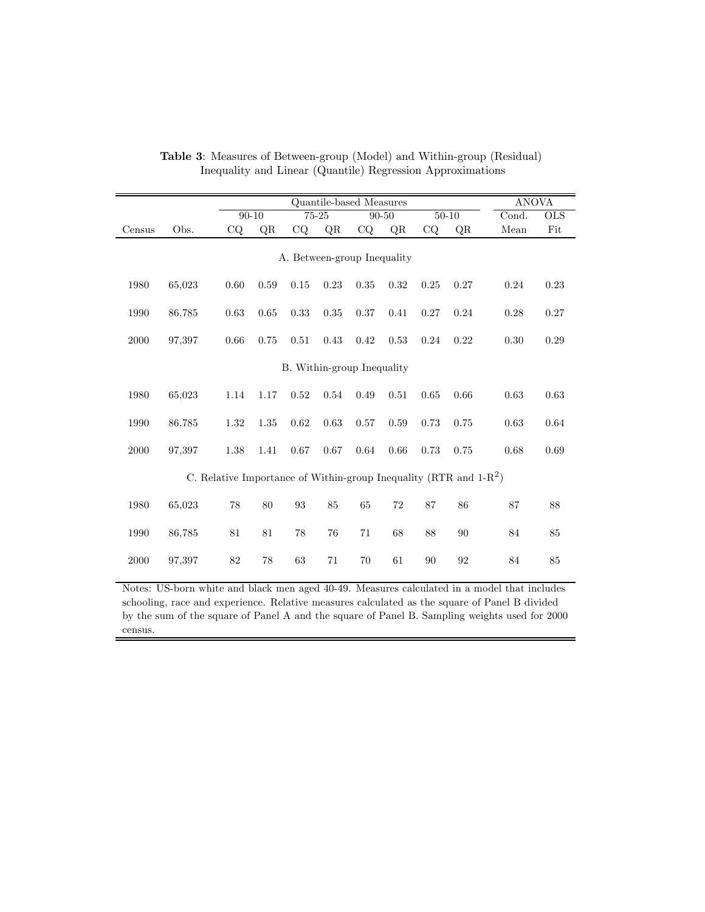|                             | Quantile-based Measures |                                                                      |                |                            |          |           |          |       |            |      | <b>ANOVA</b> |
|-----------------------------|-------------------------|----------------------------------------------------------------------|----------------|----------------------------|----------|-----------|----------|-------|------------|------|--------------|
|                             |                         | $90 - 10$                                                            | 75-25<br>90-50 |                            |          | $50 - 10$ |          | Cond. | <b>OLS</b> |      |              |
| Census                      | Obs.                    | CQ                                                                   | QR             | CQ                         | QR       | CQ        | QR       | CQ    | QR         | Mean | Fit          |
| A. Between-group Inequality |                         |                                                                      |                |                            |          |           |          |       |            |      |              |
| 1980                        | 65,023                  | 0.60                                                                 | 0.59           | $0.15\,$                   | 0.23     | 0.35      | 0.32     | 0.25  | 0.27       | 0.24 | 0.23         |
| 1990                        | 86,785                  | 0.63                                                                 | $0.65\,$       | 0.33                       | $0.35\,$ | 0.37      | 0.41     | 0.27  | 0.24       | 0.28 | 0.27         |
| 2000                        | 97,397                  | 0.66                                                                 | 0.75           | 0.51                       | 0.43     | 0.42      | 0.53     | 0.24  | 0.22       | 0.30 | 0.29         |
|                             |                         |                                                                      |                | B. Within-group Inequality |          |           |          |       |            |      |              |
| 1980                        | 65,023                  | 1.14                                                                 | 1.17           | 0.52                       | 0.54     | 0.49      | 0.51     | 0.65  | 0.66       | 0.63 | 0.63         |
| 1990                        | 86,785                  | 1.32                                                                 | 1.35           | 0.62                       | 0.63     | 0.57      | $\,0.59$ | 0.73  | 0.75       | 0.63 | 0.64         |
| 2000                        | 97,397                  | 1.38                                                                 | 1.41           | 0.67                       | 0.67     | 0.64      | 0.66     | 0.73  | 0.75       | 0.68 | 0.69         |
|                             |                         | C. Relative Importance of Within-group Inequality (RTR and $1-R^2$ ) |                |                            |          |           |          |       |            |      |              |
| 1980                        | 65,023                  | 78                                                                   | 80             | 93                         | 85       | 65        | 72       | 87    | 86         | 87   | 88           |
| 1990                        | 86,785                  | 81                                                                   | 81             | 78                         | 76       | 71        | 68       | 88    | 90         | 84   | 85           |
| 2000                        | 97,397                  | 82                                                                   | 78             | 63                         | 71       | 70        | 61       | 90    | 92         | 84   | 85           |

Table 3: Measures of Between-group (Model) and Within-group (Residual) Inequality and Linear (Quantile) Regression Approximations

Notes: US-born white and black men aged 40-49. Measures calculated in a model that includes schooling, race and experience. Relative measures calculated as the square of Panel B divided by the sum of the square of Panel A and the square of Panel B. Sampling weights used for 2000 census.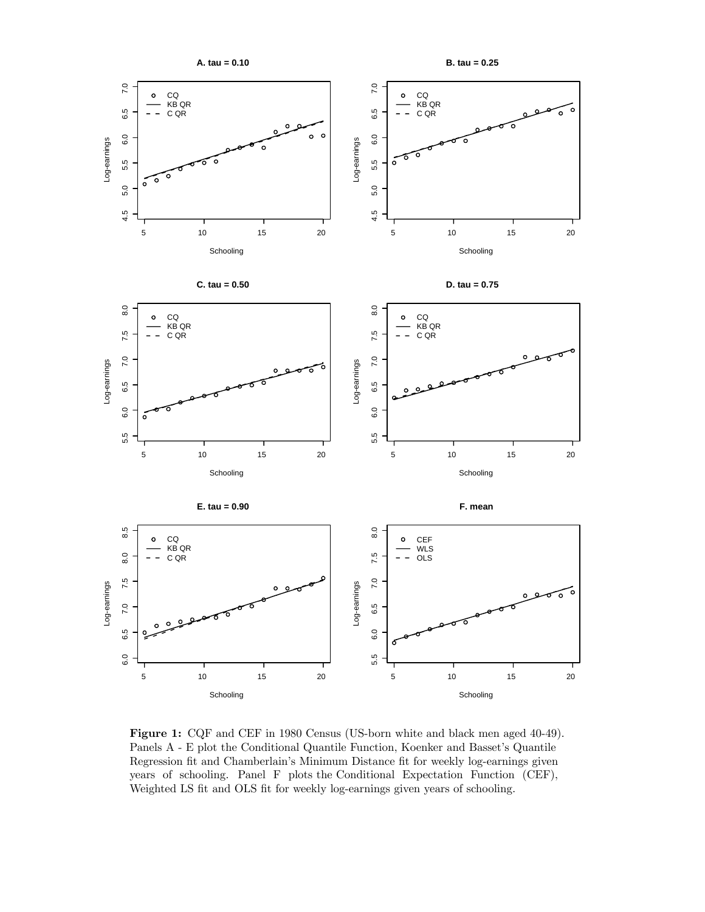

Figure 1: CQF and CEF in 1980 Census (US-born white and black men aged 40-49). Panels A - E plot the Conditional Quantile Function, Koenker and Basset's Quantile Regression fit and Chamberlain's Minimum Distance fit for weekly log-earnings given years of schooling. Panel F plots the Conditional Expectation Function (CEF), Weighted LS fit and OLS fit for weekly log-earnings given years of schooling.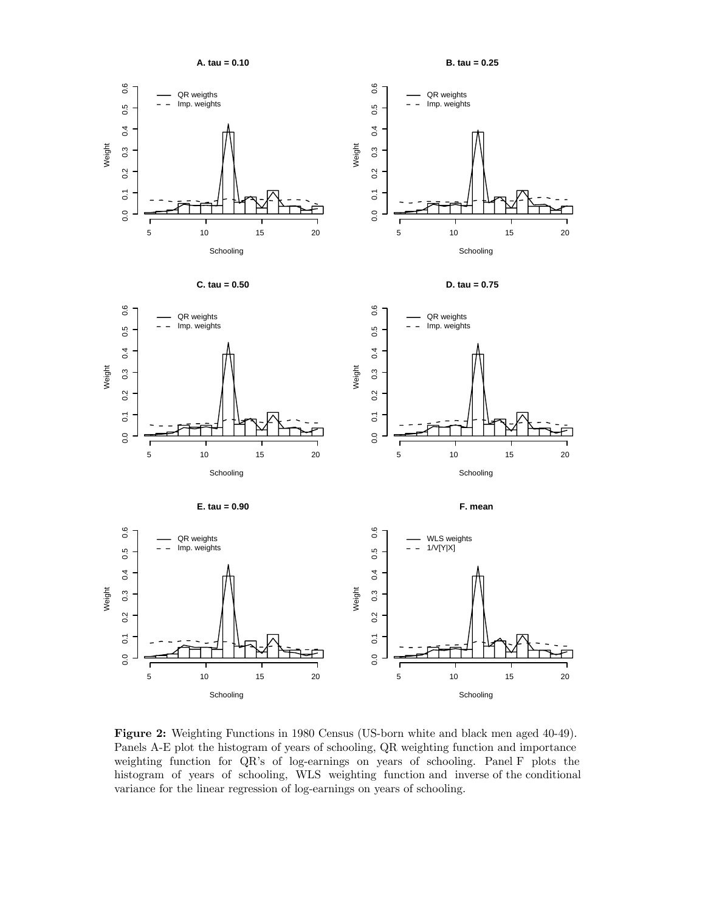**A. tau = 0.10**

**B. tau = 0.25**



Figure 2: Weighting Functions in 1980 Census (US-born white and black men aged 40-49). Panels A-E plot the histogram of years of schooling, QR weighting function and importance weighting function for QR's of log-earnings on years of schooling. Panel F plots the histogram of years of schooling, WLS weighting function and inverse of the conditional variance for the linear regression of log-earnings on years of schooling.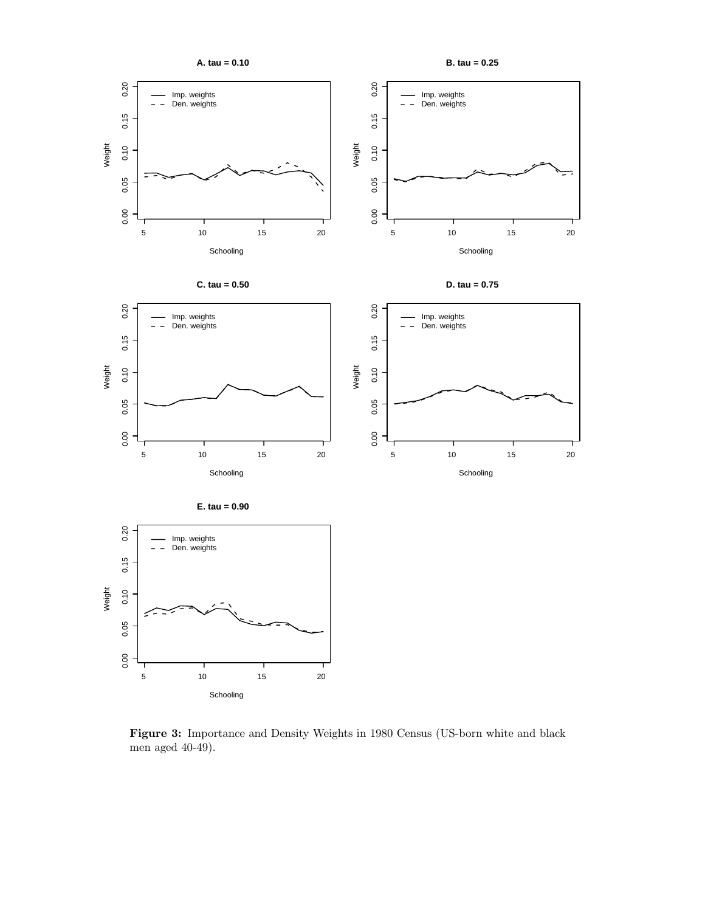

Figure 3: Importance and Density Weights in 1980 Census (US-born white and black men aged 40-49).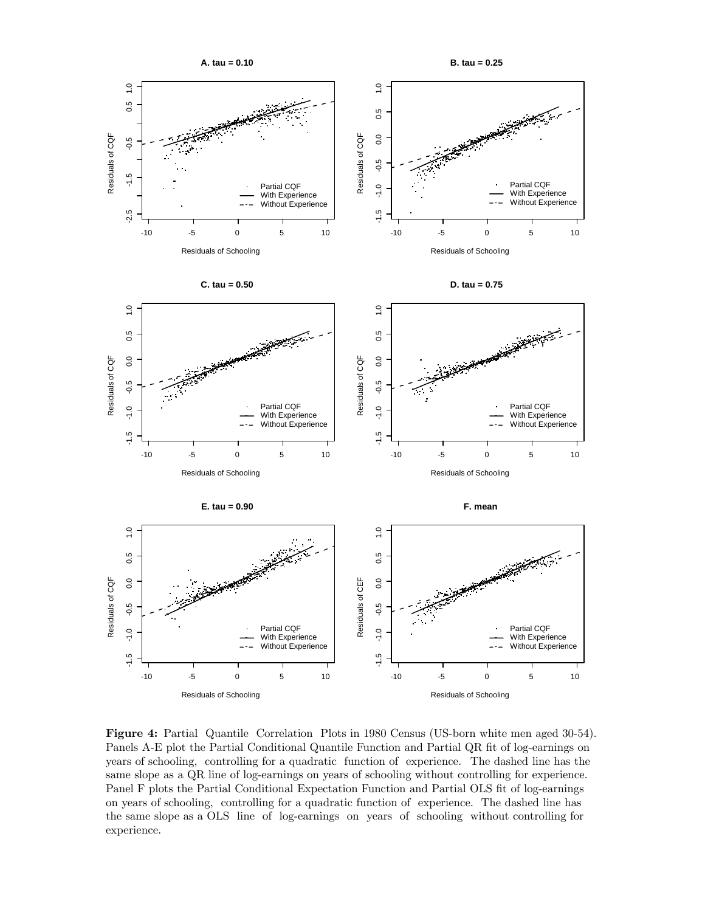

Figure 4: Partial Quantile Correlation Plots in 1980 Census (US-born white men aged 30-54). Panels A-E plot the Partial Conditional Quantile Function and Partial QR fit of log-earnings on years of schooling, controlling for a quadratic function of experience. The dashed line has the same slope as a QR line of log-earnings on years of schooling without controlling for experience. Panel F plots the Partial Conditional Expectation Function and Partial OLS fit of log-earnings on years of schooling, controlling for a quadratic function of experience. The dashed line has the same slope as a OLS line of log-earnings on years of schooling without controlling for experience.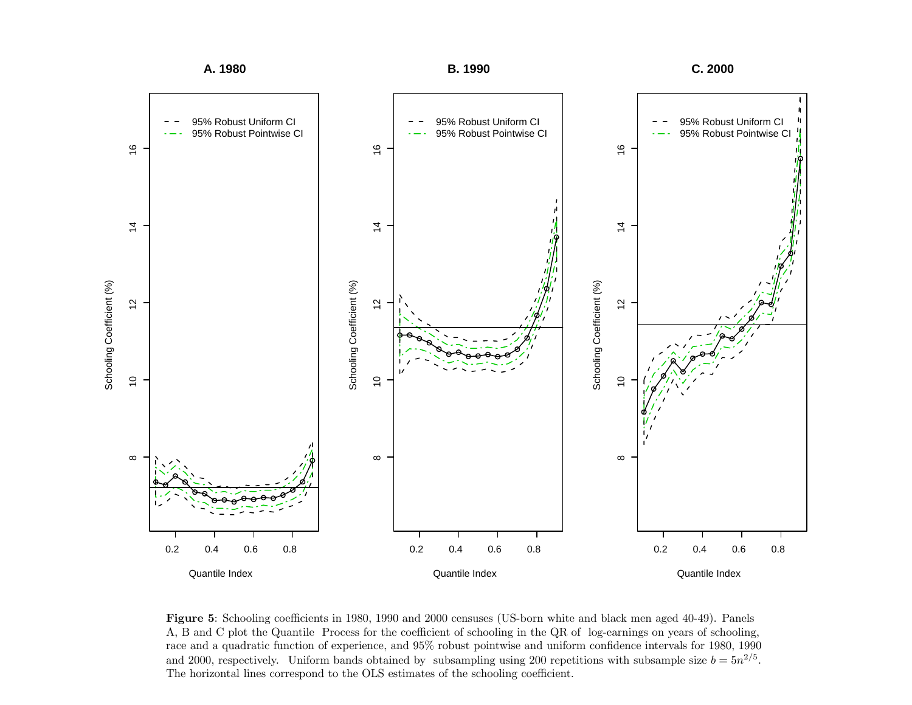

Figure <sup>5</sup>: Schooling coefficients in 1980, <sup>1990</sup> and <sup>2000</sup> censuses (US-born white and black men aged 40-49). Panels A, B and C <sup>p</sup>lot the Quantile Process for the coefficient of schooling in the QR of log-earnings on years of schooling, race and <sup>a</sup> quadratic function of experience, and 95% robust pointwise and uniform confidence intervals for 1980, 1990 and 2000, respectively. Uniform bands obtained by subsampling using 200 repetitions with subsample size  $b = 5n^{2/5}$ . The horizontal lines correspond to the OLS estimates of the schooling coefficient.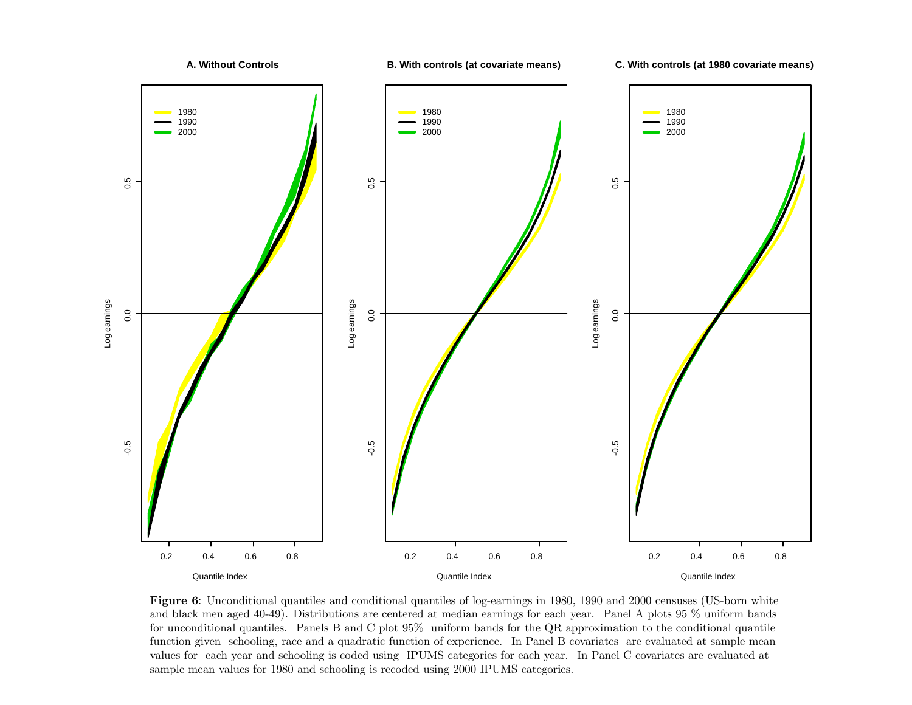

Figure 6: Unconditional quantiles and conditional quantiles of log-earnings in 1980, 1990 and 2000 censuses (US-born white and black men aged 40-49). Distributions are centered at median earnings for each year. Panel A <sup>p</sup>lots <sup>95</sup> % uniform bands for unconditional quantiles. Panels B and C <sup>p</sup>lot 95% uniform bands for the QR approximation to the conditional quantile function given schooling, race and <sup>a</sup> quadratic function of experience. In Panel B covariates are evaluated at sample mean values for each year and schooling is coded using IPUMS categories for each year. In Panel C covariates are evaluated at sample mean values for 1980 and schooling is recoded using 2000 IPUMS categories.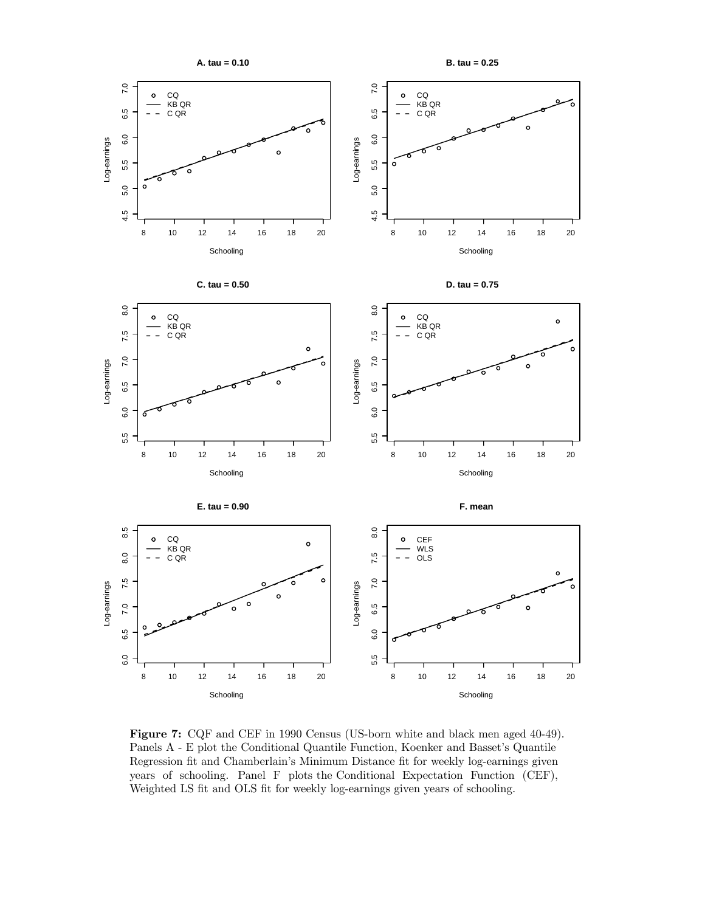

Figure 7: CQF and CEF in 1990 Census (US-born white and black men aged 40-49). Panels A - E plot the Conditional Quantile Function, Koenker and Basset's Quantile Regression fit and Chamberlain's Minimum Distance fit for weekly log-earnings given years of schooling. Panel F plots the Conditional Expectation Function (CEF), Weighted LS fit and OLS fit for weekly log-earnings given years of schooling.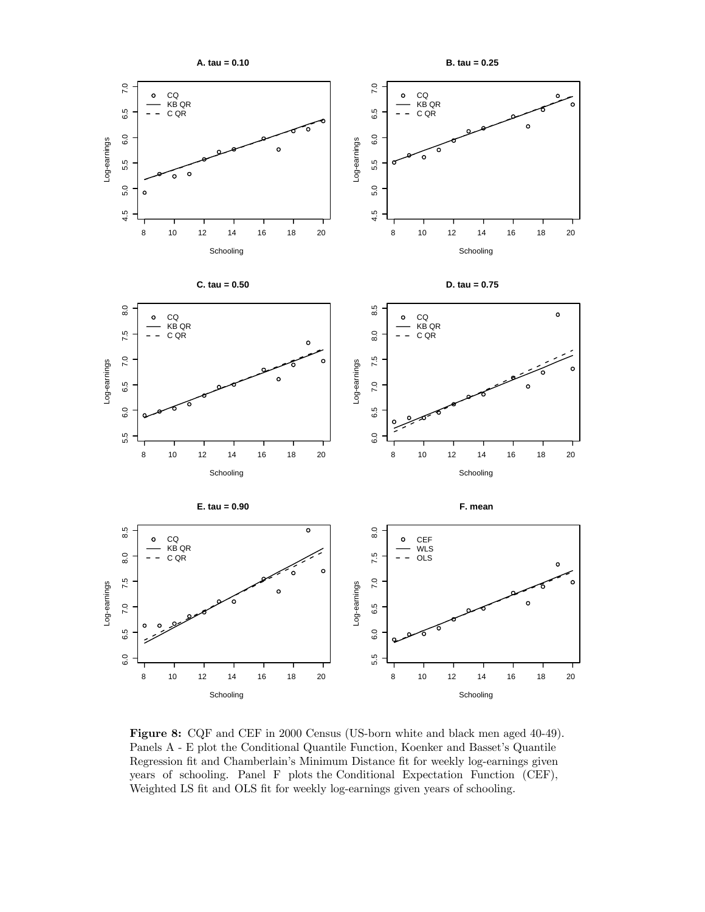

Figure 8: CQF and CEF in 2000 Census (US-born white and black men aged 40-49). Panels A - E plot the Conditional Quantile Function, Koenker and Basset's Quantile Regression fit and Chamberlain's Minimum Distance fit for weekly log-earnings given years of schooling. Panel F plots the Conditional Expectation Function (CEF), Weighted LS fit and OLS fit for weekly log-earnings given years of schooling.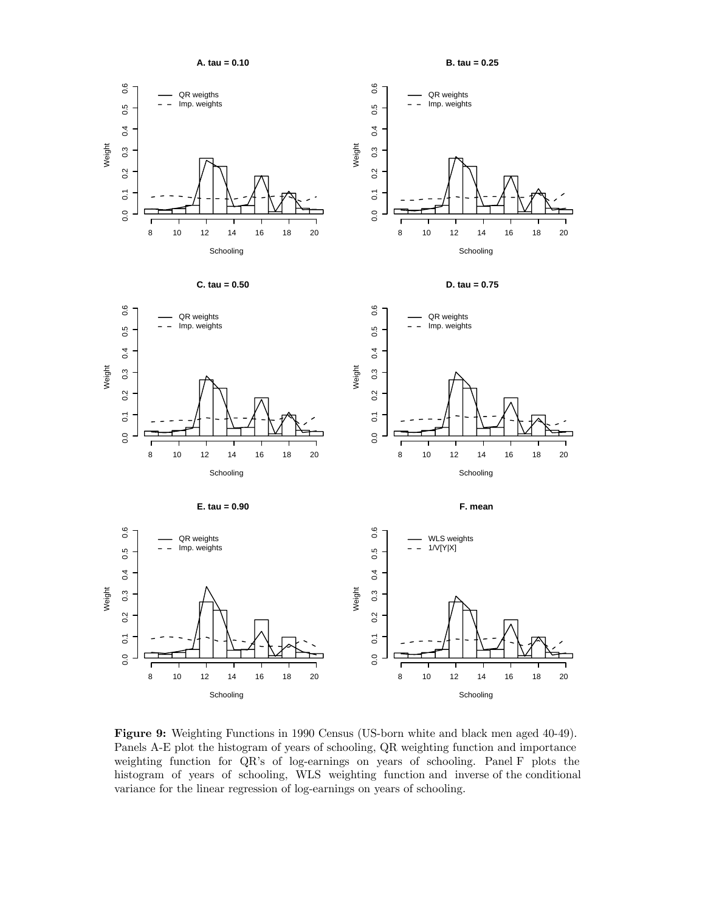**A. tau = 0.10**

**B. tau = 0.25**



Figure 9: Weighting Functions in 1990 Census (US-born white and black men aged 40-49). Panels A-E plot the histogram of years of schooling, QR weighting function and importance weighting function for QR's of log-earnings on years of schooling. Panel F plots the histogram of years of schooling, WLS weighting function and inverse of the conditional variance for the linear regression of log-earnings on years of schooling.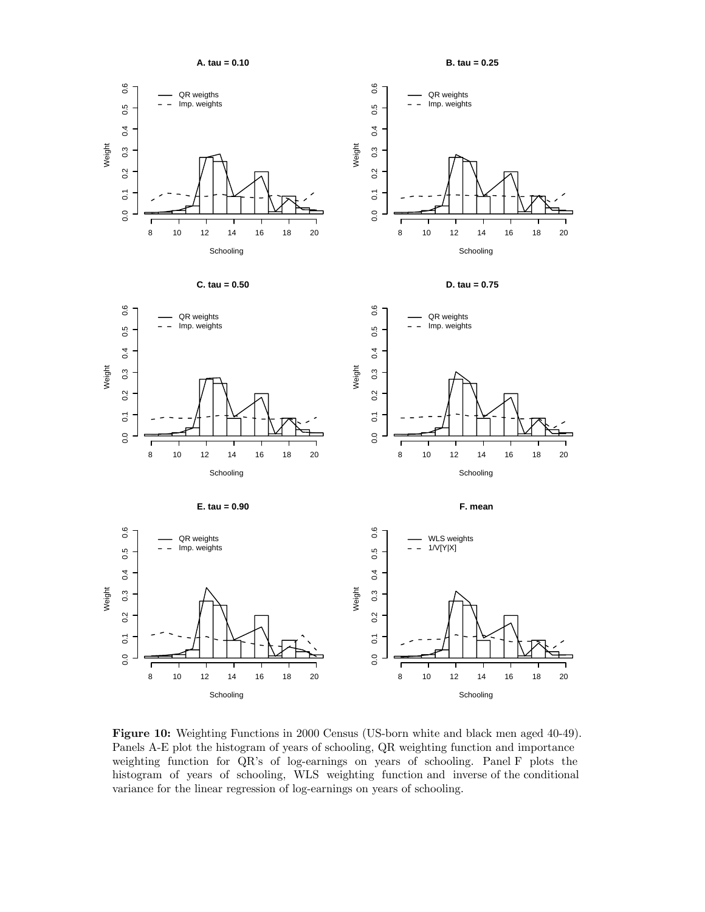**A. tau = 0.10**

**B. tau = 0.25**



Figure 10: Weighting Functions in 2000 Census (US-born white and black men aged 40-49). Panels A-E plot the histogram of years of schooling, QR weighting function and importance weighting function for QR's of log-earnings on years of schooling. Panel F plots the histogram of years of schooling, WLS weighting function and inverse of the conditional variance for the linear regression of log-earnings on years of schooling.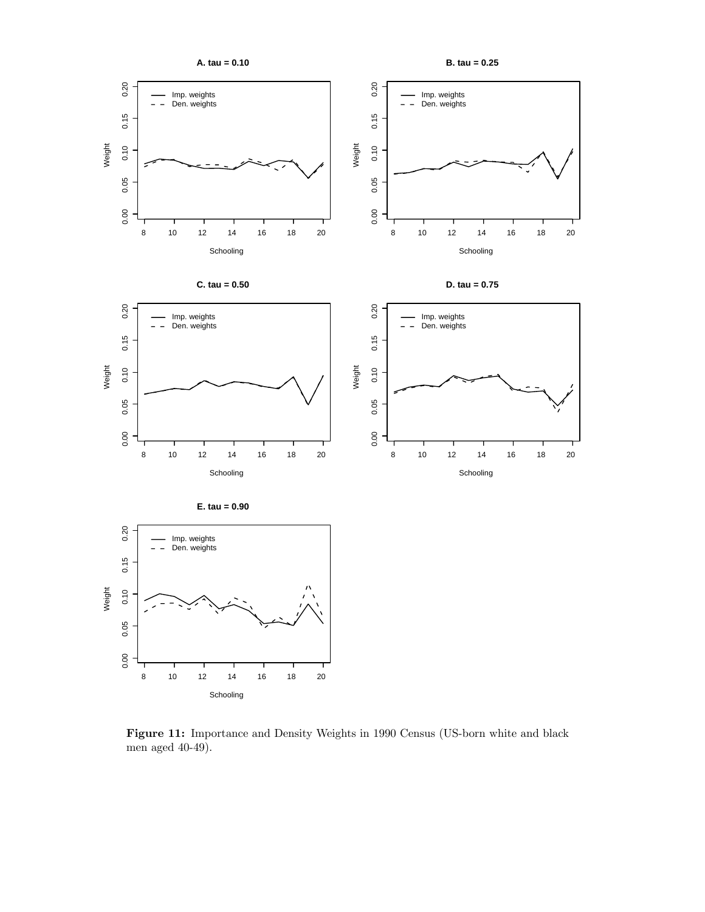

Figure 11: Importance and Density Weights in 1990 Census (US-born white and black men aged 40-49).